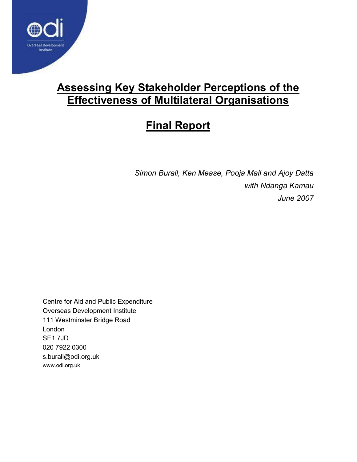

### Assessing Key Stakeholder Perceptions of the Effectiveness of Multilateral Organisations

# Final Report

Simon Burall, Ken Mease, Pooja Mall and Ajoy Datta with Ndanga Kamau June 2007

Centre for Aid and Public Expenditure Overseas Development Institute 111 Westminster Bridge Road London SE1 7JD 020 7922 0300 s.burall@odi.org.uk www.odi.org.uk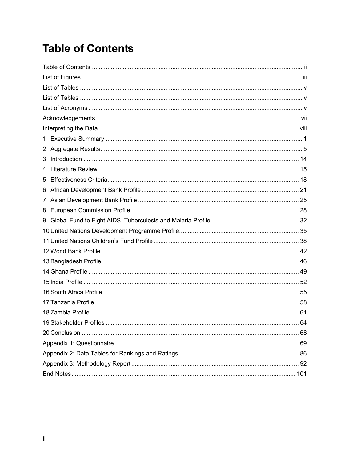# **Table of Contents**

| 3 |      |
|---|------|
| 4 |      |
| 5 |      |
| 6 |      |
| 7 |      |
| 8 |      |
| 9 |      |
|   |      |
|   |      |
|   |      |
|   |      |
|   |      |
|   |      |
|   |      |
|   |      |
|   |      |
|   | . 64 |
|   |      |
|   |      |
|   |      |
|   |      |
|   |      |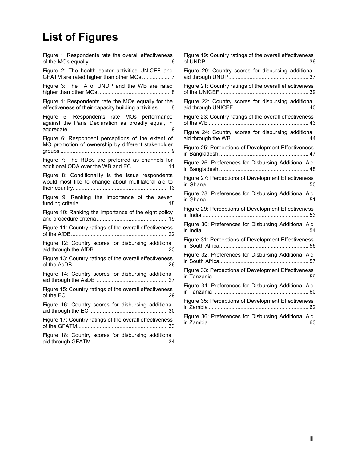# List of Figures

| Figure 1: Respondents rate the overall effectiveness                                                         |
|--------------------------------------------------------------------------------------------------------------|
| Figure 2: The health sector activities UNICEF and                                                            |
| Figure 3: The TA of UNDP and the WB are rated                                                                |
| Figure 4: Respondents rate the MOs equally for the<br>effectiveness of their capacity building activities  8 |
| Figure 5: Respondents rate MOs performance<br>against the Paris Declaration as broadly equal, in             |
| Figure 6: Respondent perceptions of the extent of<br>MO promotion of ownership by different stakeholder      |
| Figure 7: The RDBs are preferred as channels for<br>additional ODA over the WB and EC 11                     |
| Figure 8: Conditionality is the issue respondents<br>would most like to change about multilateral aid to     |
| Figure 9: Ranking the importance of the seven                                                                |
| Figure 10: Ranking the importance of the eight policy                                                        |
| Figure 11: Country ratings of the overall effectiveness                                                      |
| Figure 12: Country scores for disbursing additional                                                          |
| Figure 13: Country ratings of the overall effectiveness                                                      |
| Figure 14: Country scores for disbursing additional                                                          |
| Figure 15: Country ratings of the overall effectiveness                                                      |
| Figure 16: Country scores for disbursing additional                                                          |
| Figure 17: Country ratings of the overall effectiveness                                                      |
| Figure 18: Country scores for disbursing additional                                                          |

| Figure 19: Country ratings of the overall effectiveness<br>. 36 |
|-----------------------------------------------------------------|
| Figure 20: Country scores for disbursing additional             |
| Figure 21: Country ratings of the overall effectiveness         |
| Figure 22: Country scores for disbursing additional             |
| Figure 23: Country ratings of the overall effectiveness         |
| Figure 24: Country scores for disbursing additional             |
| Figure 25: Perceptions of Development Effectiveness             |
| Figure 26: Preferences for Disbursing Additional Aid            |
| Figure 27: Perceptions of Development Effectiveness             |
| Figure 28: Preferences for Disbursing Additional Aid            |
| Figure 29: Perceptions of Development Effectiveness             |
| Figure 30: Preferences for Disbursing Additional Aid            |
| Figure 31: Perceptions of Development Effectiveness             |
| Figure 32: Preferences for Disbursing Additional Aid            |
| Figure 33: Perceptions of Development Effectiveness             |
| Figure 34: Preferences for Disbursing Additional Aid            |
| Figure 35: Perceptions of Development Effectiveness             |
| Figure 36: Preferences for Disbursing Additional Aid            |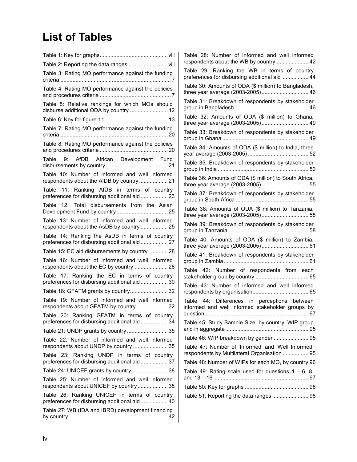# List of Tables

|                                                                                              | Table 28: Number of informed and well informed         |
|----------------------------------------------------------------------------------------------|--------------------------------------------------------|
| Table 2: Reporting the data ranges  viii                                                     | respondents about the WB by country  42                |
| Table 3: Rating MO performance against the funding                                           | Table 29: Ranking the WB in terms of country           |
|                                                                                              | preferences for disbursing additional aid 44           |
| Table 4: Rating MO performance against the policies                                          | Table 30: Amounts of ODA (\$ million) to Bangladesh,   |
|                                                                                              | three year average (2003-2005) 46                      |
| Table 5: Relative rankings for which MOs should                                              | Table 31: Breakdown of respondents by stakeholder      |
| disburse additional ODA by country  12                                                       |                                                        |
|                                                                                              | Table 32: Amounts of ODA (\$ million) to Ghana,        |
| Table 7: Rating MO performance against the funding                                           | Table 33: Breakdown of respondents by stakeholder      |
|                                                                                              |                                                        |
| Table 8: Rating MO performance against the policies                                          | Table 34: Amounts of ODA (\$ million) to India, three  |
|                                                                                              |                                                        |
| Table 9: AfDB African Development Fund                                                       | Table 35: Breakdown of respondents by stakeholder      |
|                                                                                              |                                                        |
| Table 10: Number of informed and well informed                                               | Table 36: Amounts of ODA (\$ million) to South Africa, |
| respondents about the AfDB by country  21                                                    |                                                        |
| Table 11: Ranking AfDB in terms of country                                                   | Table 37: Breakdown of respondents by stakeholder      |
| preferences for disbursing additional aid  23                                                |                                                        |
| Table 12: Total disbursements from the Asian                                                 | Table 38: Amounts of ODA (\$ million) to Tanzania,     |
|                                                                                              |                                                        |
| Table 13: Number of informed and well informed                                               | Table 39: Breakdown of respondents by stakeholder      |
| respondents about the AsDB by country  25                                                    |                                                        |
| Table 14: Ranking the AsDB in terms of country                                               | Table 40: Amounts of ODA (\$ million) to Zambia,       |
| preferences for disbursing additional aid  27                                                | three year average (2003-2005) 61                      |
| Table 15: EC aid disbursements by country 28                                                 | Table 41: Breakdown of respondents by stakeholder      |
| Table 16: Number of informed and well informed                                               |                                                        |
|                                                                                              | Table 42: Number of respondents from each              |
| Table 17: Ranking the EC in terms of country                                                 |                                                        |
| preferences for disbursing additional aid  30                                                | Table 43: Number of informed and well informed         |
|                                                                                              |                                                        |
| Table 19: Number of informed and well informed                                               | Table 44: Differences in perceptions between           |
| respondents about GFATM by country 32                                                        | informed and well informed stakeholder groups by       |
| Table 20: Ranking GFATM in terms of country                                                  |                                                        |
| preferences for disbursing additional aid 34                                                 | Table 45: Study Sample Size: by country, WIP group     |
| Table 21: UNDP grants by country  35                                                         |                                                        |
| Table 22: Number of informed and well informed                                               | Table 46: WIP breakdown by gender  95                  |
| respondents about UNDP by country  35                                                        | Table 47: Number of 'Informed' and 'Well Informed'     |
| Table 23: Ranking UNDP in terms of country                                                   | respondents by Multilateral Organisation  95           |
| preferences for disbursing additional aid 37                                                 | Table 48: Number of WIPs for each MO, by country 96    |
| Table 24: UNICEF grants by country 38                                                        | Table 49: Rating scale used for questions $4 - 6$ , 8, |
| Table 25: Number of informed and well informed                                               |                                                        |
| respondents about UNICEF by country 38                                                       |                                                        |
| Table 26: Ranking UNICEF in terms of country<br>preferences for disbursing additional aid 40 | Table 51: Reporting the data ranges 98                 |
| Table 27: WB (IDA and IBRD) development financing                                            |                                                        |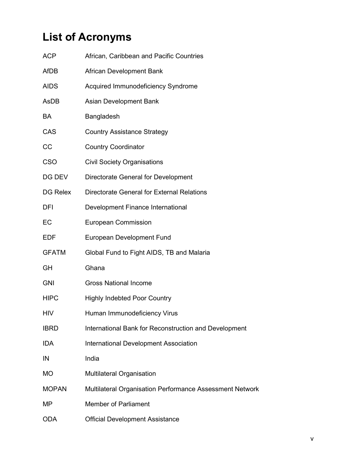# List of Acronyms

| <b>ACP</b>   | African, Caribbean and Pacific Countries                 |
|--------------|----------------------------------------------------------|
| <b>AfDB</b>  | African Development Bank                                 |
| <b>AIDS</b>  | Acquired Immunodeficiency Syndrome                       |
| AsDB         | Asian Development Bank                                   |
| BA           | Bangladesh                                               |
| CAS          | <b>Country Assistance Strategy</b>                       |
| CC           | <b>Country Coordinator</b>                               |
| <b>CSO</b>   | <b>Civil Society Organisations</b>                       |
| DG DEV       | Directorate General for Development                      |
| DG Relex     | Directorate General for External Relations               |
| <b>DFI</b>   | Development Finance International                        |
| EC           | <b>European Commission</b>                               |
| <b>EDF</b>   | European Development Fund                                |
| <b>GFATM</b> | Global Fund to Fight AIDS, TB and Malaria                |
| GH           | Ghana                                                    |
| <b>GNI</b>   | <b>Gross National Income</b>                             |
| <b>HIPC</b>  | <b>Highly Indebted Poor Country</b>                      |
| <b>HIV</b>   | Human Immunodeficiency Virus                             |
| <b>IBRD</b>  | International Bank for Reconstruction and Development    |
| <b>IDA</b>   | International Development Association                    |
| IN           | India                                                    |
| МO           | Multilateral Organisation                                |
| <b>MOPAN</b> | Multilateral Organisation Performance Assessment Network |
| ΜP           | <b>Member of Parliament</b>                              |
| <b>ODA</b>   | <b>Official Development Assistance</b>                   |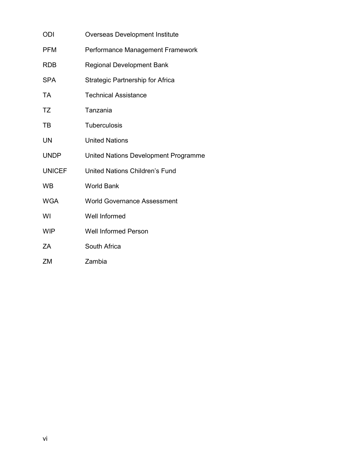| ODI           | <b>Overseas Development Institute</b>   |
|---------------|-----------------------------------------|
| <b>PFM</b>    | Performance Management Framework        |
| <b>RDB</b>    | Regional Development Bank               |
| <b>SPA</b>    | <b>Strategic Partnership for Africa</b> |
| <b>TA</b>     | <b>Technical Assistance</b>             |
| <b>TZ</b>     | Tanzania                                |
| TB            | <b>Tuberculosis</b>                     |
| UN            | <b>United Nations</b>                   |
| <b>UNDP</b>   | United Nations Development Programme    |
| <b>UNICEF</b> | United Nations Children's Fund          |
| <b>WB</b>     | <b>World Bank</b>                       |
| <b>WGA</b>    | <b>World Governance Assessment</b>      |
| WI            | Well Informed                           |
| <b>WIP</b>    | <b>Well Informed Person</b>             |
| ΖA            | South Africa                            |
| ZM            | Zambia                                  |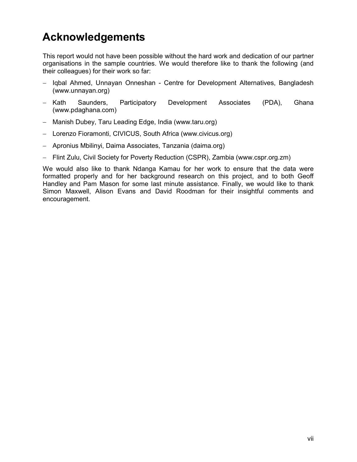## Acknowledgements

This report would not have been possible without the hard work and dedication of our partner organisations in the sample countries. We would therefore like to thank the following (and their colleagues) for their work so far:

- − Iqbal Ahmed, Unnayan Onneshan Centre for Development Alternatives, Bangladesh (www.unnayan.org)
- − Kath Saunders, Participatory Development Associates (PDA), Ghana (www.pdaghana.com)
- − Manish Dubey, Taru Leading Edge, India (www.taru.org)
- − Lorenzo Fioramonti, CIVICUS, South Africa (www.civicus.org)
- − Apronius Mbilinyi, Daima Associates, Tanzania (daima.org)
- − Flint Zulu, Civil Society for Poverty Reduction (CSPR), Zambia (www.cspr.org.zm)

We would also like to thank Ndanga Kamau for her work to ensure that the data were formatted properly and for her background research on this project, and to both Geoff Handley and Pam Mason for some last minute assistance. Finally, we would like to thank Simon Maxwell, Alison Evans and David Roodman for their insightful comments and encouragement.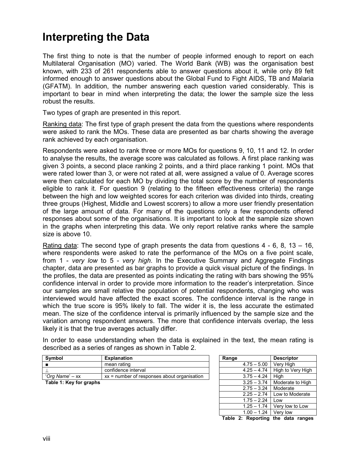### Interpreting the Data

The first thing to note is that the number of people informed enough to report on each Multilateral Organisation (MO) varied. The World Bank (WB) was the organisation best known, with 233 of 261 respondents able to answer questions about it, while only 89 felt informed enough to answer questions about the Global Fund to Fight AIDS, TB and Malaria (GFATM). In addition, the number answering each question varied considerably. This is important to bear in mind when interpreting the data; the lower the sample size the less robust the results.

Two types of graph are presented in this report.

Ranking data: The first type of graph present the data from the questions where respondents were asked to rank the MOs. These data are presented as bar charts showing the average rank achieved by each organisation.

Respondents were asked to rank three or more MOs for questions 9, 10, 11 and 12. In order to analyse the results, the average score was calculated as follows. A first place ranking was given 3 points, a second place ranking 2 points, and a third place ranking 1 point. MOs that were rated lower than 3, or were not rated at all, were assigned a value of 0. Average scores were then calculated for each MO by dividing the total score by the number of respondents eligible to rank it. For question 9 (relating to the fifteen effectiveness criteria) the range between the high and low weighted scores for each criterion was divided into thirds, creating three groups (Highest, Middle and Lowest scorers) to allow a more user friendly presentation of the large amount of data. For many of the questions only a few respondents offered responses about some of the organisations. It is important to look at the sample size shown in the graphs when interpreting this data. We only report relative ranks where the sample size is above 10.

Rating data: The second type of graph presents the data from questions  $4 - 6$ ,  $8$ ,  $13 - 16$ , where respondents were asked to rate the performance of the MOs on a five point scale, from 1 - very low to 5 - very high. In the Executive Summary and Aggregate Findings chapter, data are presented as bar graphs to provide a quick visual picture of the findings. In the profiles, the data are presented as points indicating the rating with bars showing the 95% confidence interval in order to provide more information to the reader's interpretation. Since our samples are small relative the population of potential respondents, changing who was interviewed would have affected the exact scores. The confidence interval is the range in which the true score is 95% likely to fall. The wider it is, the less accurate the estimated mean. The size of the confidence interval is primarily influenced by the sample size and the variation among respondent answers. The more that confidence intervals overlap, the less likely it is that the true averages actually differ.

In order to ease understanding when the data is explained in the text, the mean rating is described as a series of ranges as shown in Table 2.

| <b>Symbol</b>           | <b>Explanation</b>                            | Range         | <b>Descriptor</b>               |
|-------------------------|-----------------------------------------------|---------------|---------------------------------|
|                         | mean rating                                   | $4.75 - 5.00$ | Verv High                       |
|                         | confidence interval                           |               | $4.25 - 4.74$ High to Very High |
| 'Org Name' – xx         | $xx$ = number of responses about organisation | $3.75 - 4.24$ | Hiah                            |
| Toble 1. Kou for aronho |                                               |               | 2.25 2.74 Moderate to High      |

| Symbol                  | <b>Explanation</b>                            | Range |               | <b>Descriptor</b> |
|-------------------------|-----------------------------------------------|-------|---------------|-------------------|
|                         | mean rating                                   |       | $4.75 - 5.00$ | Very High         |
|                         | confidence interval                           |       | $4.25 - 4.74$ | High to Very High |
| 'Ora Name' – xx         | $xx$ = number of responses about organisation |       | $3.75 - 4.24$ | High              |
| Table 1: Key for graphs |                                               |       | $3.25 - 3.74$ | Moderate to High  |
|                         |                                               |       | $2.75 - 3.24$ | Moderate          |
|                         |                                               |       | $2.25 - 2.74$ | Low to Moderate   |
|                         |                                               |       | $1.75 - 2.24$ | Low               |
|                         |                                               |       | $1.25 - 1.74$ | Very low to Low   |
|                         |                                               |       | $1.00 - 1.24$ | Very low          |
|                         |                                               |       |               |                   |

Table 2: Reporting the data ranges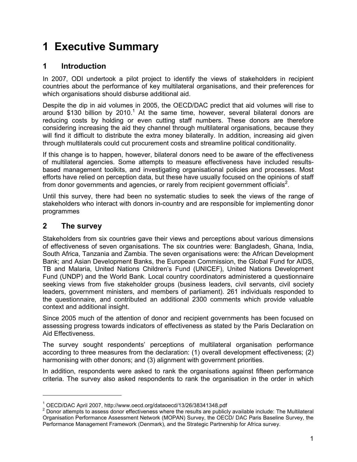# 1 Executive Summary

### 1 Introduction

In 2007, ODI undertook a pilot project to identify the views of stakeholders in recipient countries about the performance of key multilateral organisations, and their preferences for which organisations should disburse additional aid.

Despite the dip in aid volumes in 2005, the OECD/DAC predict that aid volumes will rise to around \$130 billion by 2010.<sup>1</sup> At the same time, however, several bilateral donors are reducing costs by holding or even cutting staff numbers. These donors are therefore considering increasing the aid they channel through multilateral organisations, because they will find it difficult to distribute the extra money bilaterally. In addition, increasing aid given through multilaterals could cut procurement costs and streamline political conditionality.

If this change is to happen, however, bilateral donors need to be aware of the effectiveness of multilateral agencies. Some attempts to measure effectiveness have included resultsbased management toolkits, and investigating organisational policies and processes. Most efforts have relied on perception data, but these have usually focused on the opinions of staff from donor governments and agencies, or rarely from recipient government officials<sup>2</sup>.

Until this survey, there had been no systematic studies to seek the views of the range of stakeholders who interact with donors in-country and are responsible for implementing donor programmes

### 2 The survey

-

Stakeholders from six countries gave their views and perceptions about various dimensions of effectiveness of seven organisations. The six countries were: Bangladesh, Ghana, India, South Africa, Tanzania and Zambia. The seven organisations were: the African Development Bank; and Asian Development Banks, the European Commission, the Global Fund for AIDS, TB and Malaria, United Nations Children's Fund (UNICEF), United Nations Development Fund (UNDP) and the World Bank. Local country coordinators administered a questionnaire seeking views from five stakeholder groups (business leaders, civil servants, civil society leaders, government ministers, and members of parliament). 261 individuals responded to the questionnaire, and contributed an additional 2300 comments which provide valuable context and additional insight.

Since 2005 much of the attention of donor and recipient governments has been focused on assessing progress towards indicators of effectiveness as stated by the Paris Declaration on Aid Effectiveness.

The survey sought respondents' perceptions of multilateral organisation performance according to three measures from the declaration: (1) overall development effectiveness; (2) harmonising with other donors; and (3) alignment with government priorities.

In addition, respondents were asked to rank the organisations against fifteen performance criteria. The survey also asked respondents to rank the organisation in the order in which

<sup>1</sup> OECD/DAC April 2007, http://www.oecd.org/dataoecd/13/26/38341348.pdf

 $2$  Donor attempts to assess donor effectiveness where the results are publicly available include: The Multilateral Organisation Performance Assessment Network (MOPAN) Survey, the OECD/ DAC Paris Baseline Survey, the Performance Management Framework (Denmark), and the Strategic Partnership for Africa survey.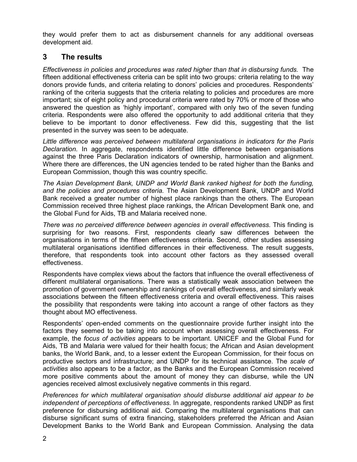they would prefer them to act as disbursement channels for any additional overseas development aid.

### 3 The results

Effectiveness in policies and procedures was rated higher than that in disbursing funds. The fifteen additional effectiveness criteria can be split into two groups: criteria relating to the way donors provide funds, and criteria relating to donors' policies and procedures. Respondents' ranking of the criteria suggests that the criteria relating to policies and procedures are more important; six of eight policy and procedural criteria were rated by 70% or more of those who answered the question as 'highly important', compared with only two of the seven funding criteria. Respondents were also offered the opportunity to add additional criteria that they believe to be important to donor effectiveness. Few did this, suggesting that the list presented in the survey was seen to be adequate.

Little difference was perceived between multilateral organisations in indicators for the Paris Declaration. In aggregate, respondents identified little difference between organisations against the three Paris Declaration indicators of ownership, harmonisation and alignment. Where there are differences, the UN agencies tended to be rated higher than the Banks and European Commission, though this was country specific.

The Asian Development Bank, UNDP and World Bank ranked highest for both the funding, and the policies and procedures criteria. The Asian Development Bank, UNDP and World Bank received a greater number of highest place rankings than the others. The European Commission received three highest place rankings, the African Development Bank one, and the Global Fund for Aids, TB and Malaria received none.

There was no perceived difference between agencies in overall effectiveness. This finding is surprising for two reasons. First, respondents clearly saw differences between the organisations in terms of the fifteen effectiveness criteria. Second, other studies assessing multilateral organisations identified differences in their effectiveness. The result suggests, therefore, that respondents took into account other factors as they assessed overall effectiveness.

Respondents have complex views about the factors that influence the overall effectiveness of different multilateral organisations. There was a statistically weak association between the promotion of government ownership and rankings of overall effectiveness, and similarly weak associations between the fifteen effectiveness criteria and overall effectiveness. This raises the possibility that respondents were taking into account a range of other factors as they thought about MO effectiveness.

Respondents' open-ended comments on the questionnaire provide further insight into the factors they seemed to be taking into account when assessing overall effectiveness. For example, the *focus of activities* appears to be important. UNICEF and the Global Fund for Aids, TB and Malaria were valued for their health focus; the African and Asian development banks, the World Bank, and, to a lesser extent the European Commission, for their focus on productive sectors and infrastructure; and UNDP for its technical assistance. The scale of activities also appears to be a factor, as the Banks and the European Commission received more positive comments about the amount of money they can disburse, while the UN agencies received almost exclusively negative comments in this regard.

Preferences for which multilateral organisation should disburse additional aid appear to be independent of perceptions of effectiveness. In aggregate, respondents ranked UNDP as first preference for disbursing additional aid. Comparing the multilateral organisations that can disburse significant sums of extra financing, stakeholders preferred the African and Asian Development Banks to the World Bank and European Commission. Analysing the data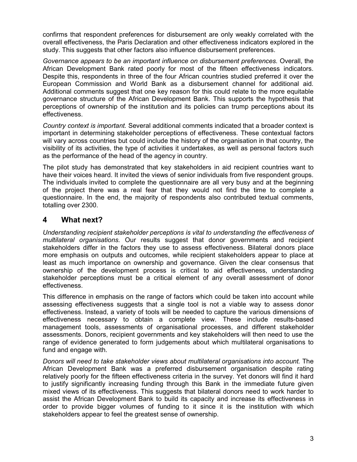confirms that respondent preferences for disbursement are only weakly correlated with the overall effectiveness, the Paris Declaration and other effectiveness indicators explored in the study. This suggests that other factors also influence disbursement preferences.

Governance appears to be an important influence on disbursement preferences. Overall, the African Development Bank rated poorly for most of the fifteen effectiveness indicators. Despite this, respondents in three of the four African countries studied preferred it over the European Commission and World Bank as a disbursement channel for additional aid. Additional comments suggest that one key reason for this could relate to the more equitable governance structure of the African Development Bank. This supports the hypothesis that perceptions of ownership of the institution and its policies can trump perceptions about its effectiveness.

Country context is important. Several additional comments indicated that a broader context is important in determining stakeholder perceptions of effectiveness. These contextual factors will vary across countries but could include the history of the organisation in that country, the visibility of its activities, the type of activities it undertakes, as well as personal factors such as the performance of the head of the agency in country.

The pilot study has demonstrated that key stakeholders in aid recipient countries want to have their voices heard. It invited the views of senior individuals from five respondent groups. The individuals invited to complete the questionnaire are all very busy and at the beginning of the project there was a real fear that they would not find the time to complete a questionnaire. In the end, the majority of respondents also contributed textual comments, totalling over 2300.

#### 4 What next?

Understanding recipient stakeholder perceptions is vital to understanding the effectiveness of multilateral organisations. Our results suggest that donor governments and recipient stakeholders differ in the factors they use to assess effectiveness. Bilateral donors place more emphasis on outputs and outcomes, while recipient stakeholders appear to place at least as much importance on ownership and governance. Given the clear consensus that ownership of the development process is critical to aid effectiveness, understanding stakeholder perceptions must be a critical element of any overall assessment of donor effectiveness.

This difference in emphasis on the range of factors which could be taken into account while assessing effectiveness suggests that a single tool is not a viable way to assess donor effectiveness. Instead, a variety of tools will be needed to capture the various dimensions of effectiveness necessary to obtain a complete view. These include results-based management tools, assessments of organisational processes, and different stakeholder assessments. Donors, recipient governments and key stakeholders will then need to use the range of evidence generated to form judgements about which multilateral organisations to fund and engage with.

Donors will need to take stakeholder views about multilateral organisations into account. The African Development Bank was a preferred disbursement organisation despite rating relatively poorly for the fifteen effectiveness criteria in the survey. Yet donors will find it hard to justify significantly increasing funding through this Bank in the immediate future given mixed views of its effectiveness. This suggests that bilateral donors need to work harder to assist the African Development Bank to build its capacity and increase its effectiveness in order to provide bigger volumes of funding to it since it is the institution with which stakeholders appear to feel the greatest sense of ownership.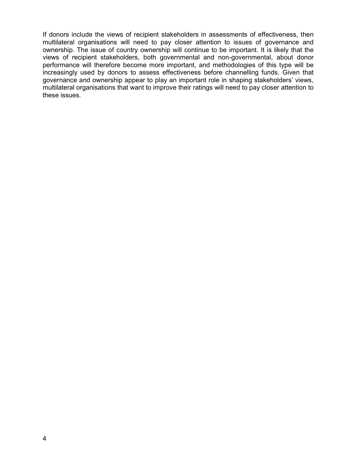If donors include the views of recipient stakeholders in assessments of effectiveness, then multilateral organisations will need to pay closer attention to issues of governance and ownership. The issue of country ownership will continue to be important. It is likely that the views of recipient stakeholders, both governmental and non-governmental, about donor performance will therefore become more important, and methodologies of this type will be increasingly used by donors to assess effectiveness before channelling funds. Given that governance and ownership appear to play an important role in shaping stakeholders' views, multilateral organisations that want to improve their ratings will need to pay closer attention to these issues.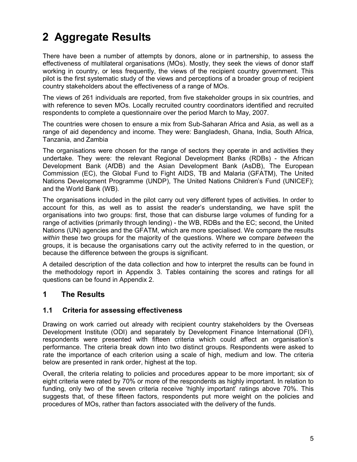# 2 Aggregate Results

There have been a number of attempts by donors, alone or in partnership, to assess the effectiveness of multilateral organisations (MOs). Mostly, they seek the views of donor staff working in country, or less frequently, the views of the recipient country government. This pilot is the first systematic study of the views and perceptions of a broader group of recipient country stakeholders about the effectiveness of a range of MOs.

The views of 261 individuals are reported, from five stakeholder groups in six countries, and with reference to seven MOs. Locally recruited country coordinators identified and recruited respondents to complete a questionnaire over the period March to May, 2007.

The countries were chosen to ensure a mix from Sub-Saharan Africa and Asia, as well as a range of aid dependency and income. They were: Bangladesh, Ghana, India, South Africa, Tanzania, and Zambia

The organisations were chosen for the range of sectors they operate in and activities they undertake. They were: the relevant Regional Development Banks (RDBs) - the African Development Bank (AfDB) and the Asian Development Bank (AsDB), The European Commission (EC), the Global Fund to Fight AIDS, TB and Malaria (GFATM), The United Nations Development Programme (UNDP), The United Nations Children's Fund (UNICEF); and the World Bank (WB).

The organisations included in the pilot carry out very different types of activities. In order to account for this, as well as to assist the reader's understanding, we have split the organisations into two groups: first, those that can disburse large volumes of funding for a range of activities (primarily through lending) - the WB, RDBs and the EC; second, the United Nations (UN) agencies and the GFATM, which are more specialised. We compare the results within these two groups for the majority of the questions. Where we compare between the groups, it is because the organisations carry out the activity referred to in the question, or because the difference between the groups is significant.

A detailed description of the data collection and how to interpret the results can be found in the methodology report in Appendix 3. Tables containing the scores and ratings for all questions can be found in Appendix 2.

### 1 The Results

#### 1.1 Criteria for assessing effectiveness

Drawing on work carried out already with recipient country stakeholders by the Overseas Development Institute (ODI) and separately by Development Finance International (DFI), respondents were presented with fifteen criteria which could affect an organisation's performance. The criteria break down into two distinct groups. Respondents were asked to rate the importance of each criterion using a scale of high, medium and low. The criteria below are presented in rank order, highest at the top.

Overall, the criteria relating to policies and procedures appear to be more important; six of eight criteria were rated by 70% or more of the respondents as highly important. In relation to funding, only two of the seven criteria receive 'highly important' ratings above 70%. This suggests that, of these fifteen factors, respondents put more weight on the policies and procedures of MOs, rather than factors associated with the delivery of the funds.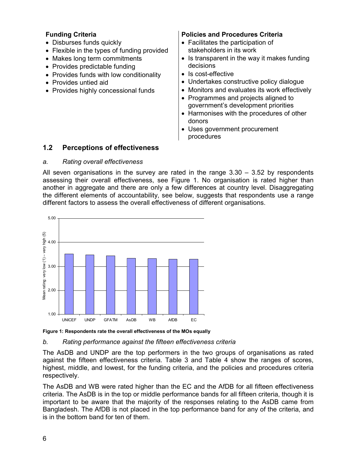- Disburses funds quickly
- Flexible in the types of funding provided
- Makes long term commitments
- Provides predictable funding
- Provides funds with low conditionality
- Provides untied aid
- Provides highly concessional funds

#### Funding Criteria **Policies and Procedures Criteria**

- Facilitates the participation of stakeholders in its work
- Is transparent in the way it makes funding decisions
- Is cost-effective
- Undertakes constructive policy dialogue
- Monitors and evaluates its work effectively
- Programmes and projects aligned to government's development priorities
- Harmonises with the procedures of other donors
- Uses government procurement procedures

#### 1.2 Perceptions of effectiveness

#### a. Rating overall effectiveness

All seven organisations in the survey are rated in the range 3.30 – 3.52 by respondents assessing their overall effectiveness, see Figure 1. No organisation is rated higher than another in aggregate and there are only a few differences at country level. Disaggregating the different elements of accountability, see below, suggests that respondents use a range different factors to assess the overall effectiveness of different organisations.



Figure 1: Respondents rate the overall effectiveness of the MOs equally

#### b. Rating performance against the fifteen effectiveness criteria

The AsDB and UNDP are the top performers in the two groups of organisations as rated against the fifteen effectiveness criteria. Table 3 and Table 4 show the ranges of scores, highest, middle, and lowest, for the funding criteria, and the policies and procedures criteria respectively.

The AsDB and WB were rated higher than the EC and the AfDB for all fifteen effectiveness criteria. The AsDB is in the top or middle performance bands for all fifteen criteria, though it is important to be aware that the majority of the responses relating to the AsDB came from Bangladesh. The AfDB is not placed in the top performance band for any of the criteria, and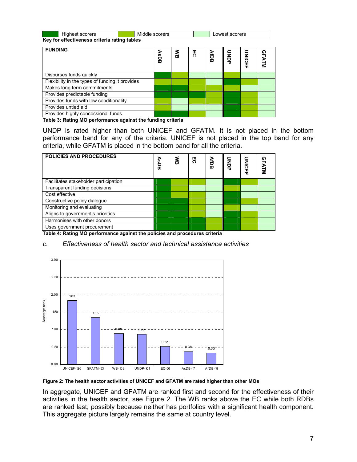| <b>Highest scorers</b>                       | Middle scorers | Lowest scorers |
|----------------------------------------------|----------------|----------------|
| Kay for affectiveness criteria rating tables |                |                |

Key for effectiveness criteria rating tables

| <b>FUNDING</b>                                  | ⋗<br>SDB | ≲ັ | 50 | <b>AfDB</b> | ONDP | <b>UNICEF</b> | <b>GFATM</b> |
|-------------------------------------------------|----------|----|----|-------------|------|---------------|--------------|
| Disburses funds quickly                         |          |    |    |             |      |               |              |
| Flexibility in the types of funding it provides |          |    |    |             |      |               |              |
| Makes long term commitments                     |          |    |    |             |      |               |              |
| Provides predictable funding                    |          |    |    |             |      |               |              |
| Provides funds with low conditionality          |          |    |    |             |      |               |              |
| Provides untied aid                             |          |    |    |             |      |               |              |
| Provides highly concessional funds              |          |    |    |             |      |               |              |

Table 3: Rating MO performance against the funding criteria

UNDP is rated higher than both UNICEF and GFATM. It is not placed in the bottom performance band for any of the criteria. UNICEF is not placed in the top band for any criteria, while GFATM is placed in the bottom band for all the criteria.

| <b>POLICIES AND PROCEDURES</b>        | <b>AsDB</b> | ≲<br>⊞ | 5 | <b>AfDB</b> | ONDP | <b>UNICEF</b> | ໑<br>╖<br><b>ATM</b> |
|---------------------------------------|-------------|--------|---|-------------|------|---------------|----------------------|
| Facilitates stakeholder participation |             |        |   |             |      |               |                      |
| Transparent funding decisions         |             |        |   |             |      |               |                      |
| Cost effective                        |             |        |   |             |      |               |                      |
| Constructive policy dialogue          |             |        |   |             |      |               |                      |
| Monitoring and evaluating             |             |        |   |             |      |               |                      |
| Aligns to government's priorities     |             |        |   |             |      |               |                      |
| Harmonises with other donors          |             |        |   |             |      |               |                      |
| Uses government procurement           |             |        |   |             |      |               |                      |

Table 4: Rating MO performance against the policies and procedures criteria

#### c. Effectiveness of health sector and technical assistance activities





In aggregate, UNICEF and GFATM are ranked first and second for the effectiveness of their activities in the health sector, see Figure 2. The WB ranks above the EC while both RDBs are ranked last, possibly because neither has portfolios with a significant health component.<br>This aggregate picture largely remains the same at country level.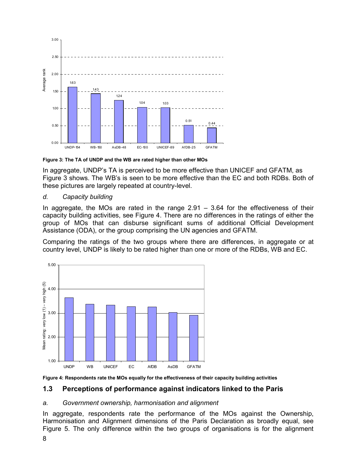

Figure 3: The TA of UNDP and the WB are rated higher than other MOs

In aggregate, UNDP's TA is perceived to be more effective than UNICEF and GFATM, as Figure 3 shows. The WB's is seen to be more effective than the EC and both RDBs. Both of these pictures are largely repeated at country-level.

#### d. Capacity building

In aggregate, the MOs are rated in the range 2.91 – 3.64 for the effectiveness of their capacity building activities, see Figure 4. There are no differences in the ratings of either the group of MOs that can disburse significant sums of additional Official Development Assistance (ODA), or the group comprising the UN agencies and GFATM.

Comparing the ratings of the two groups where there are differences, in aggregate or at country level, UNDP is likely to be rated higher than one or more of the RDBs, WB and EC.





#### 1.3 Perceptions of performance against indicators linked to the Paris

#### a. Government ownership, harmonisation and alignment

In aggregate, respondents rate the performance of the MOs against the Ownership, Harmonisation and Alignment dimensions of the Paris Declaration as broadly equal, see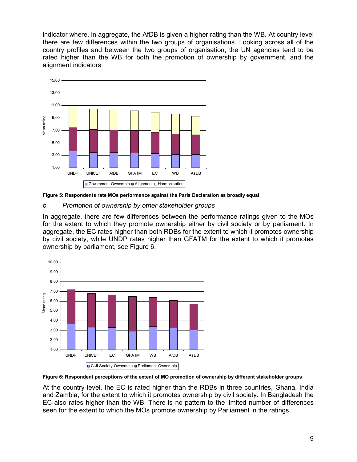indicator where, in aggregate, the AfDB is given a higher rating than the WB. At country level there are few differences within the two groups of organisations. Looking across all of the country profiles and between the two groups of organisation, the UN agencies tend to be rated higher than the WB for both the promotion of ownership by government, and the alignment indicators.



Figure 5: Respondents rate MOs performance against the Paris Declaration as broadly equal

#### b. Promotion of ownership by other stakeholder groups

In aggregate, there are few differences between the performance ratings given to the MOs for the extent to which they promote ownership either by civil society or by parliament. In aggregate, the EC rates higher than both RDBs for the extent to which it promotes ownership by civil society, while UNDP rates higher than GFATM for the extent to which it promotes ownership by parliament, see Figure 6.



Figure 6: Respondent perceptions of the extent of MO promotion of ownership by different stakeholder groups

At the country level, the EC is rated higher than the RDBs in three countries, Ghana, India and Zambia, for the extent to which it promotes ownership by civil society. In Bangladesh the EC also rates higher than the WB. There is no pattern to the limited number of differences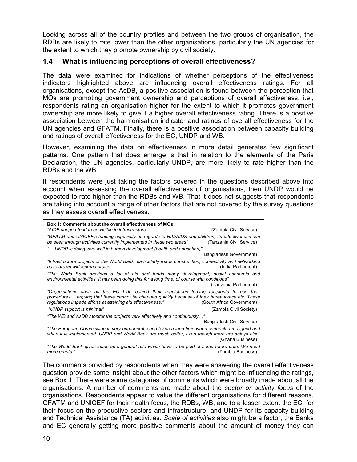Looking across all of the country profiles and between the two groups of organisation, the RDBs are likely to rate lower than the other organisations, particularly the UN agencies for the extent to which they promote ownership by civil society.

#### 1.4 What is influencing perceptions of overall effectiveness?

The data were examined for indications of whether perceptions of the effectiveness indicators highlighted above are influencing overall effectiveness ratings. For all organisations, except the AsDB, a positive association is found between the perception that MOs are promoting government ownership and perceptions of overall effectiveness, i.e., respondents rating an organisation higher for the extent to which it promotes government ownership are more likely to give it a higher overall effectiveness rating. There is a positive association between the harmonisation indicator and ratings of overall effectiveness for the UN agencies and GFATM. Finally, there is a positive association between capacity building and ratings of overall effectiveness for the EC, UNDP and WB.

However, examining the data on effectiveness in more detail generates few significant patterns. One pattern that does emerge is that in relation to the elements of the Paris Declaration, the UN agencies, particularly UNDP, are more likely to rate higher than the RDBs and the WB.

If respondents were just taking the factors covered in the questions described above into account when assessing the overall effectiveness of organisations, then UNDP would be expected to rate higher than the RDBs and WB. That it does not suggests that respondents are taking into account a range of other factors that are not covered by the survey questions as they assess overall effectiveness.

| Box 1: Comments about the overall effectiveness of MOs                                                                                                                                                                                                        |                            |
|---------------------------------------------------------------------------------------------------------------------------------------------------------------------------------------------------------------------------------------------------------------|----------------------------|
| "AfDB support tend to be visible in infrastructure."                                                                                                                                                                                                          | (Zambia Civil Service)     |
| "GFATM and UNICEF's funding especially as regards to HIV/AIDS and children, its effectiveness can<br>be seen through activities currently implemented in these two areas"                                                                                     | (Tanzania Civil Service)   |
| " UNDP is doing very well in human development (health and education)"                                                                                                                                                                                        |                            |
|                                                                                                                                                                                                                                                               | (Bangladesh Government)    |
| "Infrastructure projects of the World Bank, particularly roads construction, connectivity and networking<br>have drawn widespread praise"                                                                                                                     | (India Parliament)         |
| "The World Bank provides a lot of aid and funds many development; social economic and<br>environmental activities. It has been doing this for a long time, of course with conditions"                                                                         | (Tanzania Parliament)      |
| "Organisations such as the EC hide behind their regulations forcing recipients to use their<br>procedures arguing that these cannot be changed quickly because of their bureaucracy etc. These<br>regulations impede efforts at attaining aid effectiveness." | (South Africa Government)  |
| "UNDP support is minimal"                                                                                                                                                                                                                                     | (Zambia Civil Society)     |
| "The WB and AsDB monitor the projects very effectively and continuously"                                                                                                                                                                                      |                            |
|                                                                                                                                                                                                                                                               | (Bangladesh Civil Service) |
| "The European Commission is very bureaucratic and takes a long time when contracts are signed and<br>when it is implemented. UNDP and World Bank are much better, even though there are delays also"                                                          | (Ghana Business)           |
| "The World Bank gives loans as a general rule which have to be paid at some future date. We need<br>more grants "                                                                                                                                             | (Zambia Business)          |

The comments provided by respondents when they were answering the overall effectiveness question provide some insight about the other factors which might be influencing the ratings, see Box 1. There were some categories of comments which were broadly made about all the organisations. A number of comments are made about the sector or activity focus of the organisations. Respondents appear to value the different organisations for different reasons, GFATM and UNICEF for their health focus, the RDBs, WB, and to a lesser extent the EC, for their focus on the productive sectors and infrastructure, and UNDP for its capacity building and Technical Assistance (TA) activities. Scale of activities also might be a factor, the Banks and EC generally getting more positive comments about the amount of money they can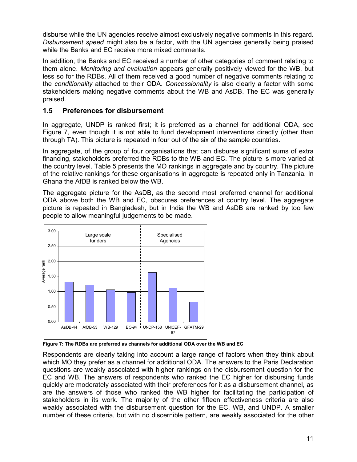disburse while the UN agencies receive almost exclusively negative comments in this regard. Disbursement speed might also be a factor, with the UN agencies generally being praised while the Banks and EC receive more mixed comments.

In addition, the Banks and EC received a number of other categories of comment relating to them alone. Monitoring and evaluation appears generally positively viewed for the WB, but less so for the RDBs. All of them received a good number of negative comments relating to the conditionality attached to their ODA. Concessionality is also clearly a factor with some stakeholders making negative comments about the WB and AsDB. The EC was generally praised.

#### 1.5 Preferences for disbursement

In aggregate, UNDP is ranked first; it is preferred as a channel for additional ODA, see Figure 7, even though it is not able to fund development interventions directly (other than through TA). This picture is repeated in four out of the six of the sample countries.

In aggregate, of the group of four organisations that can disburse significant sums of extra financing, stakeholders preferred the RDBs to the WB and EC. The picture is more varied at the country level. Table 5 presents the MO rankings in aggregate and by country. The picture of the relative rankings for these organisations in aggregate is repeated only in Tanzania. In Ghana the AfDB is ranked below the WB.

The aggregate picture for the AsDB, as the second most preferred channel for additional ODA above both the WB and EC, obscures preferences at country level. The aggregate picture is repeated in Bangladesh, but in India the WB and AsDB are ranked by too few people to allow meaningful judgements to be made.



Figure 7: The RDBs are preferred as channels for additional ODA over the WB and EC

Respondents are clearly taking into account a large range of factors when they think about which MO they prefer as a channel for additional ODA. The answers to the Paris Declaration questions are weakly associated with higher rankings on the disbursement question for the EC and WB. The answers of respondents who ranked the EC higher for disbursing funds quickly are moderately associated with their preferences for it as a disbursement channel, as are the answers of those who ranked the WB higher for facilitating the participation of stakeholders in its work. The majority of the other fifteen effectiveness criteria are also weakly associated with the disbursement question for the EC, WB, and UNDP. A smaller number of these criteria, but with no discernible pattern, are weakly associated for the other Average rank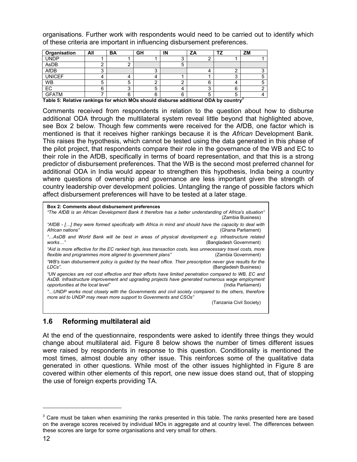organisations. Further work with respondents would need to be carried out to identify which of these criteria are important in influencing disbursement preferences.

| Organisation  | All | <b>BA</b> | GH | IN | ΖA |   | ZM |
|---------------|-----|-----------|----|----|----|---|----|
| <b>UNDP</b>   |     |           |    |    |    |   |    |
| AsDB          |     |           |    |    |    |   |    |
| AfDB          |     |           |    |    | 4  |   |    |
| <b>UNICEF</b> |     |           | Δ  |    |    |   |    |
| <b>WB</b>     |     |           |    |    | 6  |   |    |
| EC            | 6   |           | G  |    |    | 6 |    |
| <b>GFATM</b>  |     | ⌒         | 6  | G  | 5  |   |    |

Table 5: Relative rankings for which MOs should disburse additional ODA by country<sup>3</sup>

Comments received from respondents in relation to the question about how to disburse additional ODA through the multilateral system reveal little beyond that highlighted above, see Box 2 below. Though few comments were received for the AfDB, one factor which is mentioned is that it receives higher rankings because it is the *African* Development Bank. This raises the hypothesis, which cannot be tested using the data generated in this phase of the pilot project, that respondents compare their role in the governance of the WB and EC to their role in the AfDB, specifically in terms of board representation, and that this is a strong predictor of disbursement preferences. That the WB is the second most preferred channel for additional ODA in India would appear to strengthen this hypothesis, India being a country where questions of ownership and governance are less important given the strength of country leadership over development policies. Untangling the range of possible factors which affect disbursement preferences will have to be tested at a later stage.

| <b>Box 2: Comments about disbursement preferences</b><br>"The AfDB is an African Development Bank it therefore has a better understanding of Africa's situation"<br>(Zambia Business)                                                                               |
|---------------------------------------------------------------------------------------------------------------------------------------------------------------------------------------------------------------------------------------------------------------------|
| "AfDB - [] they were formed specifically with Africa in mind and should have the capacity to deal with<br>African nations"<br>(Ghana Parliament)                                                                                                                    |
| AsDB and World Bank will be best in areas of physical development e.g. infrastructure related"<br>works"<br>(Bangladesh Government)                                                                                                                                 |
| "Aid is more effective for the EC ranked high, less transaction costs, less unnecessary travel costs, more<br>flexible and programmes more aligned to government plans"<br>(Zambia Government)                                                                      |
| "WB's loan disbursement policy is guided by the head office. Their prescription never give results for the<br>LDCs".<br>(Bangladesh Business)                                                                                                                       |
| "UN agencies are not cost effective and their efforts have limited penetration compared to WB. EC and<br>AsDB. Infrastructure improvement and upgrading projects have generated numerous wage employment<br>opportunities at the local level"<br>(India Parliament) |
| UNDP works most closely with the Governments and civil society compared to the others, therefore<br>more aid to UNDP may mean more support to Govenments and CSOs"                                                                                                  |
| (Tanzania Civil Society)                                                                                                                                                                                                                                            |

#### 1.6 Reforming multilateral aid

At the end of the questionnaire, respondents were asked to identify three things they would change about multilateral aid. Figure 8 below shows the number of times different issues were raised by respondents in response to this question. Conditionality is mentioned the most times, almost double any other issue. This reinforces some of the qualitative data generated in other questions. While most of the other issues highlighted in Figure 8 are covered within other elements of this report, one new issue does stand out, that of stopping the use of foreign experts providing TA.

-

 $3$  Care must be taken when examining the ranks presented in this table. The ranks presented here are based on the average scores received by individual MOs in aggregate and at country level. The differences between these scores are large for some organisations and very small for others.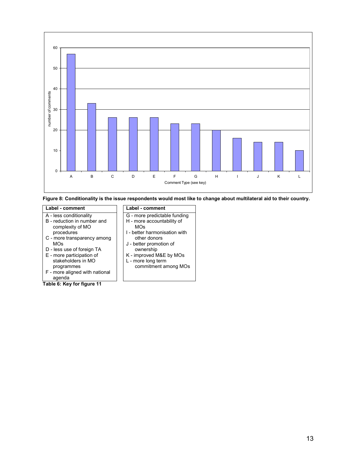

Figure 8: Conditionality is the issue respondents would most like to change about multilateral aid to their country.

#### Label - comment Label - comment A - less conditionality B - reduction in number and complexity of MO procedures C - more transparency among MOs D - less use of foreign TA E - more participation of stakeholders in MO

- programmes
- F more aligned with national agenda

Table 6: Key for figure 11

- G more predictable funding H - more accountability of MOs
- I better harmonisation with other donors
- J better promotion of ownership
- K improved M&E by MOs
- L more long term commitment among MOs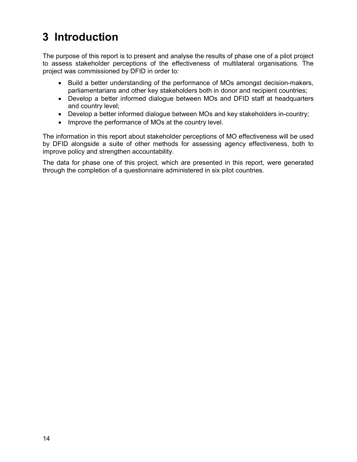# 3 Introduction

The purpose of this report is to present and analyse the results of phase one of a pilot project to assess stakeholder perceptions of the effectiveness of multilateral organisations. The project was commissioned by DFID in order to:

- Build a better understanding of the performance of MOs amongst decision-makers, parliamentarians and other key stakeholders both in donor and recipient countries;
- Develop a better informed dialogue between MOs and DFID staff at headquarters and country level;
- Develop a better informed dialogue between MOs and key stakeholders in-country;
- Improve the performance of MOs at the country level.

The information in this report about stakeholder perceptions of MO effectiveness will be used by DFID alongside a suite of other methods for assessing agency effectiveness, both to improve policy and strengthen accountability.

The data for phase one of this project, which are presented in this report, were generated through the completion of a questionnaire administered in six pilot countries.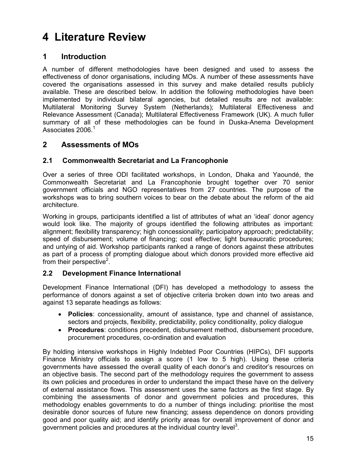# 4 Literature Review

### 1 Introduction

A number of different methodologies have been designed and used to assess the effectiveness of donor organisations, including MOs. A number of these assessments have covered the organisations assessed in this survey and make detailed results publicly available. These are described below. In addition the following methodologies have been implemented by individual bilateral agencies, but detailed results are not available: Multilateral Monitoring Survey System (Netherlands); Multilateral Effectiveness and Relevance Assessment (Canada); Multilateral Effectiveness Framework (UK). A much fuller summary of all of these methodologies can be found in Duska-Anema Development Associates 2006.<sup>1</sup>

### 2 Assessments of MOs

#### 2.1 Commonwealth Secretariat and La Francophonie

Over a series of three ODI facilitated workshops, in London, Dhaka and Yaoundé, the Commonwealth Secretariat and La Francophonie brought together over 70 senior government officials and NGO representatives from 27 countries. The purpose of the workshops was to bring southern voices to bear on the debate about the reform of the aid architecture.

Working in groups, participants identified a list of attributes of what an 'ideal' donor agency would look like. The majority of groups identified the following attributes as important: alignment; flexibility transparency; high concessionality; participatory approach; predictability; speed of disbursement; volume of financing; cost effective; light bureaucratic procedures; and untying of aid. Workshop participants ranked a range of donors against these attributes as part of a process of prompting dialogue about which donors provided more effective aid from their perspective<sup>2</sup>.

#### 2.2 Development Finance International

Development Finance International (DFI) has developed a methodology to assess the performance of donors against a set of objective criteria broken down into two areas and against 13 separate headings as follows:

- Policies: concessionality, amount of assistance, type and channel of assistance, sectors and projects, flexibility, predictability, policy conditionality, policy dialogue
- Procedures: conditions precedent, disbursement method, disbursement procedure, procurement procedures, co-ordination and evaluation

By holding intensive workshops in Highly Indebted Poor Countries (HIPCs), DFI supports Finance Ministry officials to assign a score (1 low to 5 high). Using these criteria governments have assessed the overall quality of each donor's and creditor's resources on an objective basis. The second part of the methodology requires the government to assess its own policies and procedures in order to understand the impact these have on the delivery of external assistance flows. This assessment uses the same factors as the first stage. By combining the assessments of donor and government policies and procedures, this methodology enables governments to do a number of things including: prioritise the most desirable donor sources of future new financing; assess dependence on donors providing good and poor quality aid; and identify priority areas for overall improvement of donor and government policies and procedures at the individual country level<sup>3</sup>.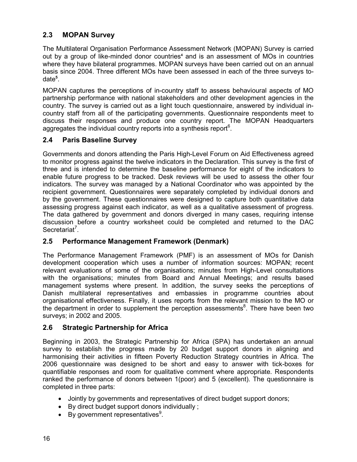### 2.3 MOPAN Survey

The Multilateral Organisation Performance Assessment Network (MOPAN) Survey is carried out by a group of like-minded donor countries<sup>4</sup> and is an assessment of MOs in countries where they have bilateral programmes. MOPAN surveys have been carried out on an annual basis since 2004. Three different MOs have been assessed in each of the three surveys todate<sup>5</sup>.

MOPAN captures the perceptions of in-country staff to assess behavioural aspects of MO partnership performance with national stakeholders and other development agencies in the country. The survey is carried out as a light touch questionnaire, answered by individual incountry staff from all of the participating governments. Questionnaire respondents meet to discuss their responses and produce one country report. The MOPAN Headquarters aggregates the individual country reports into a synthesis report $6$ .

#### 2.4 Paris Baseline Survey

Governments and donors attending the Paris High-Level Forum on Aid Effectiveness agreed to monitor progress against the twelve indicators in the Declaration. This survey is the first of three and is intended to determine the baseline performance for eight of the indicators to enable future progress to be tracked. Desk reviews will be used to assess the other four indicators. The survey was managed by a National Coordinator who was appointed by the recipient government. Questionnaires were separately completed by individual donors and by the government. These questionnaires were designed to capture both quantitative data assessing progress against each indicator, as well as a qualitative assessment of progress. The data gathered by government and donors diverged in many cases, requiring intense discussion before a country worksheet could be completed and returned to the DAC Secretariat<sup>7</sup>.

#### 2.5 Performance Management Framework (Denmark)

The Performance Management Framework (PMF) is an assessment of MOs for Danish development cooperation which uses a number of information sources: MOPAN; recent relevant evaluations of some of the organisations; minutes from High-Level consultations with the organisations; minutes from Board and Annual Meetings; and results based management systems where present. In addition, the survey seeks the perceptions of Danish multilateral representatives and embassies in programme countries about organisational effectiveness. Finally, it uses reports from the relevant mission to the MO or the department in order to supplement the perception assessments<sup>8</sup>. There have been two surveys; in 2002 and 2005.

#### 2.6 Strategic Partnership for Africa

Beginning in 2003, the Strategic Partnership for Africa (SPA) has undertaken an annual survey to establish the progress made by 20 budget support donors in aligning and harmonising their activities in fifteen Poverty Reduction Strategy countries in Africa. The 2006 questionnaire was designed to be short and easy to answer with tick-boxes for quantifiable responses and room for qualitative comment where appropriate. Respondents ranked the performance of donors between 1(poor) and 5 (excellent). The questionnaire is completed in three parts:

- Jointly by governments and representatives of direct budget support donors;
- By direct budget support donors individually ;
- By government representatives<sup>9</sup>.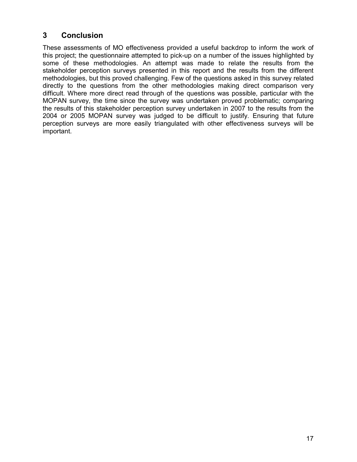### 3 Conclusion

These assessments of MO effectiveness provided a useful backdrop to inform the work of this project; the questionnaire attempted to pick-up on a number of the issues highlighted by some of these methodologies. An attempt was made to relate the results from the stakeholder perception surveys presented in this report and the results from the different methodologies, but this proved challenging. Few of the questions asked in this survey related directly to the questions from the other methodologies making direct comparison very difficult. Where more direct read through of the questions was possible, particular with the MOPAN survey, the time since the survey was undertaken proved problematic; comparing the results of this stakeholder perception survey undertaken in 2007 to the results from the 2004 or 2005 MOPAN survey was judged to be difficult to justify. Ensuring that future perception surveys are more easily triangulated with other effectiveness surveys will be important.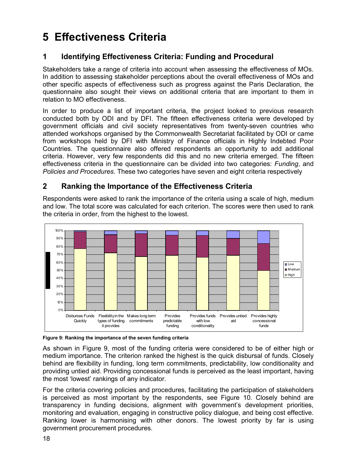## 5 Effectiveness Criteria

### 1 Identifying Effectiveness Criteria: Funding and Procedural

Stakeholders take a range of criteria into account when assessing the effectiveness of MOs. In addition to assessing stakeholder perceptions about the overall effectiveness of MOs and other specific aspects of effectiveness such as progress against the Paris Declaration, the questionnaire also sought their views on additional criteria that are important to them in relation to MO effectiveness.

In order to produce a list of important criteria, the project looked to previous research conducted both by ODI and by DFI. The fifteen effectiveness criteria were developed by government officials and civil society representatives from twenty-seven countries who attended workshops organised by the Commonwealth Secretariat facilitated by ODI or came from workshops held by DFI with Ministry of Finance officials in Highly Indebted Poor Countries. The questionnaire also offered respondents an opportunity to add additional criteria. However, very few respondents did this and no new criteria emerged. The fifteen effectiveness criteria in the questionnaire can be divided into two categories: Funding, and Policies and Procedures. These two categories have seven and eight criteria respectively

### 2 Ranking the Importance of the Effectiveness Criteria

Respondents were asked to rank the importance of the criteria using a scale of high, medium and low. The total score was calculated for each criterion. The scores were then used to rank the criteria in order, from the highest to the lowest.



Figure 9: Ranking the importance of the seven funding criteria

As shown in Figure 9, most of the funding criteria were considered to be of either high or medium importance. The criterion ranked the highest is the quick disbursal of funds. Closely behind are flexibility in funding, long term commitments, predictability, low conditionality and providing untied aid. Providing concessional funds is perceived as the least important, having the most 'lowest' rankings of any indicator.

For the criteria covering policies and procedures, facilitating the participation of stakeholders is perceived as most important by the respondents, see Figure 10. Closely behind are transparency in funding decisions, alignment with government's development priorities, monitoring and evaluation, engaging in constructive policy dialogue, and being cost effective. Ranking lower is harmonising with other donors. The lowest priority by far is using government procurement procedures.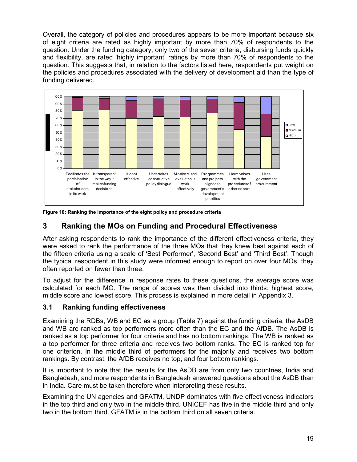Overall, the category of policies and procedures appears to be more important because six of eight criteria are rated as highly important by more than 70% of respondents to the question. Under the funding category, only two of the seven criteria, disbursing funds quickly and flexibility, are rated 'highly important' ratings by more than 70% of respondents to the question. This suggests that, in relation to the factors listed here, respondents put weight on the policies and procedures associated with the delivery of development aid than the type of funding delivered.



Figure 10: Ranking the importance of the eight policy and procedure criteria

### 3 Ranking the MOs on Funding and Procedural Effectiveness

After asking respondents to rank the importance of the different effectiveness criteria, they were asked to rank the performance of the three MOs that they knew best against each of the fifteen criteria using a scale of 'Best Performer', 'Second Best' and 'Third Best'. Though the typical respondent in this study were informed enough to report on over four MOs, they often reported on fewer than three.

To adjust for the difference in response rates to these questions, the average score was calculated for each MO. The range of scores was then divided into thirds: highest score, middle score and lowest score. This process is explained in more detail in Appendix 3.

#### 3.1 Ranking funding effectiveness

Examining the RDBs, WB and EC as a group (Table 7) against the funding criteria, the AsDB and WB are ranked as top performers more often than the EC and the AfDB. The AsDB is ranked as a top performer for four criteria and has no bottom rankings. The WB is ranked as a top performer for three criteria and receives two bottom ranks. The EC is ranked top for one criterion, in the middle third of performers for the majority and receives two bottom rankings. By contrast, the AfDB receives no top, and four bottom rankings.

It is important to note that the results for the AsDB are from only two countries, India and Bangladesh, and more respondents in Bangladesh answered questions about the AsDB than in India. Care must be taken therefore when interpreting these results.

Examining the UN agencies and GFATM, UNDP dominates with five effectiveness indicators in the top third and only two in the middle third. UNICEF has five in the middle third and only two in the bottom third. GFATM is in the bottom third on all seven criteria.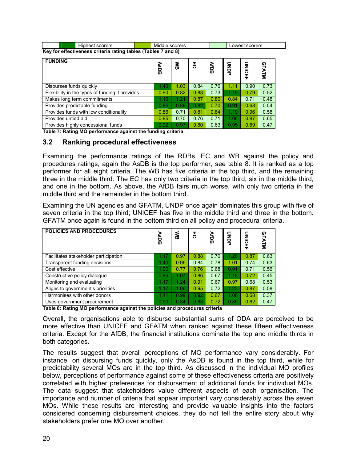| Highest scorers | Middle scorers                                                |  | Lowest scorers |  |  |  |
|-----------------|---------------------------------------------------------------|--|----------------|--|--|--|
|                 | Key for effectiveness criteria rating tables (Tables 7 and 8) |  |                |  |  |  |

| <b>FUNDING</b>                                  | <b>AsDB</b> | 옹    | 50   | <b>AFDB</b> | <b>ONDP</b> | <b>UNICEF</b> | <b>GFATM</b> |
|-------------------------------------------------|-------------|------|------|-------------|-------------|---------------|--------------|
| Disburses funds quickly                         | 1.40        | 1.03 | 0.84 | 0.76        | 1.11        | 0.90          | 0.73         |
| Flexibility in the types of funding it provides | 0.90        | 0.82 | 0.83 | 0.73        | 1.19        | 0.79          | 0.52         |
| Makes long term commitments                     | 1.10        | 1.21 | 0.87 | 0.80        | 0.84        | 0.71          | 0.48         |
| Provides predictable funding                    | 0.86        | 0.89 | 0.82 | 0.70        | 0.91        | 0.68          | 0.54         |
| Provides funds with low conditionality          | 0.86        | 0.71 | 0.81 | 0.84        | 1.19        | 0.96          | 0.58         |
| Provides untied aid                             | 0.85        | 0.70 | 0.76 | 0.71        | 1.06        | 0.87          | 0.65         |
| Provides highly concessional funds              | 0.92        | 0.97 | 0.80 | 0.63        | 0.95        | 0.69          | 0.47         |

Table 7: Rating MO performance against the funding criteria

#### 3.2 Ranking procedural effectiveness

Examining the performance ratings of the RDBs, EC and WB against the policy and procedures ratings, again the AsDB is the top performer, see table 8. It is ranked as a top performer for all eight criteria. The WB has five criteria in the top third, and the remaining three in the middle third. The EC has only two criteria in the top third, six in the middle third, and one in the bottom. As above, the AfDB fairs much worse, with only two criteria in the middle third and the remainder in the bottom third.

Examining the UN agencies and GFATM, UNDP once again dominates this group with five of seven criteria in the top third; UNICEF has five in the middle third and three in the bottom. GFATM once again is found in the bottom third on all policy and procedural criteria.

| <b>POLICIES AND PROCEDURES</b>        | ⋗<br>SDB   | る    | 5    | <b>AfDB</b> | <b>SPA</b> | <b>UNICEF</b> | ໑<br>m<br>⋗<br>Ë |
|---------------------------------------|------------|------|------|-------------|------------|---------------|------------------|
| Facilitates stakeholder participation |            | 0.97 | 0.88 | 0.70        | 1.20       | 0.87          | 0.63             |
| Transparent funding decisions         | 1.40       | 0.96 | 0.84 | 0.78        | 1.01       | 0.74          | 0.63             |
| Cost effective                        | 1.00       | 0.77 | 0.76 | 0.68        | 0.91       | 0.71          | 0.56             |
| Constructive policy dialogue          | 0.96       | 1.07 | 0.86 | 0.67        | 18         | 0.72          | 0.45             |
| Monitoring and evaluating             | <b>THE</b> | 1.24 | 0.91 | 0.67        | 0.97       | 0.68          | 0.53             |
| Aligns to government's priorities     | 1.17       | 1.06 | 0.95 | 0.72        | 1.23       | 0.87          | 0.58             |
| Harmonises with other donors          | 1.11       | 0.99 | 0.92 | 0.67        | 1.06       | 0.68          | 0.37             |
| Uses government procurement           | 0.90       | 0.84 | 0.83 | 0.72        | 0.89       | 0.62          | 0.47             |

Table 8: Rating MO performance against the policies and procedures criteria

Overall, the organisations able to disburse substantial sums of ODA are perceived to be more effective than UNICEF and GFATM when ranked against these fifteen effectiveness criteria. Except for the AfDB, the financial institutions dominate the top and middle thirds in both categories.

The results suggest that overall perceptions of MO performance vary considerably. For instance, on disbursing funds quickly, only the AsDB is found in the top third, while for predictability several MOs are in the top third. As discussed in the individual MO profiles below, perceptions of performance against some of these effectiveness criteria are positively correlated with higher preferences for disbursement of additional funds for individual MOs. The data suggest that stakeholders value different aspects of each organisation. The importance and number of criteria that appear important vary considerably across the seven MOs. While these results are interesting and provide valuable insights into the factors considered concerning disbursement choices, they do not tell the entire story about why stakeholders prefer one MO over another.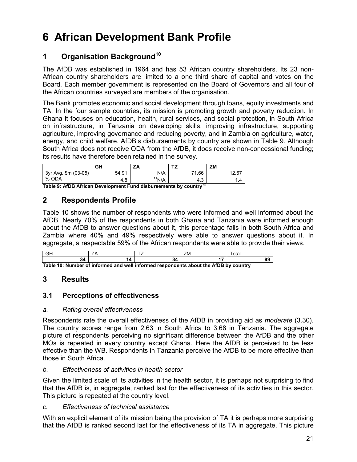# 6 African Development Bank Profile

### 1 Organisation Background<sup>10</sup>

The AfDB was established in 1964 and has 53 African country shareholders. Its 23 non-African country shareholders are limited to a one third share of capital and votes on the Board. Each member government is represented on the Board of Governors and all four of the African countries surveyed are members of the organisation.

The Bank promotes economic and social development through loans, equity investments and TA. In the four sample countries, its mission is promoting growth and poverty reduction. In Ghana it focuses on education, health, rural services, and social protection, in South Africa on infrastructure, in Tanzania on developing skills, improving infrastructure, supporting agriculture, improving governance and reducing poverty, and in Zambia on agriculture, water, energy, and child welfare. AfDB's disbursements by country are shown in Table 9. Although South Africa does not receive ODA from the AfDB, it does receive non-concessional funding; its results have therefore been retained in the survey.

|                                        | GΗ    | ZA         | --            | <b>ZM</b>      |
|----------------------------------------|-------|------------|---------------|----------------|
| $(03-05)$<br>$\mathsf{Sm}$<br>3vr Ava. | 54.91 | N/A        | 71.66         | 12.67<br>I∠.O. |
| %<br><b>ODA</b>                        | 4.8   | 44<br>'N/A | $\sim$<br>4.3 | 4. ا           |

Table 9: AfDB African Development Fund disbursements by country<sup>12</sup>

### 2 Respondents Profile

Table 10 shows the number of respondents who were informed and well informed about the AfDB. Nearly 70% of the respondents in both Ghana and Tanzania were informed enough about the AfDB to answer questions about it, this percentage falls in both South Africa and Zambia where 40% and 49% respectively were able to answer questions about it. In aggregate, a respectable 59% of the African respondents were able to provide their views.

|  | __ | -<br>'N |  |
|--|----|---------|--|
|  |    |         |  |

Table 10: Number of informed and well informed respondents about the AfDB by country

### 3 Results

#### 3.1 Perceptions of effectiveness

#### a. Rating overall effectiveness

Respondents rate the overall effectiveness of the AfDB in providing aid as *moderate* (3.30). The country scores range from 2.63 in South Africa to 3.68 in Tanzania. The aggregate picture of respondents perceiving no significant difference between the AfDB and the other MOs is repeated in every country except Ghana. Here the AfDB is perceived to be less effective than the WB. Respondents in Tanzania perceive the AfDB to be more effective than those in South Africa.

#### b. Effectiveness of activities in health sector

Given the limited scale of its activities in the health sector, it is perhaps not surprising to find that the AfDB is, in aggregate, ranked last for the effectiveness of its activities in this sector. This picture is repeated at the country level.

#### c. Effectiveness of technical assistance

With an explicit element of its mission being the provision of TA it is perhaps more surprising that the AfDB is ranked second last for the effectiveness of its TA in aggregate. This picture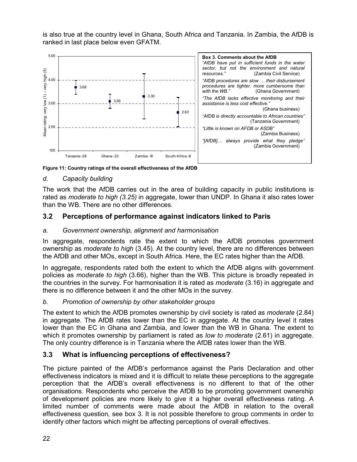is also true at the country level in Ghana, South Africa and Tanzania. In Zambia, the AfDB is ranked in last place below even GFATM.



Figure 11: Country ratings of the overall effectiveness of the AfDB

#### d. Capacity building

The work that the AfDB carries out in the area of building capacity in public institutions is rated as *moderate to high (3.25)* in aggregate, lower than UNDP. In Ghana it also rates lower than the WB. There are no other differences.

#### 3.2 Perceptions of performance against indicators linked to Paris

#### a. Government ownership, alignment and harmonisation

In aggregate, respondents rate the extent to which the AfDB promotes government ownership as *moderate to high* (3.45). At the country level, there are no differences between the AfDB and other MOs, except in South Africa. Here, the EC rates higher than the AfDB.

In aggregate, respondents rated both the extent to which the AfDB aligns with government policies as moderate to high (3.66), higher than the WB. This picture is broadly repeated in the countries in the survey. For harmonisation it is rated as *moderate* (3.16) in aggregate and there is no difference between it and the other MOs in the survey.

#### b. Promotion of ownership by other stakeholder groups

The extent to which the AfDB promotes ownership by civil society is rated as *moderate* (2.84) in aggregate. The AfDB rates lower than the EC in aggregate. At the country level it rates lower than the EC in Ghana and Zambia, and lower than the WB in Ghana. The extent to which it promotes ownership by parliament is rated as low to moderate (2.61) in aggregate. The only country difference is in Tanzania where the AfDB rates lower than the WB.

#### 3.3 What is influencing perceptions of effectiveness?

The picture painted of the AfDB's performance against the Paris Declaration and other effectiveness indicators is mixed and it is difficult to relate these perceptions to the aggregate perception that the AfDB's overall effectiveness is no different to that of the other organisations. Respondents who perceive the AfDB to be promoting government ownership of development policies are more likely to give it a higher overall effectiveness rating. A limited number of comments were made about the AfDB in relation to the overall effectiveness question, see box 3. It is not possible therefore to group comments in order to identify other factors which might be affecting perceptions of overall effectives.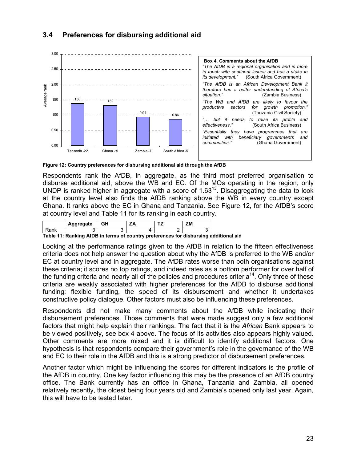

### 3.4 Preferences for disbursing additional aid

Figure 12: Country preferences for disbursing additional aid through the AfDB

Respondents rank the AfDB, in aggregate, as the third most preferred organisation to disburse additional aid, above the WB and EC. Of the MOs operating in the region, only UNDP is ranked higher in aggregate with a score of  $1.63<sup>13</sup>$ . Disaggregating the data to look at the country level also finds the AfDB ranking above the WB in every country except Ghana. It ranks above the EC in Ghana and Tanzania. See Figure 12, for the AfDB's score at country level and Table 11 for its ranking in each country.

|  | aareaate | . |  | ---<br>- M |
|--|----------|---|--|------------|
|  |          |   |  |            |

Table 11: Ranking AfDB in terms of country preferences for disbursing additional aid

Looking at the performance ratings given to the AfDB in relation to the fifteen effectiveness criteria does not help answer the question about why the AfDB is preferred to the WB and/or EC at country level and in aggregate. The AfDB rates worse than both organisations against these criteria; it scores no top ratings, and indeed rates as a bottom performer for over half of the funding criteria and nearly all of the policies and procedures criteria<sup>14</sup>. Only three of these criteria are weakly associated with higher preferences for the AfDB to disburse additional funding: flexible funding, the speed of its disbursement and whether it undertakes constructive policy dialogue. Other factors must also be influencing these preferences.

Respondents did not make many comments about the AfDB while indicating their disbursement preferences. Those comments that were made suggest only a few additional factors that might help explain their rankings. The fact that it is the African Bank appears to be viewed positively, see box 4 above. The focus of its activities also appears highly valued. Other comments are more mixed and it is difficult to identify additional factors. One hypothesis is that respondents compare their government's role in the governance of the WB and EC to their role in the AfDB and this is a strong predictor of disbursement preferences.

Another factor which might be influencing the scores for different indicators is the profile of the AfDB in country. One key factor influencing this may be the presence of an AfDB country office. The Bank currently has an office in Ghana, Tanzania and Zambia, all opened relatively recently, the oldest being four years old and Zambia's opened only last year. Again, this will have to be tested later.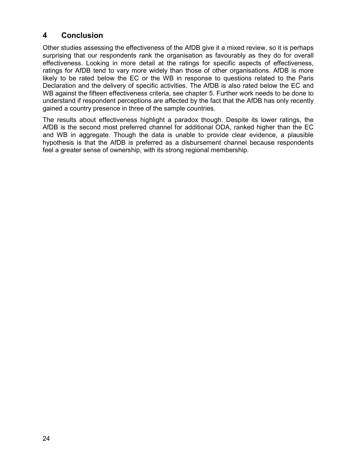### 4 Conclusion

Other studies assessing the effectiveness of the AfDB give it a mixed review, so it is perhaps surprising that our respondents rank the organisation as favourably as they do for overall effectiveness. Looking in more detail at the ratings for specific aspects of effectiveness, ratings for AfDB tend to vary more widely than those of other organisations. AfDB is more likely to be rated below the EC or the WB in response to questions related to the Paris Declaration and the delivery of specific activities. The AfDB is also rated below the EC and WB against the fifteen effectiveness criteria, see chapter 5. Further work needs to be done to understand if respondent perceptions are affected by the fact that the AfDB has only recently gained a country presence in three of the sample countries.

The results about effectiveness highlight a paradox though. Despite its lower ratings, the AfDB is the second most preferred channel for additional ODA, ranked higher than the EC and WB in aggregate. Though the data is unable to provide clear evidence, a plausible hypothesis is that the AfDB is preferred as a disbursement channel because respondents feel a greater sense of ownership, with its strong regional membership.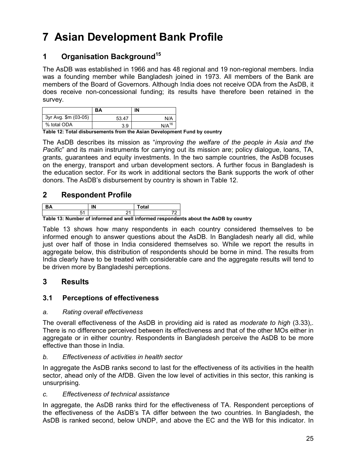# 7 Asian Development Bank Profile

### 1 Organisation Background<sup>15</sup>

The AsDB was established in 1966 and has 48 regional and 19 non-regional members. India was a founding member while Bangladesh joined in 1973. All members of the Bank are members of the Board of Governors. Although India does not receive ODA from the AsDB, it does receive non-concessional funding; its results have therefore been retained in the survey.

|                      | BA    | IN         |
|----------------------|-------|------------|
| 3yr Avg. \$m (03-05) | 53.47 | N/A        |
| % total ODA          | 3.9   | $N/A^{16}$ |

Table 12: Total disbursements from the Asian Development Fund by country

The AsDB describes its mission as "*improving the welfare of the people in Asia and the* Pacific" and its main instruments for carrying out its mission are; policy dialogue, loans, TA, grants, guarantees and equity investments. In the two sample countries, the AsDB focuses on the energy, transport and urban development sectors. A further focus in Bangladesh is the education sector. For its work in additional sectors the Bank supports the work of other donors. The AsDB's disbursement by country is shown in Table 12.

### 2 Respondent Profile

| Takla 49: Number of informational and unlimitational resonantian |  |  |  |  |
|------------------------------------------------------------------|--|--|--|--|

Table 13: Number of informed and well informed respondents about the AsDB by country

Table 13 shows how many respondents in each country considered themselves to be informed enough to answer questions about the AsDB. In Bangladesh nearly all did, while just over half of those in India considered themselves so. While we report the results in aggregate below, this distribution of respondents should be borne in mind. The results from India clearly have to be treated with considerable care and the aggregate results will tend to be driven more by Bangladeshi perceptions.

### 3 Results

#### 3.1 Perceptions of effectiveness

#### a. Rating overall effectiveness

The overall effectiveness of the AsDB in providing aid is rated as *moderate to high* (3.33),. There is no difference perceived between its effectiveness and that of the other MOs either in aggregate or in either country. Respondents in Bangladesh perceive the AsDB to be more effective than those in India.

#### b. Effectiveness of activities in health sector

In aggregate the AsDB ranks second to last for the effectiveness of its activities in the health sector, ahead only of the AfDB. Given the low level of activities in this sector, this ranking is unsurprising.

#### c. Effectiveness of technical assistance

In aggregate, the AsDB ranks third for the effectiveness of TA. Respondent perceptions of the effectiveness of the AsDB's TA differ between the two countries. In Bangladesh, the AsDB is ranked second, below UNDP, and above the EC and the WB for this indicator. In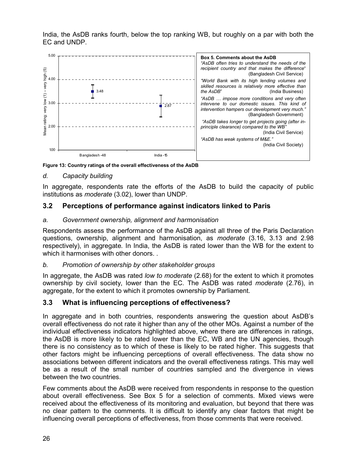India, the AsDB ranks fourth, below the top ranking WB, but roughly on a par with both the EC and UNDP.



Figure 13: Country ratings of the overall effectiveness of the AsDB

#### d. Capacity building

In aggregate, respondents rate the efforts of the AsDB to build the capacity of public institutions as moderate (3.02), lower than UNDP.

#### 3.2 Perceptions of performance against indicators linked to Paris

#### a. Government ownership, alignment and harmonisation

Respondents assess the performance of the AsDB against all three of the Paris Declaration questions, ownership, alignment and harmonisation, as *moderate* (3.16, 3.13 and 2.98 respectively), in aggregate. In India, the AsDB is rated lower than the WB for the extent to which it harmonises with other donors. .

#### b. Promotion of ownership by other stakeholder groups

In aggregate, the AsDB was rated low to moderate (2.68) for the extent to which it promotes ownership by civil society, lower than the EC. The AsDB was rated *moderate* (2.76), in aggregate, for the extent to which it promotes ownership by Parliament.

#### 3.3 What is influencing perceptions of effectiveness?

In aggregate and in both countries, respondents answering the question about AsDB's overall effectiveness do not rate it higher than any of the other MOs. Against a number of the individual effectiveness indicators highlighted above, where there are differences in ratings, the AsDB is more likely to be rated lower than the EC, WB and the UN agencies, though there is no consistency as to which of these is likely to be rated higher. This suggests that other factors might be influencing perceptions of overall effectiveness. The data show no associations between different indicators and the overall effectiveness ratings. This may well be as a result of the small number of countries sampled and the divergence in views between the two countries.

Few comments about the AsDB were received from respondents in response to the question about overall effectiveness. See Box 5 for a selection of comments. Mixed views were received about the effectiveness of its monitoring and evaluation, but beyond that there was no clear pattern to the comments. It is difficult to identify any clear factors that might be influencing overall perceptions of effectiveness, from those comments that were received.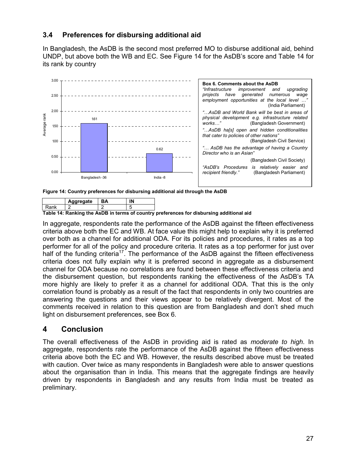#### 3.4 Preferences for disbursing additional aid

In Bangladesh, the AsDB is the second most preferred MO to disburse additional aid, behind UNDP, but above both the WB and EC. See Figure 14 for the AsDB's score and Table 14 for its rank by country



Figure 14: Country preferences for disbursing additional aid through the AsDB

|                                | aareaate |  |  |  |
|--------------------------------|----------|--|--|--|
|                                |          |  |  |  |
| . .<br>.<br>. . <b>. . .</b> . |          |  |  |  |

Table 14: Ranking the AsDB in terms of country preferences for disbursing additional aid

In aggregate, respondents rate the performance of the AsDB against the fifteen effectiveness criteria above both the EC and WB. At face value this might help to explain why it is preferred over both as a channel for additional ODA. For its policies and procedures, it rates as a top performer for all of the policy and procedure criteria. It rates as a top performer for just over half of the funding criteria<sup>17</sup>. The performance of the AsDB against the fifteen effectiveness criteria does not fully explain why it is preferred second in aggregate as a disbursement channel for ODA because no correlations are found between these effectiveness criteria and the disbursement question, but respondents ranking the effectiveness of the AsDB's TA more highly are likely to prefer it as a channel for additional ODA. That this is the only correlation found is probably as a result of the fact that respondents in only two countries are answering the questions and their views appear to be relatively divergent. Most of the comments received in relation to this question are from Bangladesh and don't shed much light on disbursement preferences, see Box 6.

#### 4 Conclusion

The overall effectiveness of the AsDB in providing aid is rated as *moderate to high*. In aggregate, respondents rate the performance of the AsDB against the fifteen effectiveness criteria above both the EC and WB. However, the results described above must be treated with caution. Over twice as many respondents in Bangladesh were able to answer questions about the organisation than in India. This means that the aggregate findings are heavily driven by respondents in Bangladesh and any results from India must be treated as preliminary.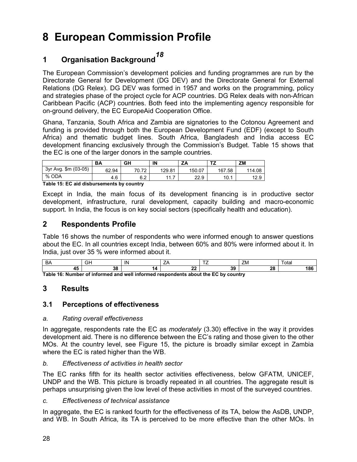### 8 European Commission Profile

# 1 Organisation Background<sup>18</sup>

The European Commission's development policies and funding programmes are run by the Directorate General for Development (DG DEV) and the Directorate General for External Relations (DG Relex). DG DEV was formed in 1957 and works on the programming, policy and strategies phase of the project cycle for ACP countries. DG Relex deals with non-African Caribbean Pacific (ACP) countries. Both feed into the implementing agency responsible for on-ground delivery, the EC EuropeAid Cooperation Office.

Ghana, Tanzania, South Africa and Zambia are signatories to the Cotonou Agreement and funding is provided through both the European Development Fund (EDF) (except to South Africa) and thematic budget lines. South Africa, Bangladesh and India access EC development financing exclusively through the Commission's Budget. Table 15 shows that the EC is one of the larger donors in the sample countries.

| $$m (03-05)$<br>3yr Avg.<br>62.94<br>70<br>167<br>70.<br>129.81<br>150.07<br>.58<br>∼ | ΖM     |
|---------------------------------------------------------------------------------------|--------|
|                                                                                       | 114.08 |
| % ODA<br>6.2<br>22.9<br>10.1<br>4.6<br>44<br>.                                        | 12.9   |

Table 15: EC aid disbursements by country

Except in India, the main focus of its development financing is in productive sector development, infrastructure, rural development, capacity building and macro-economic support. In India, the focus is on key social sectors (specifically health and education).

### 2 Respondents Profile

Table 16 shows the number of respondents who were informed enough to answer questions about the EC. In all countries except India, between 60% and 80% were informed about it. In India, just over 35 % were informed about it.

| יש |     |          | $- -$   | ZM.     | otal |
|----|-----|----------|---------|---------|------|
|    | י - | ~~<br>-- | 20<br>v | n.<br>∼ | 1ŏ.  |

Table 16: Number of informed and well informed respondents about the EC by country

### 3 Results

### 3.1 Perceptions of effectiveness

#### a. Rating overall effectiveness

In aggregate, respondents rate the EC as *moderately*  $(3.30)$  effective in the way it provides development aid. There is no difference between the EC's rating and those given to the other MOs. At the country level, see Figure 15, the picture is broadly similar except in Zambia where the EC is rated higher than the WB.

#### b. Effectiveness of activities in health sector

The EC ranks fifth for its health sector activities effectiveness, below GFATM, UNICEF, UNDP and the WB. This picture is broadly repeated in all countries. The aggregate result is perhaps unsurprising given the low level of these activities in most of the surveyed countries.

c. Effectiveness of technical assistance

In aggregate, the EC is ranked fourth for the effectiveness of its TA, below the AsDB, UNDP, and WB. In South Africa, its TA is perceived to be more effective than the other MOs. In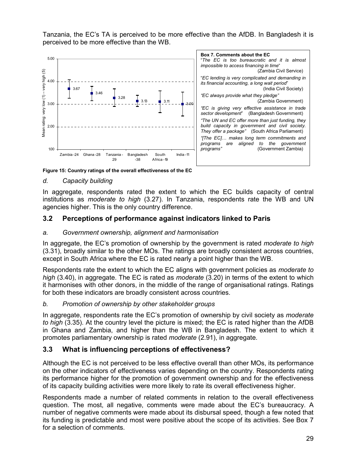Tanzania, the EC's TA is perceived to be more effective than the AfDB. In Bangladesh it is perceived to be more effective than the WB.



Figure 15: Country ratings of the overall effectiveness of the EC

#### d. Capacity building

In aggregate, respondents rated the extent to which the EC builds capacity of central institutions as *moderate to high* (3.27). In Tanzania, respondents rate the WB and UN agencies higher. This is the only country difference.

### 3.2 Perceptions of performance against indicators linked to Paris

#### a. Government ownership, alignment and harmonisation

In aggregate, the EC's promotion of ownership by the government is rated *moderate to high* (3.31), broadly similar to the other MOs. The ratings are broadly consistent across countries, except in South Africa where the EC is rated nearly a point higher than the WB.

Respondents rate the extent to which the EC aligns with government policies as *moderate to* high (3.40), in aggregate. The EC is rated as *moderate* (3.20) in terms of the extent to which it harmonises with other donors, in the middle of the range of organisational ratings. Ratings for both these indicators are broadly consistent across countries.

#### b. Promotion of ownership by other stakeholder groups

In aggregate, respondents rate the EC's promotion of ownership by civil society as *moderate* to high (3.35). At the country level the picture is mixed; the EC is rated higher than the AfDB in Ghana and Zambia, and higher than the WB in Bangladesh. The extent to which it promotes parliamentary ownership is rated *moderate* (2.91), in aggregate.

#### 3.3 What is influencing perceptions of effectiveness?

Although the EC is not perceived to be less effective overall than other MOs, its performance on the other indicators of effectiveness varies depending on the country. Respondents rating its performance higher for the promotion of government ownership and for the effectiveness of its capacity building activities were more likely to rate its overall effectiveness higher.

Respondents made a number of related comments in relation to the overall effectiveness question. The most, all negative, comments were made about the EC's bureaucracy. A number of negative comments were made about its disbursal speed, though a few noted that its funding is predictable and most were positive about the scope of its activities. See Box 7 for a selection of comments.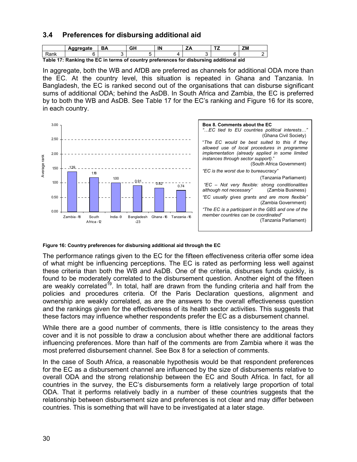### 3.4 Preferences for disbursing additional aid

|      | 'areaate | ΒА | IN | -- | -- | ZM |
|------|----------|----|----|----|----|----|
| Rank |          |    |    |    |    |    |

Table 17: Ranking the EC in terms of country preferences for disbursing additional aid

In aggregate, both the WB and AfDB are preferred as channels for additional ODA more than the EC. At the country level, this situation is repeated in Ghana and Tanzania. In Bangladesh, the EC is ranked second out of the organisations that can disburse significant sums of additional ODA; behind the AsDB. In South Africa and Zambia, the EC is preferred by to both the WB and AsDB. See Table 17 for the EC's ranking and Figure 16 for its score, in each country.



#### Figure 16: Country preferences for disbursing additional aid through the EC

The performance ratings given to the EC for the fifteen effectiveness criteria offer some idea of what might be influencing perceptions. The EC is rated as performing less well against these criteria than both the WB and AsDB. One of the criteria, disburses funds quickly, is found to be moderately correlated to the disbursement question. Another eight of the fifteen are weakly correlated<sup>19</sup>. In total, half are drawn from the funding criteria and half from the policies and procedures criteria. Of the Paris Declaration questions, alignment and ownership are weakly correlated, as are the answers to the overall effectiveness question and the rankings given for the effectiveness of its health sector activities. This suggests that these factors may influence whether respondents prefer the EC as a disbursement channel.

While there are a good number of comments, there is little consistency to the areas they cover and it is not possible to draw a conclusion about whether there are additional factors influencing preferences. More than half of the comments are from Zambia where it was the most preferred disbursement channel. See Box 8 for a selection of comments.

In the case of South Africa, a reasonable hypothesis would be that respondent preferences for the EC as a disbursement channel are influenced by the size of disbursements relative to overall ODA and the strong relationship between the EC and South Africa. In fact, for all countries in the survey, the EC's disbursements form a relatively large proportion of total ODA. That it performs relatively badly in a number of these countries suggests that the relationship between disbursement size and preferences is not clear and may differ between countries. This is something that will have to be investigated at a later stage.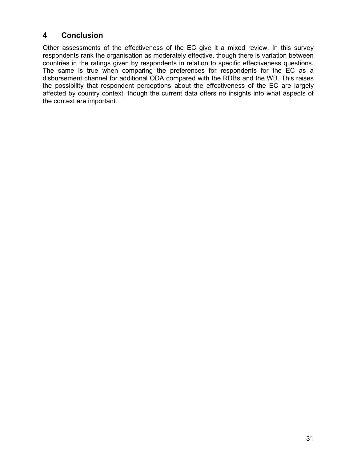# 4 Conclusion

Other assessments of the effectiveness of the EC give it a mixed review. In this survey respondents rank the organisation as moderately effective, though there is variation between countries in the ratings given by respondents in relation to specific effectiveness questions. The same is true when comparing the preferences for respondents for the EC as a disbursement channel for additional ODA compared with the RDBs and the WB. This raises the possibility that respondent perceptions about the effectiveness of the EC are largely affected by country context, though the current data offers no insights into what aspects of the context are important.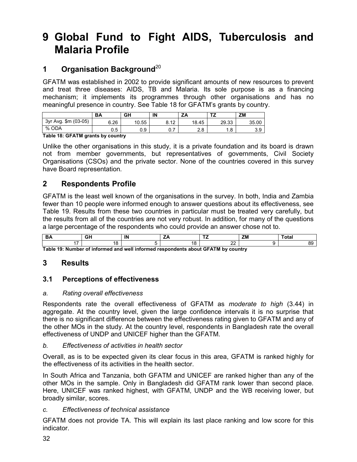# 9 Global Fund to Fight AIDS, Tuberculosis and Malaria Profile

# 1 Organisation Background<sup>20</sup>

GFATM was established in 2002 to provide significant amounts of new resources to prevent and treat three diseases: AIDS, TB and Malaria. Its sole purpose is as a financing mechanism; it implements its programmes through other organisations and has no meaningful presence in country. See Table 18 for GFATM's grants by country.

|                         | <b>BA</b> | GΗ    | IN                      | – 1<br>ŽΆ  | --              | ΖM    |
|-------------------------|-----------|-------|-------------------------|------------|-----------------|-------|
| \$m (03-05)<br>3yr Avg. | 6.26      | 10.55 | $\Lambda$<br>ົ<br>0. IZ | 18.45      | 29.33           | 35.00 |
| % ODA                   | 0.5       | 0.9   | υ. Ι                    | റ റ<br>۵.۵ | $\circ$<br>ن. ا | 3.9   |

Table 18: GFATM grants by country

Unlike the other organisations in this study, it is a private foundation and its board is drawn not from member governments, but representatives of governments, Civil Society Organisations (CSOs) and the private sector. None of the countries covered in this survey have Board representation.

## 2 Respondents Profile

GFATM is the least well known of the organisations in the survey. In both, India and Zambia fewer than 10 people were informed enough to answer questions about its effectiveness, see Table 19. Results from these two countries in particular must be treated very carefully, but the results from all of the countries are not very robust. In addition, for many of the questions a large percentage of the respondents who could provide an answer chose not to.

|                                                                                   | $-1$ |  |           | ZM | 'ota |
|-----------------------------------------------------------------------------------|------|--|-----------|----|------|
|                                                                                   |      |  | r r<br>-- |    |      |
| Table 19: Number of informed and well informed respondents about GFATM by country |      |  |           |    |      |

Number of informed and well informed respondents about GF*I* 

# 3 Results

## 3.1 Perceptions of effectiveness

#### a. Rating overall effectiveness

Respondents rate the overall effectiveness of GFATM as moderate to high (3.44) in aggregate. At the country level, given the large confidence intervals it is no surprise that there is no significant difference between the effectiveness rating given to GFATM and any of the other MOs in the study. At the country level, respondents in Bangladesh rate the overall effectiveness of UNDP and UNICEF higher than the GFATM.

#### b. Effectiveness of activities in health sector

Overall, as is to be expected given its clear focus in this area, GFATM is ranked highly for the effectiveness of its activities in the health sector.

In South Africa and Tanzania, both GFATM and UNICEF are ranked higher than any of the other MOs in the sample. Only in Bangladesh did GFATM rank lower than second place. Here, UNICEF was ranked highest, with GFATM, UNDP and the WB receiving lower, but broadly similar, scores.

#### c. Effectiveness of technical assistance

GFATM does not provide TA. This will explain its last place ranking and low score for this indicator.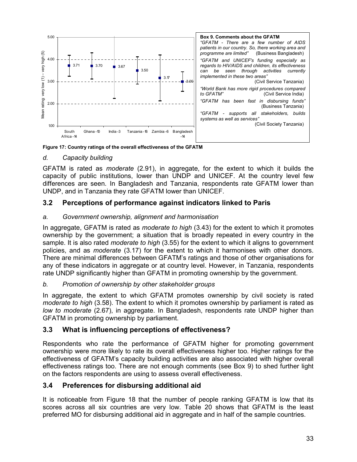

Figure 17: Country ratings of the overall effectiveness of the GFATM

### d. Capacity building

GFATM is rated as *moderate* (2.91), in aggregate, for the extent to which it builds the capacity of public institutions, lower than UNDP and UNICEF. At the country level few differences are seen. In Bangladesh and Tanzania, respondents rate GFATM lower than UNDP, and in Tanzania they rate GFATM lower than UNICEF.

## 3.2 Perceptions of performance against indicators linked to Paris

#### a. Government ownership, alignment and harmonisation

In aggregate, GFATM is rated as *moderate to high* (3.43) for the extent to which it promotes ownership by the government; a situation that is broadly repeated in every country in the sample. It is also rated *moderate to high* (3.55) for the extent to which it aligns to government policies, and as moderate (3.17) for the extent to which it harmonises with other donors. There are minimal differences between GFATM's ratings and those of other organisations for any of these indicators in aggregate or at country level. However, in Tanzania, respondents rate UNDP significantly higher than GFATM in promoting ownership by the government.

#### b. Promotion of ownership by other stakeholder groups

In aggregate, the extent to which GFATM promotes ownership by civil society is rated moderate to high (3.58). The extent to which it promotes ownership by parliament is rated as low to moderate (2.67), in aggregate. In Bangladesh, respondents rate UNDP higher than GFATM in promoting ownership by parliament.

## 3.3 What is influencing perceptions of effectiveness?

Respondents who rate the performance of GFATM higher for promoting government ownership were more likely to rate its overall effectiveness higher too. Higher ratings for the effectiveness of GFATM's capacity building activities are also associated with higher overall effectiveness ratings too. There are not enough comments (see Box 9) to shed further light on the factors respondents are using to assess overall effectiveness.

## 3.4 Preferences for disbursing additional aid

It is noticeable from Figure 18 that the number of people ranking GFATM is low that its scores across all six countries are very low. Table 20 shows that GFATM is the least preferred MO for disbursing additional aid in aggregate and in half of the sample countries.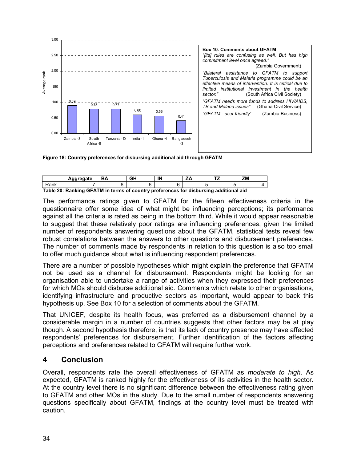

Figure 18: Country preferences for disbursing additional aid through GFATM

|      | Aggregate                                                                             | ΒA | GΗ | ΙN | т, | ΖM |
|------|---------------------------------------------------------------------------------------|----|----|----|----|----|
| Rank |                                                                                       |    |    |    |    |    |
|      | Table 20: Ranking GFATM in terms of country preferences for disbursing additional aid |    |    |    |    |    |

The performance ratings given to GFATM for the fifteen effectiveness criteria in the questionnaire offer some idea of what might be influencing perceptions; its performance against all the criteria is rated as being in the bottom third. While it would appear reasonable to suggest that these relatively poor ratings are influencing preferences, given the limited number of respondents answering questions about the GFATM, statistical tests reveal few robust correlations between the answers to other questions and disbursement preferences. The number of comments made by respondents in relation to this question is also too small to offer much guidance about what is influencing respondent preferences.

There are a number of possible hypotheses which might explain the preference that GFATM not be used as a channel for disbursement. Respondents might be looking for an organisation able to undertake a range of activities when they expressed their preferences for which MOs should disburse additional aid. Comments which relate to other organisations, identifying infrastructure and productive sectors as important, would appear to back this hypothesis up. See Box 10 for a selection of comments about the GFATM.

That UNICEF, despite its health focus, was preferred as a disbursement channel by a considerable margin in a number of countries suggests that other factors may be at play though. A second hypothesis therefore, is that its lack of country presence may have affected respondents' preferences for disbursement. Further identification of the factors affecting perceptions and preferences related to GFATM will require further work.

## 4 Conclusion

Overall, respondents rate the overall effectiveness of GFATM as moderate to high. As expected, GFATM is ranked highly for the effectiveness of its activities in the health sector. At the country level there is no significant difference between the effectiveness rating given to GFATM and other MOs in the study. Due to the small number of respondents answering questions specifically about GFATM, findings at the country level must be treated with caution.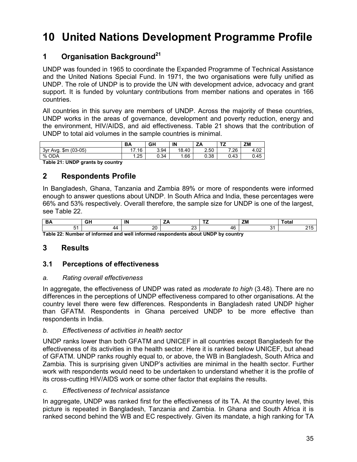# 10 United Nations Development Programme Profile

# 1 Organisation Background<sup>21</sup>

UNDP was founded in 1965 to coordinate the Expanded Programme of Technical Assistance and the United Nations Special Fund. In 1971, the two organisations were fully unified as UNDP. The role of UNDP is to provide the UN with development advice, advocacy and grant support. It is funded by voluntary contributions from member nations and operates in 166 countries.

All countries in this survey are members of UNDP. Across the majority of these countries, UNDP works in the areas of governance, development and poverty reduction, energy and the environment, HIV/AIDS, and aid effectiveness. Table 21 shows that the contribution of UNDP to total aid volumes in the sample countries is minimal.

|                                 | <b>BA</b> | GH   | IN    | ZA             | т7<br>ıZ. | ΖM                |
|---------------------------------|-----------|------|-------|----------------|-----------|-------------------|
| $(03-05)$<br>3vr<br>\$m<br>Ava. | 17<br>.16 | 3.94 | 18.40 | 2.50<br>$\sim$ | 7.26      | 4.02<br>$\Lambda$ |
| %<br>ODA                        | 1.25      | 0.34 | . 66  | 0.38           | .43<br>C  | 0.45              |

Table 21: UNDP grants by country

# 2 Respondents Profile

In Bangladesh, Ghana, Tanzania and Zambia 89% or more of respondents were informed enough to answer questions about UNDP. In South Africa and India, these percentages were 66% and 53% respectively. Overall therefore, the sample size for UNDP is one of the largest, see Table 22.

| nn<br>- - |  |   | $-$ | 7.8 |  |
|-----------|--|---|-----|-----|--|
|           |  | ∼ |     |     |  |

Table 22: Number of informed and well informed respondents about UNDP by country

# 3 Results

## 3.1 Perceptions of effectiveness

#### a. Rating overall effectiveness

In aggregate, the effectiveness of UNDP was rated as *moderate to high* (3.48). There are no differences in the perceptions of UNDP effectiveness compared to other organisations. At the country level there were few differences. Respondents in Bangladesh rated UNDP higher than GFATM. Respondents in Ghana perceived UNDP to be more effective than respondents in India.

#### b. Effectiveness of activities in health sector

UNDP ranks lower than both GFATM and UNICEF in all countries except Bangladesh for the effectiveness of its activities in the health sector. Here it is ranked below UNICEF, but ahead of GFATM. UNDP ranks roughly equal to, or above, the WB in Bangladesh, South Africa and Zambia. This is surprising given UNDP's activities are minimal in the health sector. Further work with respondents would need to be undertaken to understand whether it is the profile of its cross-cutting HIV/AIDS work or some other factor that explains the results.

#### c. Effectiveness of technical assistance

In aggregate, UNDP was ranked first for the effectiveness of its TA. At the country level, this picture is repeated in Bangladesh, Tanzania and Zambia. In Ghana and South Africa it is ranked second behind the WB and EC respectively. Given its mandate, a high ranking for TA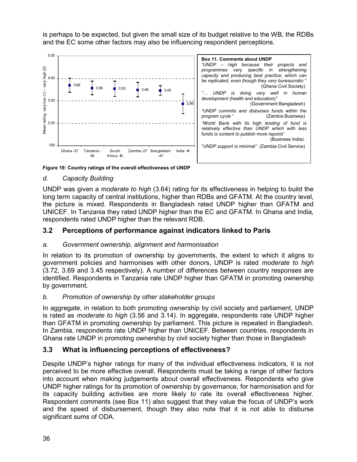is perhaps to be expected, but given the small size of its budget relative to the WB, the RDBs and the EC some other factors may also be influencing respondent perceptions.



Figure 19: Country ratings of the overall effectiveness of UNDP

### d. Capacity Building

UNDP was given a *moderate to high* (3.64) rating for its effectiveness in helping to build the long term capacity of central institutions, higher than RDBs and GFATM. At the country level, the picture is mixed. Respondents in Bangladesh rated UNDP higher than GFATM and UNICEF. In Tanzania they rated UNDP higher than the EC and GFATM. In Ghana and India, respondents rated UNDP higher than the relevant RDB.

### 3.2 Perceptions of performance against indicators linked to Paris

#### a. Government ownership, alignment and harmonisation

In relation to its promotion of ownership by governments, the extent to which it aligns to government policies and harmonises with other donors, UNDP is rated moderate to high (3.72, 3.69 and 3.45 respectively). A number of differences between country responses are identified. Respondents in Tanzania rate UNDP higher than GFATM in promoting ownership by government.

#### b. Promotion of ownership by other stakeholder groups

In aggregate, in relation to both promoting ownership by civil society and parliament, UNDP is rated as *moderate to high* (3.56 and 3.14). In aggregate, respondents rate UNDP higher than GFATM in promoting ownership by parliament. This picture is repeated in Bangladesh. In Zambia, respondents rate UNDP higher than UNICEF. Between countries, respondents in Ghana rate UNDP in promoting ownership by civil society higher than those in Bangladesh

## 3.3 What is influencing perceptions of effectiveness?

Despite UNDP's higher ratings for many of the individual effectiveness indicators, it is not perceived to be more effective overall. Respondents must be taking a range of other factors into account when making judgements about overall effectiveness. Respondents who give UNDP higher ratings for its promotion of ownership by governance, for harmonisation and for its capacity building activities are more likely to rate its overall effectiveness higher. Respondent comments (see Box 11) also suggest that they value the focus of UNDP's work and the speed of disbursement, though they also note that it is not able to disburse significant sums of ODA.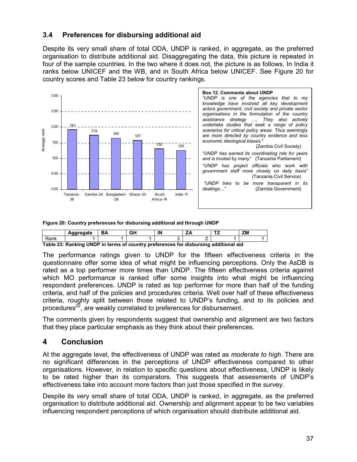## 3.4 Preferences for disbursing additional aid

Despite its very small share of total ODA, UNDP is ranked, in aggregate, as the preferred organisation to distribute additional aid. Disaggregating the data, this picture is repeated in four of the sample countries. In the two where it does not, the picture is as follows. In India it ranks below UNICEF and the WB, and in South Africa below UNICEF. See Figure 20 for country scores and Table 23 below for country rankings.



Figure 20: Country preferences for disbursing additional aid through UNDP

|      | Aggregate                                                                            | BA | GH | IN |  | ΖM |
|------|--------------------------------------------------------------------------------------|----|----|----|--|----|
| Rank |                                                                                      |    |    |    |  |    |
|      | Table 23: Ranking UNDP in terms of country preferences for disbursing additional aid |    |    |    |  |    |

The performance ratings given to UNDP for the fifteen effectiveness criteria in the questionnaire offer some idea of what might be influencing perceptions. Only the AsDB is rated as a top performer more times than UNDP. The fifteen effectiveness criteria against which MO performance is ranked offer some insights into what might be influencing respondent preferences. UNDP is rated as top performer for more than half of the funding criteria, and half of the policies and procedures criteria. Well over half of these effectiveness criteria, roughly split between those related to UNDP's funding, and to its policies and procedures<sup>22</sup>, are weakly correlated to preferences for disbursement.

The comments given by respondents suggest that ownership and alignment are two factors that they place particular emphasis as they think about their preferences.

# 4 Conclusion

At the aggregate level, the effectiveness of UNDP was rated as *moderate to high*. There are no significant differences in the perceptions of UNDP effectiveness compared to other organisations. However, in relation to specific questions about effectiveness, UNDP is likely to be rated higher than its comparators. This suggests that assessments of UNDP's effectiveness take into account more factors than just those specified in the survey.

Despite its very small share of total ODA, UNDP is ranked, in aggregate, as the preferred organisation to distribute additional aid. Ownership and alignment appear to be two variables influencing respondent perceptions of which organisation should distribute additional aid.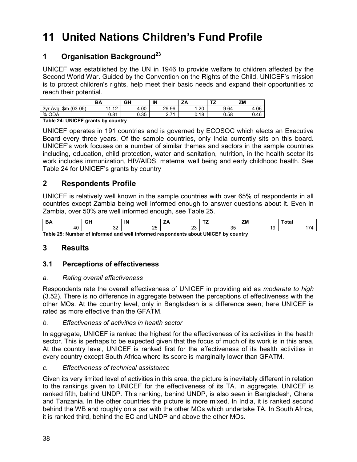# 11 United Nations Children's Fund Profile

# 1 Organisation Background<sup>23</sup>

UNICEF was established by the UN in 1946 to provide welfare to children affected by the Second World War. Guided by the Convention on the Rights of the Child, UNICEF's mission is to protect children's rights, help meet their basic needs and expand their opportunities to reach their potential.

|                                | <b>DA</b>              | GH   | IN              | A<br>- -   | $-$  | <b>ZM</b> |
|--------------------------------|------------------------|------|-----------------|------------|------|-----------|
| $(03-05)$<br>\$m<br>3vr<br>Ava | $\sqrt{2}$<br>A A<br>. | 4.00 | 29.96           | ാറ<br>∪∡.، | 9.64 | 4.06      |
| <b>ODA</b><br>%                | 0.81                   | 0.35 | 274<br><u>.</u> | 0.18       | 0.58 | 0.46      |

Table 24: UNICEF grants by country

UNICEF operates in 191 countries and is governed by ECOSOC which elects an Executive Board every three years. Of the sample countries, only India currently sits on this board. UNICEF's work focuses on a number of similar themes and sectors in the sample countries including, education, child protection, water and sanitation, nutrition, in the health sector its work includes immunization, HIV/AIDS, maternal well being and early childhood health. See Table 24 for UNICEF's grants by country

## 2 Respondents Profile

UNICEF is relatively well known in the sample countries with over 65% of respondents in all countries except Zambia being well informed enough to answer questions about it. Even in Zambia, over 50% are well informed enough, see Table 25.

|             | - - -       | IN       |        | $- -$          | 788<br> | --- |
|-------------|-------------|----------|--------|----------------|---------|-----|
|             | $\sim$<br>ັ | OE.<br>້ | $\sim$ | <b>0P</b><br>ື |         |     |
| _ _ _ _ _ _ |             | .<br>. . |        |                |         |     |

Table 25: Number of informed and well informed respondents about UNICEF by country

# 3 Results

## 3.1 Perceptions of effectiveness

#### a. Rating overall effectiveness

Respondents rate the overall effectiveness of UNICEF in providing aid as *moderate to high* (3.52). There is no difference in aggregate between the perceptions of effectiveness with the other MOs. At the country level, only in Bangladesh is a difference seen; here UNICEF is rated as more effective than the GFATM.

#### b. Effectiveness of activities in health sector

In aggregate, UNICEF is ranked the highest for the effectiveness of its activities in the health sector. This is perhaps to be expected given that the focus of much of its work is in this area. At the country level, UNICEF is ranked first for the effectiveness of its health activities in every country except South Africa where its score is marginally lower than GFATM.

#### c. Effectiveness of technical assistance

Given its very limited level of activities in this area, the picture is inevitably different in relation to the rankings given to UNICEF for the effectiveness of its TA. In aggregate, UNICEF is ranked fifth, behind UNDP. This ranking, behind UNDP, is also seen in Bangladesh, Ghana and Tanzania. In the other countries the picture is more mixed. In India, it is ranked second behind the WB and roughly on a par with the other MOs which undertake TA. In South Africa, it is ranked third, behind the EC and UNDP and above the other MOs.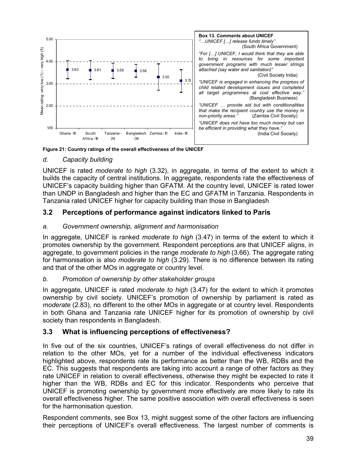

Figure 21: Country ratings of the overall effectiveness of the UNICEF

#### d. Capacity building

UNICEF is rated moderate to high (3.32), in aggregate, in terms of the extent to which it builds the capacity of central institutions. In aggregate, respondents rate the effectiveness of UNICEF's capacity building higher than GFATM. At the country level, UNICEF is rated lower than UNDP in Bangladesh and higher than the EC and GFATM in Tanzania. Respondents in Tanzania rated UNICEF higher for capacity building than those in Bangladesh

## 3.2 Perceptions of performance against indicators linked to Paris

#### a. Government ownership, alignment and harmonisation

In aggregate, UNICEF is ranked moderate to high (3.47) in terms of the extent to which it promotes ownership by the government. Respondent perceptions are that UNICEF aligns, in aggregate, to government policies in the range *moderate to high* (3.66). The aggregate rating for harmonisation is also *moderate to high* (3.29). There is no difference between its rating and that of the other MOs in aggregate or country level.

#### b. Promotion of ownership by other stakeholder groups

In aggregate, UNICEF is rated *moderate to high* (3.47) for the extent to which it promotes ownership by civil society. UNICEF's promotion of ownership by parliament is rated as moderate (2.83), no different to the other MOs in aggregate or at country level. Respondents in both Ghana and Tanzania rate UNICEF higher for its promotion of ownership by civil society than respondents in Bangladesh.

#### 3.3 What is influencing perceptions of effectiveness?

In five out of the six countries, UNICEF's ratings of overall effectiveness do not differ in relation to the other MOs, yet for a number of the individual effectiveness indicators highlighted above, respondents rate its performance as better than the WB, RDBs and the EC. This suggests that respondents are taking into account a range of other factors as they rate UNICEF in relation to overall effectiveness, otherwise they might be expected to rate it higher than the WB, RDBs and EC for this indicator. Respondents who perceive that UNICEF is promoting ownership by government more effectively are more likely to rate its overall effectiveness higher. The same positive association with overall effectiveness is seen for the harmonisation question.

Respondent comments, see Box 13, might suggest some of the other factors are influencing their perceptions of UNICEF's overall effectiveness. The largest number of comments is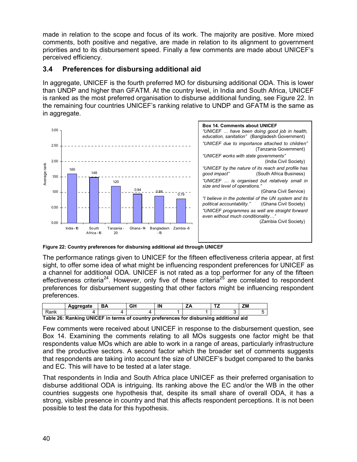made in relation to the scope and focus of its work. The majority are positive. More mixed comments, both positive and negative, are made in relation to its alignment to government priorities and to its disbursement speed. Finally a few comments are made about UNICEF's perceived efficiency.

# 3.4 Preferences for disbursing additional aid

In aggregate, UNICEF is the fourth preferred MO for disbursing additional ODA. This is lower than UNDP and higher than GFATM. At the country level, in India and South Africa, UNICEF is ranked as the most preferred organisation to disburse additional funding, see Figure 22. In the remaining four countries UNICEF's ranking relative to UNDP and GFATM is the same as in aggregate.



Figure 22: Country preferences for disbursing additional aid through UNICEF

The performance ratings given to UNICEF for the fifteen effectiveness criteria appear, at first sight, to offer some idea of what might be influencing respondent preferences for UNICEF as a channel for additional ODA. UNICEF is not rated as a top performer for any of the fifteen effectiveness criteria<sup>24</sup>. However, only five of these criteria<sup>25</sup> are correlated to respondent preferences for disbursement suggesting that other factors might be influencing respondent preferences.

|      | Aggregate                                                                              | BA | GΗ | IN | <b>T7</b> | ΖM |
|------|----------------------------------------------------------------------------------------|----|----|----|-----------|----|
| Rank |                                                                                        |    |    |    |           |    |
|      | Table 26: Ranking UNICEF in terms of country preferences for disbursing additional aid |    |    |    |           |    |

Few comments were received about UNICEF in response to the disbursement question, see Box 14. Examining the comments relating to all MOs suggests one factor might be that respondents value MOs which are able to work in a range of areas, particularly infrastructure and the productive sectors. A second factor which the broader set of comments suggests that respondents are taking into account the size of UNICEF's budget compared to the banks and EC. This will have to be tested at a later stage.

That respondents in India and South Africa place UNICEF as their preferred organisation to disburse additional ODA is intriguing. Its ranking above the EC and/or the WB in the other countries suggests one hypothesis that, despite its small share of overall ODA, it has a strong, visible presence in country and that this affects respondent perceptions. It is not been possible to test the data for this hypothesis.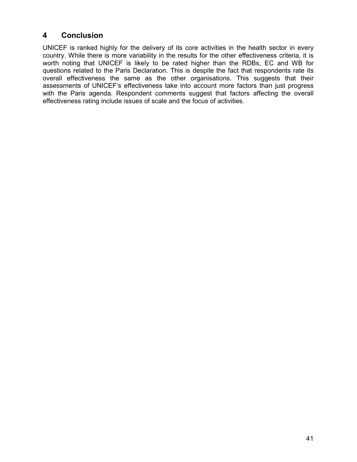# 4 Conclusion

UNICEF is ranked highly for the delivery of its core activities in the health sector in every country. While there is more variability in the results for the other effectiveness criteria, it is worth noting that UNICEF is likely to be rated higher than the RDBs, EC and WB for questions related to the Paris Declaration. This is despite the fact that respondents rate its overall effectiveness the same as the other organisations. This suggests that their assessments of UNICEF's effectiveness take into account more factors than just progress with the Paris agenda. Respondent comments suggest that factors affecting the overall effectiveness rating include issues of scale and the focus of activities.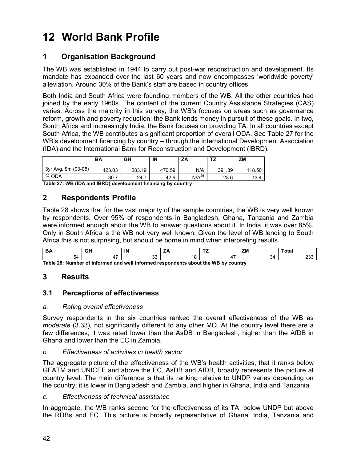# 12 World Bank Profile

# 1 Organisation Background

The WB was established in 1944 to carry out post-war reconstruction and development. Its mandate has expanded over the last 60 years and now encompasses 'worldwide poverty' alleviation. Around 30% of the Bank's staff are based in country offices.

Both India and South Africa were founding members of the WB. All the other countries had joined by the early 1960s. The content of the current Country Assistance Strategies (CAS) varies. Across the majority in this survey, the WB's focuses on areas such as governance reform, growth and poverty reduction; the Bank lends money in pursuit of these goals. In two, South Africa and increasingly India, the Bank focuses on providing TA. In all countries except South Africa, the WB contributes a significant proportion of overall ODA. See Table 27 for the WB's development financing by country – through the International Development Association (IDA) and the International Bank for Reconstruction and Development (IBRD).

|                      | <b>BA</b> | GH     | IN     | ZA         | ェラ<br>. . | <b>ZM</b> |
|----------------------|-----------|--------|--------|------------|-----------|-----------|
| 3yr Avg. \$m (03-05) | 423.03    | 283.19 | 470.59 | N/A        | 391.39    | 118.50    |
| % ODA                | 30.7      | 24.7   | 42.6   | $N/A^{26}$ | 23.6      | 13.4      |

Table 27: WB (IDA and IBRD) development financing by country

# 2 Respondents Profile

Table 28 shows that for the vast majority of the sample countries, the WB is very well known by respondents. Over 95% of respondents in Bangladesh, Ghana, Tanzania and Zambia were informed enough about the WB to answer questions about it. In India, it was over 85%. Only in South Africa is the WB not very well known. Given the level of WB lending to South Africa this is not surprising, but should be borne in mind when interpreting results.

|  | $\sim$<br>ື |  | $\sim$<br>~~ |
|--|-------------|--|--------------|

Table 28: Number of informed and well informed respondents about the WB by country

# 3 Results

## 3.1 Perceptions of effectiveness

#### a. Rating overall effectiveness

Survey respondents in the six countries ranked the overall effectiveness of the WB as moderate (3.33), not significantly different to any other MO. At the country level there are a few differences; it was rated lower than the AsDB in Bangladesh, higher than the AfDB in Ghana and lower than the EC in Zambia.

#### b. Effectiveness of activities in health sector

The aggregate picture of the effectiveness of the WB's health activities, that it ranks below GFATM and UNICEF and above the EC, AsDB and AfDB, broadly represents the picture at country level. The main difference is that its ranking relative to UNDP varies depending on the country; it is lower in Bangladesh and Zambia, and higher in Ghana, India and Tanzania.

#### c. Effectiveness of technical assistance

In aggregate, the WB ranks second for the effectiveness of its TA, below UNDP but above the RDBs and EC. This picture is broadly representative of Ghana, India, Tanzania and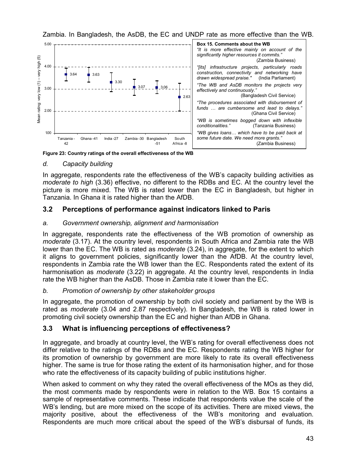



Figure 23: Country ratings of the overall effectiveness of the WB

## d. Capacity building

In aggregate, respondents rate the effectiveness of the WB's capacity building activities as moderate to high (3.36) effective, no different to the RDBs and EC. At the country level the picture is more mixed. The WB is rated lower than the EC in Bangladesh, but higher in Tanzania. In Ghana it is rated higher than the AfDB.

## 3.2 Perceptions of performance against indicators linked to Paris

### a. Government ownership, alignment and harmonisation

In aggregate, respondents rate the effectiveness of the WB promotion of ownership as moderate (3.17). At the country level, respondents in South Africa and Zambia rate the WB lower than the EC. The WB is rated as *moderate* (3.24), in aggregate, for the extent to which it aligns to government policies, significantly lower than the AfDB. At the country level, respondents in Zambia rate the WB lower than the EC. Respondents rated the extent of its harmonisation as *moderate* (3.22) in aggregate. At the country level, respondents in India rate the WB higher than the AsDB. Those in Zambia rate it lower than the EC.

## b. Promotion of ownership by other stakeholder groups

In aggregate, the promotion of ownership by both civil society and parliament by the WB is rated as *moderate* (3.04 and 2.87 respectively). In Bangladesh, the WB is rated lower in promoting civil society ownership than the EC and higher than AfDB in Ghana.

## 3.3 What is influencing perceptions of effectiveness?

In aggregate, and broadly at country level, the WB's rating for overall effectiveness does not differ relative to the ratings of the RDBs and the EC. Respondents rating the WB higher for its promotion of ownership by government are more likely to rate its overall effectiveness higher. The same is true for those rating the extent of its harmonisation higher, and for those who rate the effectiveness of its capacity building of public institutions higher.

When asked to comment on why they rated the overall effectiveness of the MOs as they did, the most comments made by respondents were in relation to the WB. Box 15 contains a sample of representative comments. These indicate that respondents value the scale of the WB's lending, but are more mixed on the scope of its activities. There are mixed views, the majority positive, about the effectiveness of the WB's monitoring and evaluation. Respondents are much more critical about the speed of the WB's disbursal of funds, its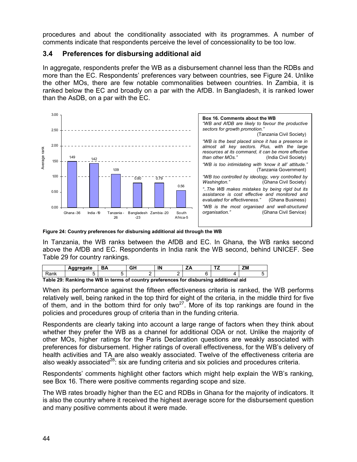procedures and about the conditionality associated with its programmes. A number of comments indicate that respondents perceive the level of concessionality to be too low.

### 3.4 Preferences for disbursing additional aid

In aggregate, respondents prefer the WB as a disbursement channel less than the RDBs and more than the EC. Respondents' preferences vary between countries, see Figure 24. Unlike the other MOs, there are few notable commonalities between countries. In Zambia, it is ranked below the EC and broadly on a par with the AfDB. In Bangladesh, it is ranked lower than the AsDB, on a par with the EC.



Figure 24: Country preferences for disbursing additional aid through the WB

In Tanzania, the WB ranks between the AfDB and EC. In Ghana, the WB ranks second above the AfDB and EC. Respondents in India rank the WB second, behind UNICEF. See Table 29 for country rankings.

|                                                                                        | Agaregate |  | GH | IN |  | -- | ZM |  |  |
|----------------------------------------------------------------------------------------|-----------|--|----|----|--|----|----|--|--|
| Rank                                                                                   |           |  |    |    |  |    |    |  |  |
| Table 29: Panking the WR in terms of country proferences for disbursing additional aid |           |  |    |    |  |    |    |  |  |

Table 29: Ranking the WB in terms of country preferences for disbursing additional aid

When its performance against the fifteen effectiveness criteria is ranked, the WB performs relatively well, being ranked in the top third for eight of the criteria, in the middle third for five of them, and in the bottom third for only two<sup>27</sup>. More of its top rankings are found in the policies and procedures group of criteria than in the funding criteria.

Respondents are clearly taking into account a large range of factors when they think about whether they prefer the WB as a channel for additional ODA or not. Unlike the majority of other MOs, higher ratings for the Paris Declaration questions are weakly associated with preferences for disbursement. Higher ratings of overall effectiveness, for the WB's delivery of health activities and TA are also weakly associated. Twelve of the effectiveness criteria are also weakly associated<sup>28</sup>: six are funding criteria and six policies and procedures criteria.

Respondents' comments highlight other factors which might help explain the WB's ranking, see Box 16. There were positive comments regarding scope and size.

The WB rates broadly higher than the EC and RDBs in Ghana for the majority of indicators. It is also the country where it received the highest average score for the disbursement question and many positive comments about it were made.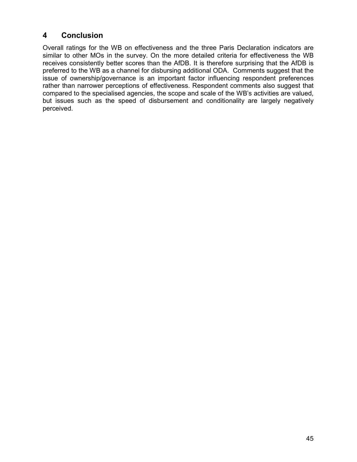# 4 Conclusion

Overall ratings for the WB on effectiveness and the three Paris Declaration indicators are similar to other MOs in the survey. On the more detailed criteria for effectiveness the WB receives consistently better scores than the AfDB. It is therefore surprising that the AfDB is preferred to the WB as a channel for disbursing additional ODA. Comments suggest that the issue of ownership/governance is an important factor influencing respondent preferences rather than narrower perceptions of effectiveness. Respondent comments also suggest that compared to the specialised agencies, the scope and scale of the WB's activities are valued, but issues such as the speed of disbursement and conditionality are largely negatively perceived.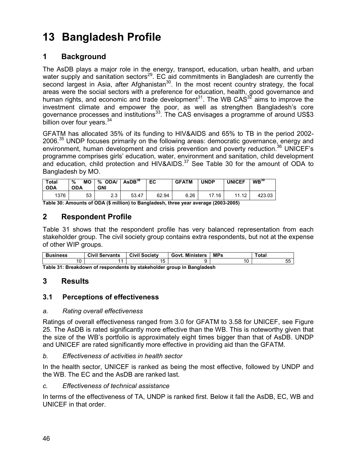# 13 Bangladesh Profile

# 1 Background

The AsDB plays a major role in the energy, transport, education, urban health, and urban water supply and sanitation sectors<sup>29</sup>. EC aid commitments in Bangladesh are currently the second largest in Asia, after Afghanistan<sup>30</sup>. In the most recent country strategy, the focal areas were the social sectors with a preference for education, health, good governance and human rights, and economic and trade development<sup>31</sup>. The WB CAS<sup>32</sup> aims to improve the investment climate and empower the poor, as well as strengthen Bangladesh's core governance processes and institutions<sup>33</sup>. The CAS envisages a programme of around US\$3 billion over four years. $34$ 

GFATM has allocated 35% of its funding to HIV&AIDS and 65% to TB in the period 2002- 2006.<sup>35</sup> UNDP focuses primarily on the following areas: democratic governance, energy and environment, human development and crisis prevention and poverty reduction.<sup>36</sup> UNICEF's programme comprises girls' education, water, environment and sanitation, child development and education, child protection and HIV&AIDS. $37$  See Table 30 for the amount of ODA to Bangladesh by MO.

| <b>Total</b><br><b>ODA</b> | <b>MO</b><br>%<br><b>ODA</b> | %<br><b>ODA</b><br><b>GNI</b> | AsDB <sup>38</sup> | EC    | <b>GFATM</b> | <b>UNDP</b> | <b>UNICEF</b> | $\mathsf{WB}^{39}$ |
|----------------------------|------------------------------|-------------------------------|--------------------|-------|--------------|-------------|---------------|--------------------|
| 1376                       | 53                           | ົ<br>ں.ے                      | 53.47              | 62.94 | 6.26         | 17.16       | 11<br>-12     | 423.03             |

Table 30: Amounts of ODA (\$ million) to Bangladesh, three year average (2003-2005)

# 2 Respondent Profile

Table 31 shows that the respondent profile has very balanced representation from each stakeholder group. The civil society group contains extra respondents, but not at the expense of other WIP groups.

| <b>Business</b>                                                           | <b>Civil Servants</b> | <b>Civil Society</b> | <b>Govt. Ministers</b> | <b>MPs</b> | ™otal |  |  |  |
|---------------------------------------------------------------------------|-----------------------|----------------------|------------------------|------------|-------|--|--|--|
| 10                                                                        |                       |                      |                        |            | u.    |  |  |  |
| Table 24: Desalidatum of essessatante bu stalishaldan sesua in Danaladash |                       |                      |                        |            |       |  |  |  |

Table 31: Breakdown of respondents by stakeholder group in Bangladesh

# 3 Results

## 3.1 Perceptions of effectiveness

#### a. Rating overall effectiveness

Ratings of overall effectiveness ranged from 3.0 for GFATM to 3.58 for UNICEF, see Figure 25. The AsDB is rated significantly more effective than the WB. This is noteworthy given that the size of the WB's portfolio is approximately eight times bigger than that of AsDB. UNDP and UNICEF are rated significantly more effective in providing aid than the GFATM.

#### b. Effectiveness of activities in health sector

In the health sector, UNICEF is ranked as being the most effective, followed by UNDP and the WB. The EC and the AsDB are ranked last.

#### c. Effectiveness of technical assistance

In terms of the effectiveness of TA, UNDP is ranked first. Below it fall the AsDB, EC, WB and UNICEF in that order.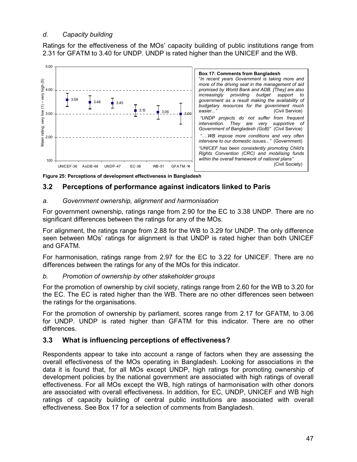#### d. Capacity building

Ratings for the effectiveness of the MOs' capacity building of public institutions range from 2.31 for GFATM to 3.40 for UNDP. UNDP is rated higher than the UNICEF and the WB.



Figure 25: Perceptions of development effectiveness in Bangladesh

## 3.2 Perceptions of performance against indicators linked to Paris

#### a. Government ownership, alignment and harmonisation

For government ownership, ratings range from 2.90 for the EC to 3.38 UNDP. There are no significant differences between the ratings for any of the MOs.

For alignment, the ratings range from 2.88 for the WB to 3.29 for UNDP. The only difference seen between MOs' ratings for alignment is that UNDP is rated higher than both UNICEF and GFATM.

For harmonisation, ratings range from 2.97 for the EC to 3.22 for UNICEF. There are no differences between the ratings for any of the MOs for this indicator.

#### b. Promotion of ownership by other stakeholder groups

For the promotion of ownership by civil society, ratings range from 2.60 for the WB to 3.20 for the EC. The EC is rated higher than the WB. There are no other differences seen between the ratings for the organisations.

For the promotion of ownership by parliament, scores range from 2.17 for GFATM, to 3.06 for UNDP. UNDP is rated higher than GFATM for this indicator. There are no other differences.

## 3.3 What is influencing perceptions of effectiveness?

Respondents appear to take into account a range of factors when they are assessing the overall effectiveness of the MOs operating in Bangladesh. Looking for associations in the data it is found that, for all MOs except UNDP, high ratings for promoting ownership of development policies by the national government are associated with high ratings of overall effectiveness. For all MOs except the WB, high ratings of harmonisation with other donors are associated with overall effectiveness. In addition, for EC, UNDP, UNICEF and WB high ratings of capacity building of central public institutions are associated with overall effectiveness. See Box 17 for a selection of comments from Bangladesh.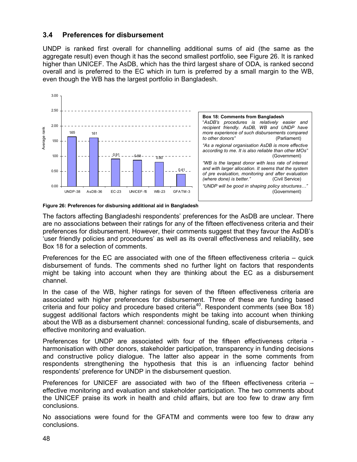### 3.4 Preferences for disbursement

UNDP is ranked first overall for channelling additional sums of aid (the same as the aggregate result) even though it has the second smallest portfolio, see Figure 26. It is ranked higher than UNICEF. The AsDB, which has the third largest share of ODA, is ranked second overall and is preferred to the EC which in turn is preferred by a small margin to the WB, even though the WB has the largest portfolio in Bangladesh.





The factors affecting Bangladeshi respondents' preferences for the AsDB are unclear. There are no associations between their ratings for any of the fifteen effectiveness criteria and their preferences for disbursement. However, their comments suggest that they favour the AsDB's 'user friendly policies and procedures' as well as its overall effectiveness and reliability, see Box 18 for a selection of comments.

Preferences for the EC are associated with one of the fifteen effectiveness criteria – quick disbursement of funds. The comments shed no further light on factors that respondents might be taking into account when they are thinking about the EC as a disbursement channel.

In the case of the WB, higher ratings for seven of the fifteen effectiveness criteria are associated with higher preferences for disbursement. Three of these are funding based criteria and four policy and procedure based criteria<sup>40</sup>. Respondent comments (see Box 18) suggest additional factors which respondents might be taking into account when thinking about the WB as a disbursement channel: concessional funding, scale of disbursements, and effective monitoring and evaluation.

Preferences for UNDP are associated with four of the fifteen effectiveness criteria harmonisation with other donors, stakeholder participation, transparency in funding decisions and constructive policy dialogue. The latter also appear in the some comments from respondents strengthening the hypothesis that this is an influencing factor behind respondents' preference for UNDP in the disbursement question.

Preferences for UNICEF are associated with two of the fifteen effectiveness criteria – effective monitoring and evaluation and stakeholder participation. The two comments about the UNICEF praise its work in health and child affairs, but are too few to draw any firm conclusions.

No associations were found for the GFATM and comments were too few to draw any conclusions.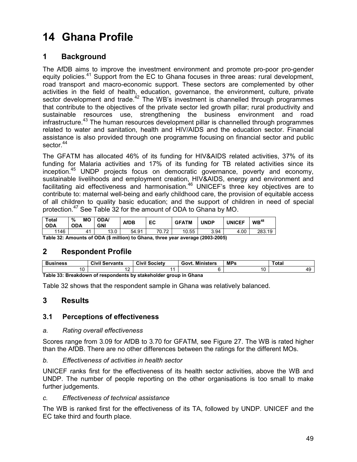# 14 Ghana Profile

# 1 Background

The AfDB aims to improve the investment environment and promote pro-poor pro-gender equity policies.<sup>41</sup> Support from the EC to Ghana focuses in three areas: rural development, road transport and macro-economic support. These sectors are complemented by other activities in the field of health, education, governance, the environment, culture, private sector development and trade.<sup>42</sup> The WB's investment is channelled through programmes that contribute to the objectives of the private sector led growth pillar; rural productivity and sustainable resources use, strengthening the business environment and road infrastructure.<sup>43</sup> The human resources development pillar is channelled through programmes related to water and sanitation, health and HIV/AIDS and the education sector. Financial assistance is also provided through one programme focusing on financial sector and public sector.<sup>44</sup>

The GFATM has allocated 46% of its funding for HIV&AIDS related activities, 37% of its funding for Malaria activities and 17% of its funding for TB related activities since its inception.<sup>45</sup> UNDP projects focus on democratic governance, poverty and economy, sustainable livelihoods and employment creation, HIV&AIDS, energy and environment and facilitating aid effectiveness and harmonisation. $46$  UNICEF's three key objectives are to contribute to: maternal well-being and early childhood care, the provision of equitable access of all children to quality basic education; and the support of children in need of special protection.<sup>47</sup> See Table 32 for the amount of ODA to Ghana by MO.

| <b>Total</b><br>ODA | %<br>MО<br><b>ODA</b>                                                         | <b>ODA</b><br><b>GNI</b> | AfDB  | EC    | <b>GFATM</b> | <b>UNDP</b> | <b>UNICEF</b> | $WB^{48}$ |  |  |
|---------------------|-------------------------------------------------------------------------------|--------------------------|-------|-------|--------------|-------------|---------------|-----------|--|--|
| 1146                |                                                                               | 13.0                     | 54.91 | 70.72 | 10.55        | 3.94        | 4.00          | 283.19    |  |  |
|                     | Table 32: Amounts of ODA (\$ million) to Ghana three year average (2003-2005) |                          |       |       |              |             |               |           |  |  |

million) to Ghana, three year average (2003-2005)

# 2 Respondent Profile

| <b>Business</b>                                                  | Civil<br>Servants | <b>Civil Society</b> | <b>Ministers</b><br>Govt. | <b>MPs</b> | Total |  |  |  |  |
|------------------------------------------------------------------|-------------------|----------------------|---------------------------|------------|-------|--|--|--|--|
|                                                                  |                   |                      |                           |            |       |  |  |  |  |
| Table 22: Preakdown of recognisate by stakeholder aroun in Chana |                   |                      |                           |            |       |  |  |  |  |

Table 33: Breakdown of respondents by stakeholder group in Ghana

Table 32 shows that the respondent sample in Ghana was relatively balanced.

# 3 Results

## 3.1 Perceptions of effectiveness

#### a. Rating overall effectiveness

Scores range from 3.09 for AfDB to 3.70 for GFATM, see Figure 27. The WB is rated higher than the AfDB. There are no other differences between the ratings for the different MOs.

b. Effectiveness of activities in health sector

UNICEF ranks first for the effectiveness of its health sector activities, above the WB and UNDP. The number of people reporting on the other organisations is too small to make further judgements.

#### c. Effectiveness of technical assistance

The WB is ranked first for the effectiveness of its TA, followed by UNDP. UNICEF and the EC take third and fourth place.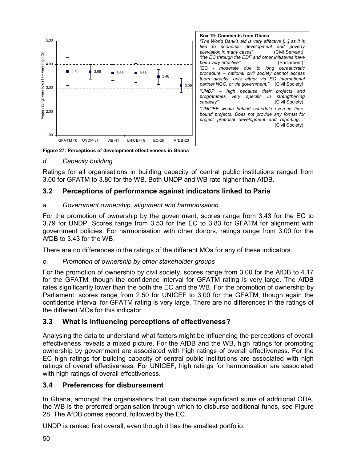

Figure 27: Perceptions of development effectiveness in Ghana

#### d. Capacity building

Ratings for all organisations in building capacity of central public institutions ranged from 3.00 for GFATM to 3.80 for the WB. Both UNDP and WB rate higher than AfDB.

#### 3.2 Perceptions of performance against indicators linked to Paris

#### a. Government ownership, alignment and harmonisation

For the promotion of ownership by the government, scores range from 3.43 for the EC to 3.79 for UNDP. Scores range from 3.53 for the EC to 3.83 for GFATM for alignment with government policies. For harmonisation with other donors, ratings range from 3.00 for the AfDB to 3.43 for the WB.

There are no differences in the ratings of the different MOs for any of these indicators.

#### b. Promotion of ownership by other stakeholder groups

For the promotion of ownership by civil society, scores range from 3.00 for the AfDB to 4.17 for the GFATM, though the confidence interval for GFATM rating is very large. The AfDB rates significantly lower than the both the EC and the WB. For the promotion of ownership by Parliament, scores range from 2.50 for UNICEF to 3.00 for the GFATM, though again the confidence interval for GFATM rating is very large. There are no differences in the ratings of the different MOs for this indicator.

#### 3.3 What is influencing perceptions of effectiveness?

Analysing the data to understand what factors might be influencing the perceptions of overall effectiveness reveals a mixed picture. For the AfDB and the WB, high ratings for promoting ownership by government are associated with high ratings of overall effectiveness. For the EC high ratings for building capacity of central public institutions are associated with high ratings of overall effectiveness. For UNICEF, high ratings for harmonisation are associated with high ratings of overall effectiveness.

#### 3.4 Preferences for disbursement

In Ghana, amongst the organisations that can disburse significant sums of additional ODA, the WB is the preferred organisation through which to disburse additional funds, see Figure 28. The AfDB comes second, followed by the EC.

UNDP is ranked first overall, even though it has the smallest portfolio.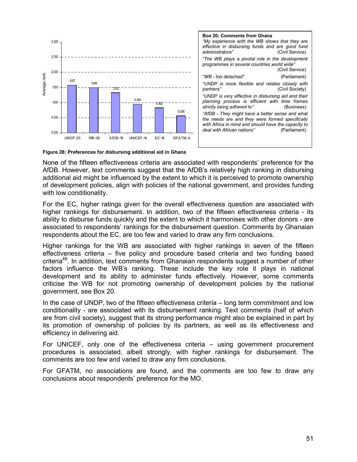

| <b>Box 20: Comments from Ghana</b><br>"My experience with the WB shows that they are<br>effective in disbursing funds and are good fund<br>administrators"<br>(Civil Service)                           |
|---------------------------------------------------------------------------------------------------------------------------------------------------------------------------------------------------------|
| "The WB plays a pivotal role in the development<br>programmes in several countries world wide"<br>(Civil Service)                                                                                       |
| "WB - too detached"<br>(Parliament)                                                                                                                                                                     |
| "UNDP is more flexible and relates closely with<br>(Civil Society)<br>partners"                                                                                                                         |
| "UNDP is very effective in disbursing aid and their<br>planning process is efficient with time frames<br>strictly being adhered to"<br>(Business)                                                       |
| "AfDB - They might have a better sense and what<br>the needs are and they were formed specifically<br>with Africa in mind and should have the capacity to<br>deal with African nations"<br>(Parliament) |
|                                                                                                                                                                                                         |

Figure 28: Preferences for disbursing additional aid in Ghana

None of the fifteen effectiveness criteria are associated with respondents' preference for the AfDB. However, text comments suggest that the AfDB's relatively high ranking in disbursing additional aid might be influenced by the extent to which it is perceived to promote ownership of development policies, align with policies of the national government, and provides funding with low conditionality.

For the EC, higher ratings given for the overall effectiveness question are associated with higher rankings for disbursement. In addition, two of the fifteen effectiveness criteria - its ability to disburse funds quickly and the extent to which it harmonises with other donors - are associated to respondents' rankings for the disbursement question. Comments by Ghanaian respondents about the EC, are too few and varied to draw any firm conclusions.

Higher rankings for the WB are associated with higher rankings in seven of the fifteen effectiveness criteria – five policy and procedure based criteria and two funding based criteria<sup>49</sup>. In addition, text comments from Ghanaian respondents suggest a number of other factors influence the WB's ranking. These include the key role it plays in national development and its ability to administer funds effectively. However, some comments criticise the WB for not promoting ownership of development policies by the national government, see Box 20.

In the case of UNDP, two of the fifteen effectiveness criteria – long term commitment and low conditionality - are associated with its disbursement ranking. Text comments (half of which are from civil society), suggest that its strong performance might also be explained in part by its promotion of ownership of policies by its partners, as well as its effectiveness and efficiency in delivering aid.

For UNICEF, only one of the effectiveness criteria – using government procurement procedures is associated, albeit strongly, with higher rankings for disbursement. The comments are too few and varied to draw any firm conclusions.

For GFATM, no associations are found, and the comments are too few to draw any conclusions about respondents' preference for the MO.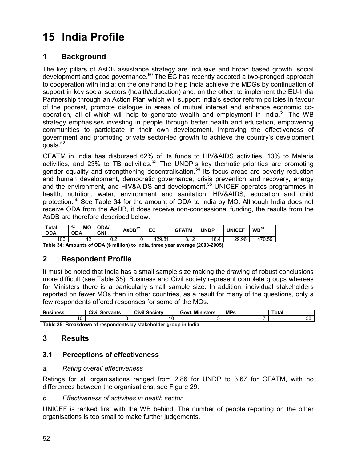# 15 India Profile

# 1 Background

The key pillars of AsDB assistance strategy are inclusive and broad based growth, social development and good governance.<sup>50</sup> The EC has recently adopted a two-pronged approach to cooperation with India: on the one hand to help India achieve the MDGs by continuation of support in key social sectors (health/education) and, on the other, to implement the EU-India Partnership through an Action Plan which will support India's sector reform policies in favour of the poorest, promote dialogue in areas of mutual interest and enhance economic cooperation, all of which will help to generate wealth and employment in India.<sup>51</sup> The WB strategy emphasises investing in people through better health and education, empowering communities to participate in their own development, improving the effectiveness of government and promoting private sector-led growth to achieve the country's development  $g$ oals. $52$ 

GFATM in India has disbursed 62% of its funds to HIV&AIDS activities, 13% to Malaria activities, and 23% to TB activities.<sup>53</sup> The UNDP's key thematic priorities are promoting gender equality and strengthening decentralisation.<sup>54</sup> Its focus areas are poverty reduction and human development, democratic governance, crisis prevention and recovery, energy and the environment, and HIV&AIDS and development.<sup>55</sup> UNICEF operates programmes in health, nutrition, water, environment and sanitation, HIV&AIDS, education and child protection.<sup>56</sup> See Table 34 for the amount of ODA to India by MO. Although India does not receive ODA from the AsDB, it does receive non-concessional funding, the results from the AsDB are therefore described below.

| <b>Total</b><br><b>ODA</b> | %<br>МO<br><b>ODA</b> | <b>ODA</b><br><b>GNI</b> | AsDB <sup>57</sup> | EC     | <b>GFATM</b>     | UNDP | <b>UNICEF</b> | WB <sup>58</sup> |
|----------------------------|-----------------------|--------------------------|--------------------|--------|------------------|------|---------------|------------------|
| 1106                       | 42                    | ົ^<br>◡.∠                |                    | 129.81 | 0.10<br>Õ.<br>14 | 18.4 | 29.96         | 470.59           |

Table 34: Amounts of ODA (\$ million) to India, three year average (2003-2005)

# 2 Respondent Profile

It must be noted that India has a small sample size making the drawing of robust conclusions more difficult (see Table 35). Business and Civil society represent complete groups whereas for Ministers there is a particularly small sample size. In addition, individual stakeholders reported on fewer MOs than in other countries, as a result for many of the questions, only a few respondents offered responses for some of the MOs.

| <b>Business</b> | .<br>Civil<br>Servants | Civi'<br><b>Society</b> | <b>Ministers</b><br>Govi | <b>MPs</b> | ⊤otal    |  |  |  |
|-----------------|------------------------|-------------------------|--------------------------|------------|----------|--|--|--|
| 10<br>l U       |                        | $\overline{1}$          |                          |            | n,<br>JС |  |  |  |
|                 |                        |                         |                          |            |          |  |  |  |

Table 35: Breakdown of respondents by stakeholder group in India

# 3 Results

## 3.1 Perceptions of effectiveness

#### a. Rating overall effectiveness

Ratings for all organisations ranged from 2.86 for UNDP to 3.67 for GFATM, with no differences between the organisations, see Figure 29.

#### b. Effectiveness of activities in health sector

UNICEF is ranked first with the WB behind. The number of people reporting on the other organisations is too small to make further judgements.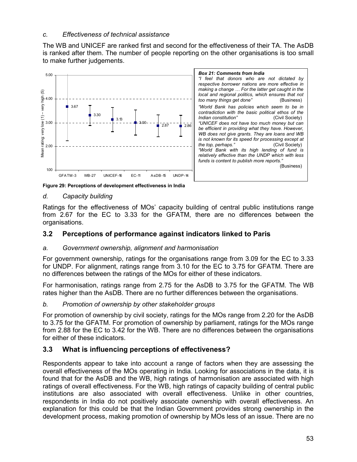### c. Effectiveness of technical assistance

The WB and UNICEF are ranked first and second for the effectiveness of their TA. The AsDB is ranked after them. The number of people reporting on the other organisations is too small to make further judgements.



Figure 29: Perceptions of development effectiveness in India

#### d. Capacity building

Ratings for the effectiveness of MOs' capacity building of central public institutions range from 2.67 for the EC to 3.33 for the GFATM, there are no differences between the organisations.

## 3.2 Perceptions of performance against indicators linked to Paris

#### a. Government ownership, alignment and harmonisation

For government ownership, ratings for the organisations range from 3.09 for the EC to 3.33 for UNDP. For alignment, ratings range from 3.10 for the EC to 3.75 for GFATM. There are no differences between the ratings of the MOs for either of these indicators.

For harmonisation, ratings range from 2.75 for the AsDB to 3.75 for the GFATM. The WB rates higher than the AsDB. There are no further differences between the organisations.

#### b. Promotion of ownership by other stakeholder groups

For promotion of ownership by civil society, ratings for the MOs range from 2.20 for the AsDB to 3.75 for the GFATM. For promotion of ownership by parliament, ratings for the MOs range from 2.88 for the EC to 3.42 for the WB. There are no differences between the organisations for either of these indicators.

## 3.3 What is influencing perceptions of effectiveness?

Respondents appear to take into account a range of factors when they are assessing the overall effectiveness of the MOs operating in India. Looking for associations in the data, it is found that for the AsDB and the WB, high ratings of harmonisation are associated with high ratings of overall effectiveness. For the WB, high ratings of capacity building of central public institutions are also associated with overall effectiveness. Unlike in other countries, respondents in India do not positively associate ownership with overall effectiveness. An explanation for this could be that the Indian Government provides strong ownership in the development process, making promotion of ownership by MOs less of an issue. There are no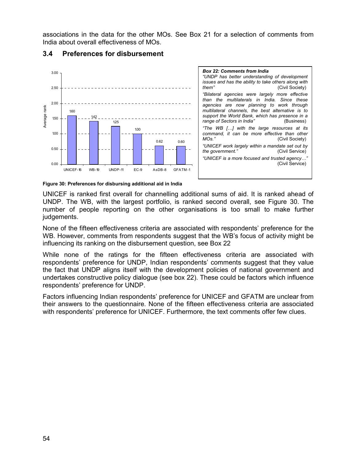associations in the data for the other MOs. See Box 21 for a selection of comments from India about overall effectiveness of MOs.



### 3.4 Preferences for disbursement



Figure 30: Preferences for disbursing additional aid in India

UNICEF is ranked first overall for channelling additional sums of aid. It is ranked ahead of UNDP. The WB, with the largest portfolio, is ranked second overall, see Figure 30. The number of people reporting on the other organisations is too small to make further judgements.

None of the fifteen effectiveness criteria are associated with respondents' preference for the WB. However, comments from respondents suggest that the WB's focus of activity might be influencing its ranking on the disbursement question, see Box 22

While none of the ratings for the fifteen effectiveness criteria are associated with respondents' preference for UNDP, Indian respondents' comments suggest that they value the fact that UNDP aligns itself with the development policies of national government and undertakes constructive policy dialogue (see box 22). These could be factors which influence respondents' preference for UNDP.

Factors influencing Indian respondents' preference for UNICEF and GFATM are unclear from their answers to the questionnaire. None of the fifteen effectiveness criteria are associated with respondents' preference for UNICEF. Furthermore, the text comments offer few clues.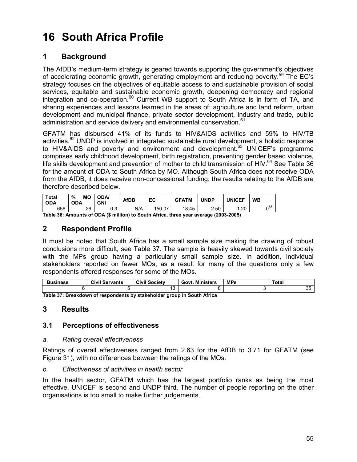# 16 South Africa Profile

# 1 Background

The AfDB's medium-term strategy is geared towards supporting the government's objectives of accelerating economic growth, generating employment and reducing poverty.<sup>59</sup> The EC's strategy focuses on the objectives of equitable access to and sustainable provision of social services, equitable and sustainable economic growth, deepening democracy and regional integration and co-operation.<sup>60</sup> Current WB support to South Africa is in form of TA, and sharing experiences and lessons learned in the areas of: agriculture and land reform, urban development and municipal finance, private sector development, industry and trade, public administration and service delivery and environmental conservation.<sup>61</sup>

GFATM has disbursed 41% of its funds to HIV&AIDS activities and 59% to HIV/TB activities.<sup>62</sup> UNDP is involved in integrated sustainable rural development, a holistic response to HIV&AIDS and poverty and environment and development.<sup>63</sup> UNICEF's programme comprises early childhood development, birth registration, preventing gender based violence, life skills development and prevention of mother to child transmission of HIV. $64$  See Table 36 for the amount of ODA to South Africa by MO. Although South Africa does not receive ODA from the AfDB, it does receive non-concessional funding, the results relating to the AfDB are therefore described below.

| Total<br>ODA | <b>MO</b><br>%<br><b>ODA</b> | <b>ODA</b> /<br><b>GNI</b> | <b>AfDB</b> | EC       | <b>GFATM</b> | <b>JNDP</b> | <b>UNICEF</b>            | <b>WB</b> |
|--------------|------------------------------|----------------------------|-------------|----------|--------------|-------------|--------------------------|-----------|
| 656          | 26                           | ົ^<br>ບ.ບ                  | N/A         | 150.07   | 18.45        | 2.50        | ാറ<br>. ∟ک. .            | ∩65       |
| - - -<br>--- |                              | .<br>                      | $\sim$      | .<br>. . |              |             | $\overline{\phantom{a}}$ |           |

Table 36: Amounts of ODA (\$ million) to South Africa, three year average (2003-2005)

## 2 Respondent Profile

It must be noted that South Africa has a small sample size making the drawing of robust conclusions more difficult, see Table 37. The sample is heavily skewed towards civil society with the MPs group having a particularly small sample size. In addition, individual stakeholders reported on fewer MOs, as a result for many of the questions only a few respondents offered responses for some of the MOs.

| Business                                                                 | <b>Civil Servants</b> | <b>Civil Society</b> | <b>Govt. Ministers</b> | <b>MPs</b> | Total    |  |  |  |  |
|--------------------------------------------------------------------------|-----------------------|----------------------|------------------------|------------|----------|--|--|--|--|
|                                                                          |                       | ີ                    |                        |            | ∩г<br>ບປ |  |  |  |  |
| Table 27: Proakdown of recognolants by stakeholder group in South Africa |                       |                      |                        |            |          |  |  |  |  |

Table 37: Breakdown of respondents by stakeholder group in South Africa

## 3 Results

## 3.1 Perceptions of effectiveness

#### a. Rating overall effectiveness

Ratings of overall effectiveness ranged from 2.63 for the AfDB to 3.71 for GFATM (see Figure 31), with no differences between the ratings of the MOs.

#### b. Effectiveness of activities in health sector

In the health sector, GFATM which has the largest portfolio ranks as being the most effective. UNICEF is second and UNDP third. The number of people reporting on the other organisations is too small to make further judgements.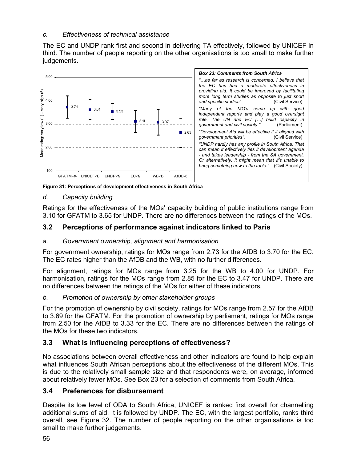## c. Effectiveness of technical assistance

The EC and UNDP rank first and second in delivering TA effectively, followed by UNICEF in third. The number of people reporting on the other organisations is too small to make further judgements.



Figure 31: Perceptions of development effectiveness in South Africa

## d. Capacity building

Ratings for the effectiveness of the MOs' capacity building of public institutions range from 3.10 for GFATM to 3.65 for UNDP. There are no differences between the ratings of the MOs.

# 3.2 Perceptions of performance against indicators linked to Paris

## a. Government ownership, alignment and harmonisation

For government ownership, ratings for MOs range from 2.73 for the AfDB to 3.70 for the EC. The EC rates higher than the AfDB and the WB, with no further differences.

For alignment, ratings for MOs range from 3.25 for the WB to 4.00 for UNDP. For harmonisation, ratings for the MOs range from 2.85 for the EC to 3.47 for UNDP. There are no differences between the ratings of the MOs for either of these indicators.

## b. Promotion of ownership by other stakeholder groups

For the promotion of ownership by civil society, ratings for MOs range from 2.57 for the AfDB to 3.69 for the GFATM. For the promotion of ownership by parliament, ratings for MOs range from 2.50 for the AfDB to 3.33 for the EC. There are no differences between the ratings of the MOs for these two indicators.

# 3.3 What is influencing perceptions of effectiveness?

No associations between overall effectiveness and other indicators are found to help explain what influences South African perceptions about the effectiveness of the different MOs. This is due to the relatively small sample size and that respondents were, on average, informed about relatively fewer MOs. See Box 23 for a selection of comments from South Africa.

# 3.4 Preferences for disbursement

Despite its low level of ODA to South Africa, UNICEF is ranked first overall for channelling additional sums of aid. It is followed by UNDP. The EC, with the largest portfolio, ranks third overall, see Figure 32. The number of people reporting on the other organisations is too small to make further judgements.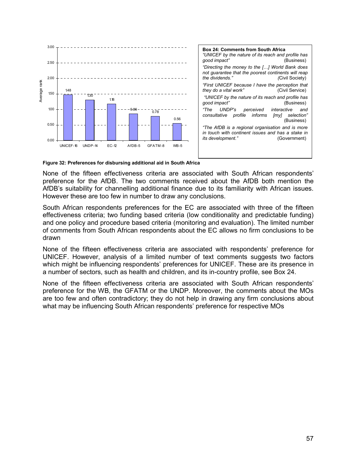

Figure 32: Preferences for disbursing additional aid in South Africa

None of the fifteen effectiveness criteria are associated with South African respondents' preference for the AfDB. The two comments received about the AfDB both mention the AfDB's suitability for channelling additional finance due to its familiarity with African issues. However these are too few in number to draw any conclusions.

South African respondents preferences for the EC are associated with three of the fifteen effectiveness criteria; two funding based criteria (low conditionality and predictable funding) and one policy and procedure based criteria (monitoring and evaluation). The limited number of comments from South African respondents about the EC allows no firm conclusions to be drawn

None of the fifteen effectiveness criteria are associated with respondents' preference for UNICEF. However, analysis of a limited number of text comments suggests two factors which might be influencing respondents' preferences for UNICEF. These are its presence in a number of sectors, such as health and children, and its in-country profile, see Box 24.

None of the fifteen effectiveness criteria are associated with South African respondents' preference for the WB, the GFATM or the UNDP. Moreover, the comments about the MOs are too few and often contradictory; they do not help in drawing any firm conclusions about what may be influencing South African respondents' preference for respective MOs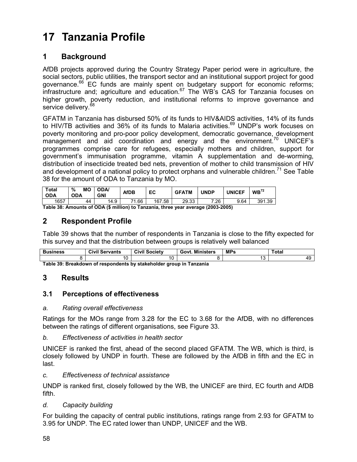# 17 Tanzania Profile

# 1 Background

AfDB projects approved during the Country Strategy Paper period were in agriculture, the social sectors, public utilities, the transport sector and an institutional support project for good governance.<sup>66</sup> EC funds are mainly spent on budgetary support for economic reforms; infrastructure and; agriculture and education. $67$  The WB's CAS for Tanzania focuses on higher growth, poverty reduction, and institutional reforms to improve governance and service delivery.<sup>68</sup>

GFATM in Tanzania has disbursed 50% of its funds to HIV&AIDS activities, 14% of its funds to HIV/TB activities and 36% of its funds to Malaria activities.<sup>69</sup> UNDP's work focuses on poverty monitoring and pro-poor policy development, democratic governance, development management and aid coordination and energy and the environment.<sup>70</sup> UNICEF's programmes comprise care for refugees, especially mothers and children, support for government's immunisation programme, vitamin A supplementation and de-worming, distribution of insecticide treated bed nets, prevention of mother to child transmission of HIV and development of a national policy to protect orphans and vulnerable children.<sup>71</sup> See Table 38 for the amount of ODA to Tanzania by MO.

| Total<br><b>ODA</b> | %<br>MО<br><b>ODA</b> | <b>ODA</b><br><b>GNI</b> | AfDB        | EC         | <b>GFATM</b> | <b>UNDP</b> | <b>UNICEF</b> | WB <sup>72</sup> |
|---------------------|-----------------------|--------------------------|-------------|------------|--------------|-------------|---------------|------------------|
| 1657                | 44                    | 14.9                     | . 66،<br>74 | .58<br>167 | 29.33        | 7.26        | 9.64          | 391.39           |

Table 38: Amounts of ODA (\$ million) to Tanzania, three year average (2003-2005)

# 2 Respondent Profile

Table 39 shows that the number of respondents in Tanzania is close to the fifty expected for this survey and that the distribution between groups is relatively well balanced

| <b>Business</b> | .<br>Civil<br>Servants | Civil<br>.<br>$\overline{\phantom{a}}$<br>Society | <b>Ministers</b><br>Gov | <b>MPs</b><br>- 33 | ˈotal |
|-----------------|------------------------|---------------------------------------------------|-------------------------|--------------------|-------|
|                 |                        |                                                   |                         | ◡                  |       |

Table 39: Breakdown of respondents by stakeholder group in Tanzania

## 3 Results

## 3.1 Perceptions of effectiveness

#### a. Rating overall effectiveness

Ratings for the MOs range from 3.28 for the EC to 3.68 for the AfDB, with no differences between the ratings of different organisations, see Figure 33.

#### b. Effectiveness of activities in health sector

UNICEF is ranked the first, ahead of the second placed GFATM. The WB, which is third, is closely followed by UNDP in fourth. These are followed by the AfDB in fifth and the EC in last.

#### c. Effectiveness of technical assistance

UNDP is ranked first, closely followed by the WB, the UNICEF are third, EC fourth and AfDB fifth.

#### d. Capacity building

For building the capacity of central public institutions, ratings range from 2.93 for GFATM to 3.95 for UNDP. The EC rated lower than UNDP, UNICEF and the WB.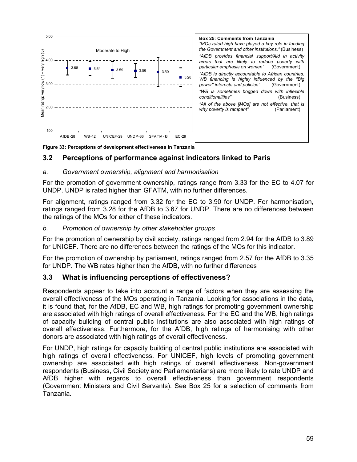

Figure 33: Perceptions of development effectiveness in Tanzania

## 3.2 Perceptions of performance against indicators linked to Paris

#### a. Government ownership, alignment and harmonisation

For the promotion of government ownership, ratings range from 3.33 for the EC to 4.07 for UNDP. UNDP is rated higher than GFATM, with no further differences.

For alignment, ratings ranged from 3.32 for the EC to 3.90 for UNDP. For harmonisation, ratings ranged from 3.28 for the AfDB to 3.67 for UNDP. There are no differences between the ratings of the MOs for either of these indicators.

#### b. Promotion of ownership by other stakeholder groups

For the promotion of ownership by civil society, ratings ranged from 2.94 for the AfDB to 3.89 for UNICEF. There are no differences between the ratings of the MOs for this indicator.

For the promotion of ownership by parliament, ratings ranged from 2.57 for the AfDB to 3.35 for UNDP. The WB rates higher than the AfDB, with no further differences

## 3.3 What is influencing perceptions of effectiveness?

Respondents appear to take into account a range of factors when they are assessing the overall effectiveness of the MOs operating in Tanzania. Looking for associations in the data, it is found that, for the AfDB, EC and WB, high ratings for promoting government ownership are associated with high ratings of overall effectiveness. For the EC and the WB, high ratings of capacity building of central public institutions are also associated with high ratings of overall effectiveness. Furthermore, for the AfDB, high ratings of harmonising with other donors are associated with high ratings of overall effectiveness.

For UNDP, high ratings for capacity building of central public institutions are associated with high ratings of overall effectiveness. For UNICEF, high levels of promoting government ownership are associated with high ratings of overall effectiveness. Non-government respondents (Business, Civil Society and Parliamentarians) are more likely to rate UNDP and AfDB higher with regards to overall effectiveness than government respondents (Government Ministers and Civil Servants). See Box 25 for a selection of comments from Tanzania.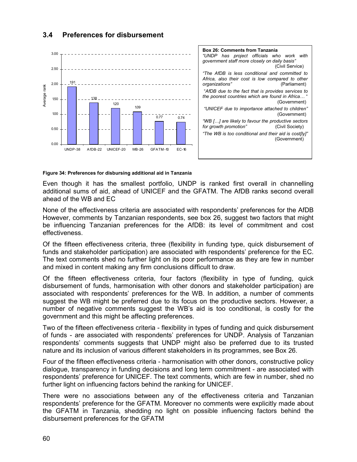

# 3.4 Preferences for disbursement

#### Figure 34: Preferences for disbursing additional aid in Tanzania

Even though it has the smallest portfolio, UNDP is ranked first overall in channelling additional sums of aid, ahead of UNICEF and the GFATM. The AfDB ranks second overall ahead of the WB and EC

None of the effectiveness criteria are associated with respondents' preferences for the AfDB However, comments by Tanzanian respondents, see box 26, suggest two factors that might be influencing Tanzanian preferences for the AfDB: its level of commitment and cost effectiveness.

Of the fifteen effectiveness criteria, three (flexibility in funding type, quick disbursement of funds and stakeholder participation) are associated with respondents' preference for the EC. The text comments shed no further light on its poor performance as they are few in number and mixed in content making any firm conclusions difficult to draw.

Of the fifteen effectiveness criteria, four factors (flexibility in type of funding, quick disbursement of funds, harmonisation with other donors and stakeholder participation) are associated with respondents' preferences for the WB. In addition, a number of comments suggest the WB might be preferred due to its focus on the productive sectors. However, a number of negative comments suggest the WB's aid is too conditional, is costly for the government and this might be affecting preferences.

Two of the fifteen effectiveness criteria - flexibility in types of funding and quick disbursement of funds - are associated with respondents' preferences for UNDP. Analysis of Tanzanian respondents' comments suggests that UNDP might also be preferred due to its trusted nature and its inclusion of various different stakeholders in its programmes, see Box 26.

Four of the fifteen effectiveness criteria - harmonisation with other donors, constructive policy dialogue, transparency in funding decisions and long term commitment - are associated with respondents' preference for UNICEF. The text comments, which are few in number, shed no further light on influencing factors behind the ranking for UNICEF.

There were no associations between any of the effectiveness criteria and Tanzanian respondents' preference for the GFATM. Moreover no comments were explicitly made about the GFATM in Tanzania, shedding no light on possible influencing factors behind the disbursement preferences for the GFATM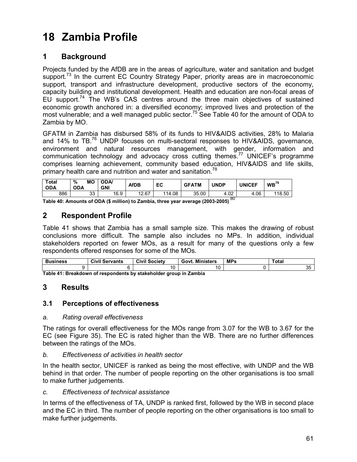# 18 Zambia Profile

# 1 Background

Projects funded by the AfDB are in the areas of agriculture, water and sanitation and budget support.<sup>73</sup> In the current EC Country Strategy Paper, priority areas are in macroeconomic support, transport and infrastructure development, productive sectors of the economy, capacity building and institutional development. Health and education are non-focal areas of EU support.<sup>74</sup> The WB's CAS centres around the three main objectives of sustained economic growth anchored in: a diversified economy; improved lives and protection of the most vulnerable; and a well managed public sector.<sup>75</sup> See Table 40 for the amount of ODA to Zambia by MO.

GFATM in Zambia has disbursed 58% of its funds to HIV&AIDS activities, 28% to Malaria and 14% to TB.<sup>76</sup> UNDP focuses on multi-sectoral responses to HIV&AIDS, governance, environment and natural resources management, with gender, information and communication technology and advocacy cross cutting themes.<sup>77</sup> UNICEF's programme comprises learning achievement, community based education, HIV&AIDS and life skills, primary health care and nutrition and water and sanitation.<sup>78</sup>

| Total<br><b>ODA</b> | MО<br>%<br><b>ODA</b> | <b>ODA</b><br><b>GNI</b> | <b>AfDB</b> | EC     | <b>GFATM</b> | <b>UNDP</b> | <b>UNICEF</b> | WB <sup>79</sup> |
|---------------------|-----------------------|--------------------------|-------------|--------|--------------|-------------|---------------|------------------|
| 886                 | າາ<br>ບບ              | 16.9                     | .2.67<br>10 | 114.08 | 35.00        | 4.02        | 1.06          | 118.50           |
|                     |                       |                          |             |        |              | o∩          |               |                  |

Table 40: Amounts of ODA (\$ million) to Zambia, three year average (2003-2005)<sup>60</sup>

# 2 Respondent Profile

Table 41 shows that Zambia has a small sample size. This makes the drawing of robust conclusions more difficult. The sample also includes no MPs. In addition, individual stakeholders reported on fewer MOs, as a result for many of the questions only a few respondents offered responses for some of the MOs.

| <b>Business</b>                                                          | Civil<br>Servants | Civil<br><b>Societv</b> | <b>Ministers</b><br>Govt. | <b>MPs</b> | Total |  |  |  |  |  |
|--------------------------------------------------------------------------|-------------------|-------------------------|---------------------------|------------|-------|--|--|--|--|--|
|                                                                          |                   | $\sim$<br>u             |                           |            | ັບ    |  |  |  |  |  |
| Table Ad: Desalcalation of essessabeths burstalcabaldes sessos la Zambia |                   |                         |                           |            |       |  |  |  |  |  |

Table 41: Breakdown of respondents by stakeholder group in Zambia

# 3 Results

## 3.1 Perceptions of effectiveness

#### a. Rating overall effectiveness

The ratings for overall effectiveness for the MOs range from 3.07 for the WB to 3.67 for the EC (see Figure 35). The EC is rated higher than the WB. There are no further differences between the ratings of the MOs.

#### b. Effectiveness of activities in health sector

In the health sector, UNICEF is ranked as being the most effective, with UNDP and the WB behind in that order. The number of people reporting on the other organisations is too small to make further judgements.

#### c. Effectiveness of technical assistance

In terms of the effectiveness of TA, UNDP is ranked first, followed by the WB in second place and the EC in third. The number of people reporting on the other organisations is too small to make further judgements.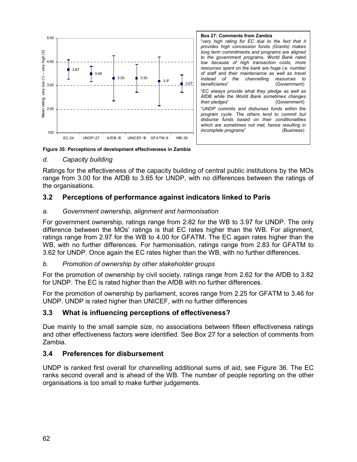

Box 27: Comments from Zambia "very high rating for EC due to the fact that it provides high concession funds (Grants) makes long term commitments and programs are aligned to the government programs, World Bank rated low because of high transaction costs, more resources spent on the bank are huge i.e. number of staff and their maintenance as well as travel<br>instead of the channelling resources to resources to beneficiaries" (Government) "EC always provide what they pledge as well as AfDB while the World Bank sometimes changes their pledges" (Government) "UNDP commits and disburses funds within the program cycle. The others tend to commit but disburse funds based on their conditionalities which are sometimes not met, hence resulting in incomplete programs" (Business)

Figure 35: Perceptions of development effectiveness in Zambia

#### d. Capacity building

Ratings for the effectiveness of the capacity building of central public institutions by the MOs range from 3.00 for the AfDB to 3.65 for UNDP, with no differences between the ratings of the organisations.

#### 3.2 Perceptions of performance against indicators linked to Paris

#### a. Government ownership, alignment and harmonisation

For government ownership, ratings range from 2.82 for the WB to 3.97 for UNDP. The only difference between the MOs' ratings is that EC rates higher than the WB. For alignment, ratings range from 2.97 for the WB to 4.00 for GFATM. The EC again rates higher than the WB, with no further differences. For harmonisation, ratings range from 2.83 for GFATM to 3.62 for UNDP. Once again the EC rates higher than the WB, with no further differences.

#### b. Promotion of ownership by other stakeholder groups

For the promotion of ownership by civil society, ratings range from 2.62 for the AfDB to 3.82 for UNDP. The EC is rated higher than the AfDB with no further differences.

For the promotion of ownership by parliament, scores range from 2.25 for GFATM to 3.46 for UNDP. UNDP is rated higher than UNICEF, with no further differences

#### 3.3 What is influencing perceptions of effectiveness?

Due mainly to the small sample size, no associations between fifteen effectiveness ratings and other effectiveness factors were identified. See Box 27 for a selection of comments from Zambia.

#### 3.4 Preferences for disbursement

UNDP is ranked first overall for channelling additional sums of aid, see Figure 36. The EC ranks second overall and is ahead of the WB. The number of people reporting on the other organisations is too small to make further judgements.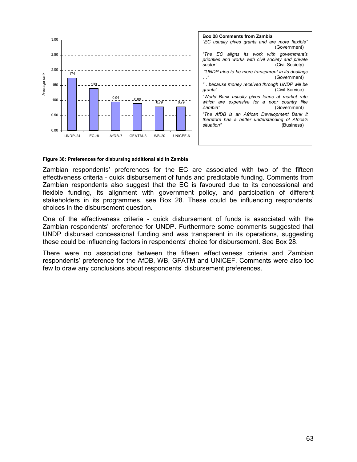

#### Figure 36: Preferences for disbursing additional aid in Zambia

Zambian respondents' preferences for the EC are associated with two of the fifteen effectiveness criteria - quick disbursement of funds and predictable funding. Comments from Zambian respondents also suggest that the EC is favoured due to its concessional and flexible funding, its alignment with government policy, and participation of different stakeholders in its programmes, see Box 28. These could be influencing respondents' choices in the disbursement question.

One of the effectiveness criteria - quick disbursement of funds is associated with the Zambian respondents' preference for UNDP. Furthermore some comments suggested that UNDP disbursed concessional funding and was transparent in its operations, suggesting these could be influencing factors in respondents' choice for disbursement. See Box 28.

There were no associations between the fifteen effectiveness criteria and Zambian respondents' preference for the AfDB, WB, GFATM and UNICEF. Comments were also too few to draw any conclusions about respondents' disbursement preferences.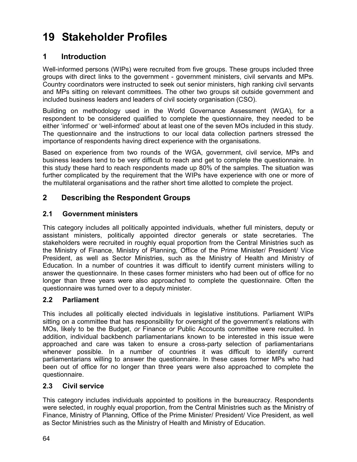# 19 Stakeholder Profiles

# 1 Introduction

Well-informed persons (WIPs) were recruited from five groups. These groups included three groups with direct links to the government - government ministers, civil servants and MPs. Country coordinators were instructed to seek out senior ministers, high ranking civil servants and MPs sitting on relevant committees. The other two groups sit outside government and included business leaders and leaders of civil society organisation (CSO).

Building on methodology used in the World Governance Assessment (WGA), for a respondent to be considered qualified to complete the questionnaire, they needed to be either 'informed' or 'well-informed' about at least one of the seven MOs included in this study. The questionnaire and the instructions to our local data collection partners stressed the importance of respondents having direct experience with the organisations.

Based on experience from two rounds of the WGA, government, civil service, MPs and business leaders tend to be very difficult to reach and get to complete the questionnaire. In this study these hard to reach respondents made up 80% of the samples. The situation was further complicated by the requirement that the WIPs have experience with one or more of the multilateral organisations and the rather short time allotted to complete the project.

# 2 Describing the Respondent Groups

## 2.1 Government ministers

This category includes all politically appointed individuals, whether full ministers, deputy or assistant ministers, politically appointed director generals or state secretaries. The stakeholders were recruited in roughly equal proportion from the Central Ministries such as the Ministry of Finance, Ministry of Planning, Office of the Prime Minister/ President/ Vice President, as well as Sector Ministries, such as the Ministry of Health and Ministry of Education. In a number of countries it was difficult to identify current ministers willing to answer the questionnaire. In these cases former ministers who had been out of office for no longer than three years were also approached to complete the questionnaire. Often the questionnaire was turned over to a deputy minister.

# 2.2 Parliament

This includes all politically elected individuals in legislative institutions. Parliament WIPs sitting on a committee that has responsibility for oversight of the government's relations with MOs, likely to be the Budget, or Finance or Public Accounts committee were recruited. In addition, individual backbench parliamentarians known to be interested in this issue were approached and care was taken to ensure a cross-party selection of parliamentarians whenever possible. In a number of countries it was difficult to identify current parliamentarians willing to answer the questionnaire. In these cases former MPs who had been out of office for no longer than three years were also approached to complete the questionnaire.

# 2.3 Civil service

This category includes individuals appointed to positions in the bureaucracy. Respondents were selected, in roughly equal proportion, from the Central Ministries such as the Ministry of Finance, Ministry of Planning, Office of the Prime Minister/ President/ Vice President, as well as Sector Ministries such as the Ministry of Health and Ministry of Education.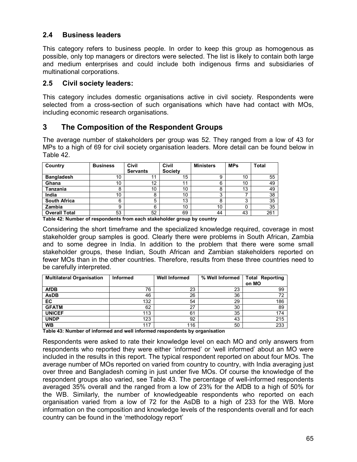### 2.4 Business leaders

This category refers to business people. In order to keep this group as homogenous as possible, only top managers or directors were selected. The list is likely to contain both large and medium enterprises and could include both indigenous firms and subsidiaries of multinational corporations.

### 2.5 Civil society leaders:

This category includes domestic organisations active in civil society. Respondents were selected from a cross-section of such organisations which have had contact with MOs, including economic research organisations.

## 3 The Composition of the Respondent Groups

The average number of stakeholders per group was 52. They ranged from a low of 43 for MPs to a high of 69 for civil society organisation leaders. More detail can be found below in Table 42.

| Country              | <b>Business</b> | Civil<br><b>Servants</b> | Civil<br><b>Society</b> | <b>Ministers</b> | <b>MPs</b> | <b>Total</b> |
|----------------------|-----------------|--------------------------|-------------------------|------------------|------------|--------------|
| <b>Bangladesh</b>    | 10              | 11                       | 15                      | 9                | 10         | 55           |
| Ghana                | 10              | 12                       | 11                      | 6                | 10         | 49           |
| Tanzania             | 8               | 10                       | 10                      | 8                | 13         | 49           |
| India                | 10              | 8                        | 10                      | ≘<br>ت           |            | 38           |
| <b>South Africa</b>  | 6               | 5                        | 13                      | 8                | ົ          | 35           |
| Zambia               | 9               | 6                        | 10                      | 10               |            | 35           |
| <b>Overall Total</b> | 53              | 52                       | 69                      | 44               | 43         | 261          |

Table 42: Number of respondents from each stakeholder group by country

Considering the short timeframe and the specialized knowledge required, coverage in most stakeholder group samples is good. Clearly there were problems in South African, Zambia and to some degree in India. In addition to the problem that there were some small stakeholder groups, these Indian, South African and Zambian stakeholders reported on fewer MOs than in the other countries. Therefore, results from these three countries need to be carefully interpreted.

| <b>Multilateral Organisation</b> | <b>Informed</b> | <b>Well Informed</b> | % Well Informed | <b>Total Reporting</b> |
|----------------------------------|-----------------|----------------------|-----------------|------------------------|
|                                  |                 |                      |                 | on MO                  |
| <b>AfDB</b>                      | 76              | 23                   | 23              | 99                     |
| <b>AsDB</b>                      | 46              | 26                   | 36              | 72                     |
| EC                               | 132             | 54                   | 29              | 186                    |
| <b>GFATM</b>                     | 62              | 27                   | 30              | 89                     |
| <b>UNICEF</b>                    | 113             | 61                   | 35              | 174                    |
| <b>UNDP</b>                      | 123             | 92                   | 43              | 215                    |
| <b>WB</b>                        | 117             | 116                  | 50              | 233                    |

Table 43: Number of informed and well informed respondents by organisation

Respondents were asked to rate their knowledge level on each MO and only answers from respondents who reported they were either 'informed' or 'well informed' about an MO were included in the results in this report. The typical respondent reported on about four MOs. The average number of MOs reported on varied from country to country, with India averaging just over three and Bangladesh coming in just under five MOs. Of course the knowledge of the respondent groups also varied, see Table 43. The percentage of well-informed respondents averaged 35% overall and the ranged from a low of 23% for the AfDB to a high of 50% for the WB. Similarly, the number of knowledgeable respondents who reported on each organisation varied from a low of 72 for the AsDB to a high of 233 for the WB. More information on the composition and knowledge levels of the respondents overall and for each country can be found in the 'methodology report'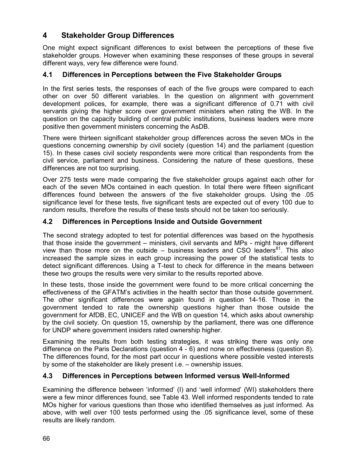# 4 Stakeholder Group Differences

One might expect significant differences to exist between the perceptions of these five stakeholder groups. However when examining these responses of these groups in several different ways, very few difference were found.

### 4.1 Differences in Perceptions between the Five Stakeholder Groups

In the first series tests, the responses of each of the five groups were compared to each other on over 50 different variables. In the question on alignment with government development polices, for example, there was a significant difference of 0.71 with civil servants giving the higher score over government ministers when rating the WB. In the question on the capacity building of central public institutions, business leaders were more positive then government ministers concerning the AsDB.

There were thirteen significant stakeholder group differences across the seven MOs in the questions concerning ownership by civil society (question 14) and the parliament (question 15). In these cases civil society respondents were more critical than respondents from the civil service, parliament and business. Considering the nature of these questions, these differences are not too surprising.

Over 275 tests were made comparing the five stakeholder groups against each other for each of the seven MOs contained in each question. In total there were fifteen significant differences found between the answers of the five stakeholder groups. Using the .05 significance level for these tests, five significant tests are expected out of every 100 due to random results, therefore the results of these tests should not be taken too seriously.

### 4.2 Differences in Perceptions Inside and Outside Government

The second strategy adopted to test for potential differences was based on the hypothesis that those inside the government – ministers, civil servants and MPs - might have different view than those more on the outside  $-$  business leaders and CSO leaders<sup>81</sup>. This also increased the sample sizes in each group increasing the power of the statistical tests to detect significant differences. Using a T-test to check for difference in the means between these two groups the results were very similar to the results reported above.

In these tests, those inside the government were found to be more critical concerning the effectiveness of the GFATM's activities in the health sector than those outside government. The other significant differences were again found in question 14-16. Those in the government tended to rate the ownership questions higher than those outside the government for AfDB, EC, UNICEF and the WB on question 14, which asks about ownership by the civil society. On question 15, ownership by the parliament, there was one difference for UNDP where government insiders rated ownership higher.

Examining the results from both testing strategies, it was striking there was only one difference on the Paris Declarations (question 4 - 6) and none on effectiveness (question 8). The differences found, for the most part occur in questions where possible vested interests by some of the stakeholder are likely present i.e. – ownership issues.

### 4.3 Differences in Perceptions between Informed versus Well-Informed

Examining the difference between 'informed' (I) and 'well informed' (WI) stakeholders there were a few minor differences found, see Table 43. Well informed respondents tended to rate MOs higher for various questions than those who identified themselves as just informed. As above, with well over 100 tests performed using the .05 significance level, some of these results are likely random.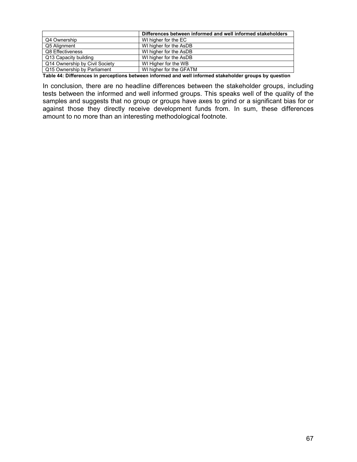|                                                                                                        | Differences between informed and well informed stakeholders |  |  |  |
|--------------------------------------------------------------------------------------------------------|-------------------------------------------------------------|--|--|--|
| Q4 Ownership                                                                                           | WI higher for the EC                                        |  |  |  |
| Q5 Alignment                                                                                           | WI higher for the AsDB                                      |  |  |  |
| Q8 Effectiveness                                                                                       | WI higher for the AsDB                                      |  |  |  |
| Q13 Capacity building                                                                                  | WI higher for the AsDB                                      |  |  |  |
| Q14 Ownership by Civil Society                                                                         | WI Higher for the WB                                        |  |  |  |
| Q15 Ownership by Parliament                                                                            | WI higher for the GFATM                                     |  |  |  |
| Table 44: Differences in perceptions between informed and well informed stakeholder groups by question |                                                             |  |  |  |

Table 44: Differences in perceptions between informed and well informed stakeholder groups by question

In conclusion, there are no headline differences between the stakeholder groups, including tests between the informed and well informed groups. This speaks well of the quality of the samples and suggests that no group or groups have axes to grind or a significant bias for or against those they directly receive development funds from. In sum, these differences amount to no more than an interesting methodological footnote.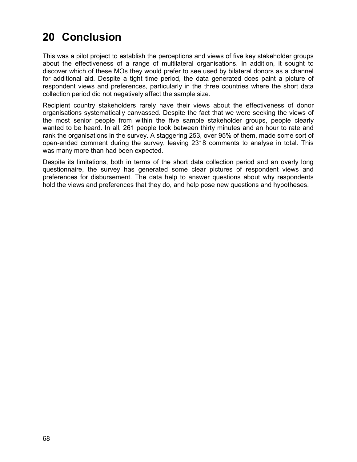# 20 Conclusion

This was a pilot project to establish the perceptions and views of five key stakeholder groups about the effectiveness of a range of multilateral organisations. In addition, it sought to discover which of these MOs they would prefer to see used by bilateral donors as a channel for additional aid. Despite a tight time period, the data generated does paint a picture of respondent views and preferences, particularly in the three countries where the short data collection period did not negatively affect the sample size.

Recipient country stakeholders rarely have their views about the effectiveness of donor organisations systematically canvassed. Despite the fact that we were seeking the views of the most senior people from within the five sample stakeholder groups, people clearly wanted to be heard. In all, 261 people took between thirty minutes and an hour to rate and rank the organisations in the survey. A staggering 253, over 95% of them, made some sort of open-ended comment during the survey, leaving 2318 comments to analyse in total. This was many more than had been expected.

Despite its limitations, both in terms of the short data collection period and an overly long questionnaire, the survey has generated some clear pictures of respondent views and preferences for disbursement. The data help to answer questions about why respondents hold the views and preferences that they do, and help pose new questions and hypotheses.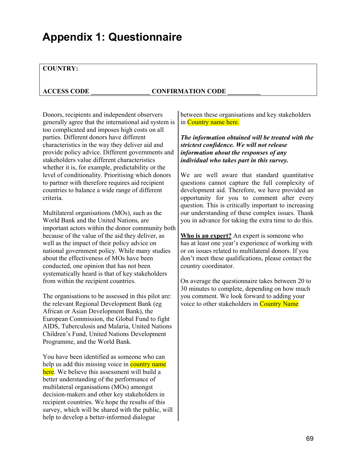# Appendix 1: Questionnaire

#### COUNTRY:

#### ACCESS CODE \_\_\_\_\_\_\_\_\_\_\_\_\_\_\_\_\_\_ CONFIRMATION CODE \_\_\_\_\_\_\_\_\_\_

Donors, recipients and independent observers generally agree that the international aid system is too complicated and imposes high costs on all parties. Different donors have different characteristics in the way they deliver aid and provide policy advice. Different governments and stakeholders value different characteristics whether it is, for example, predictability or the level of conditionality. Prioritising which donors to partner with therefore requires aid recipient countries to balance a wide range of different criteria.

Multilateral organisations (MOs), such as the World Bank and the United Nations, are important actors within the donor community both because of the value of the aid they deliver, as well as the impact of their policy advice on national government policy. While many studies about the effectiveness of MOs have been conducted, one opinion that has not been systematically heard is that of key stakeholders from within the recipient countries.

The organisations to be assessed in this pilot are: the relevant Regional Development Bank (eg African or Asian Development Bank), the European Commission, the Global Fund to fight AIDS, Tuberculosis and Malaria, United Nations Children's Fund, United Nations Development Programme, and the World Bank.

You have been identified as someone who can help us add this missing voice in **country name** here. We believe this assessment will build a better understanding of the performance of multilateral organisations (MOs) amongst decision-makers and other key stakeholders in recipient countries. We hope the results of this survey, which will be shared with the public, will help to develop a better-informed dialogue

between these organisations and key stakeholders in Country name here.

The information obtained will be treated with the strictest confidence. We will not release information about the responses of any individual who takes part in this survey.

We are well aware that standard quantitative questions cannot capture the full complexity of development aid. Therefore, we have provided an opportunity for you to comment after every question. This is critically important to increasing our understanding of these complex issues. Thank you in advance for taking the extra time to do this.

Who is an expert? An expert is someone who has at least one year's experience of working with or on issues related to multilateral donors. If you don't meet these qualifications, please contact the country coordinator.

On average the questionnaire takes between 20 to 30 minutes to complete, depending on how much you comment. We look forward to adding your voice to other stakeholders in Country Name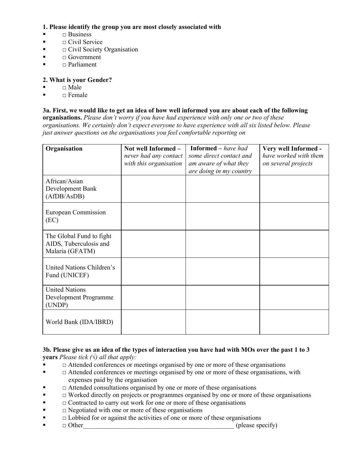### 1. Please identify the group you are most closely associated with

- $\blacksquare$   $\blacksquare$  Business
- $\blacksquare$   $\Box$  Civil Service
- $\blacksquare$   $\Box$  Civil Society Organisation
- $\blacksquare$   $\blacksquare$  Government
- $\blacksquare$   $\blacksquare$  Parliament

### 2. What is your Gender?

- $\blacksquare$   $\blacksquare$  Male
- $\blacksquare$   $\blacksquare$  Female

#### 3a. First, we would like to get an idea of how well informed you are about each of the following

organisations. Please don't worry if you have had experience with only one or two of these organisations. We certainly don't expect everyone to have experience with all six listed below. Please just answer questions on the organisations you feel comfortable reporting on

| Organisation                                                          | Not well Informed -<br>never had any contact<br>with this organisation | <b>Informed</b> – have had<br>some direct contact and<br>am aware of what they<br>are doing in my country | Very well Informed -<br>have worked with them<br>on several projects |
|-----------------------------------------------------------------------|------------------------------------------------------------------------|-----------------------------------------------------------------------------------------------------------|----------------------------------------------------------------------|
| African/Asian<br>Development Bank<br>(AfDB/AsDB)                      |                                                                        |                                                                                                           |                                                                      |
| <b>European Commission</b><br>(EC)                                    |                                                                        |                                                                                                           |                                                                      |
| The Global Fund to fight<br>AIDS, Tuberculosis and<br>Malaria (GFATM) |                                                                        |                                                                                                           |                                                                      |
| United Nations Children's<br>Fund (UNICEF)                            |                                                                        |                                                                                                           |                                                                      |
| <b>United Nations</b><br>Development Programme<br>(UNDP)              |                                                                        |                                                                                                           |                                                                      |
| World Bank (IDA/IBRD)                                                 |                                                                        |                                                                                                           |                                                                      |

#### 3b. Please give us an idea of the types of interaction you have had with MOs over the past 1 to 3 **years** Please tick  $(\forall)$  all that apply:

- □ Attended conferences or meetings organised by one or more of these organisations
- □ Attended conferences or meetings organised by one or more of these organisations, with expenses paid by the organisation
- $\blacksquare$   $\Box$  Attended consultations organised by one or more of these organisations
- $\blacksquare$   $\Box$  Worked directly on projects or programmes organised by one or more of these organisations
- $\blacksquare$   $\Box$  Contracted to carry out work for one or more of these organisations
- $\blacksquare$   $\blacksquare$  Negotiated with one or more of these organisations
- $\blacksquare$   $\Box$  Lobbied for or against the activities of one or more of these organisations
- $\blacksquare$   $\Box$  Other  $\Box$  Other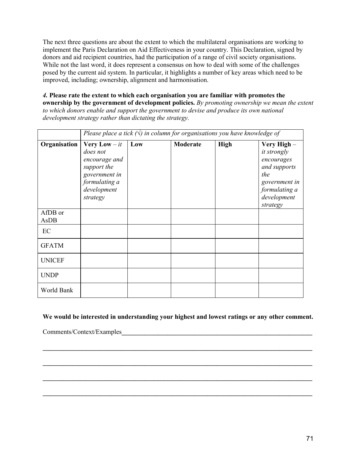The next three questions are about the extent to which the multilateral organisations are working to implement the Paris Declaration on Aid Effectiveness in your country. This Declaration, signed by donors and aid recipient countries, had the participation of a range of civil society organisations. While not the last word, it does represent a consensus on how to deal with some of the challenges posed by the current aid system. In particular, it highlights a number of key areas which need to be improved, including; ownership, alignment and harmonisation.

4. Please rate the extent to which each organisation you are familiar with promotes the ownership by the government of development policies. By promoting ownership we mean the extent to which donors enable and support the government to devise and produce its own national development strategy rather than dictating the strategy.

|                 | Please place a tick $(\sqrt{})$ in column for organisations you have knowledge of                                               |     |          |             |                                                                                                                                     |
|-----------------|---------------------------------------------------------------------------------------------------------------------------------|-----|----------|-------------|-------------------------------------------------------------------------------------------------------------------------------------|
| Organisation    | <b>Very Low</b> $- it$<br>does not<br>encourage and<br>support the<br>government in<br>formulating a<br>development<br>strategy | Low | Moderate | <b>High</b> | Very High -<br><i>it strongly</i><br>encourages<br>and supports<br>the<br>government in<br>formulating a<br>development<br>strategy |
| AfDB or<br>AsDB |                                                                                                                                 |     |          |             |                                                                                                                                     |
| EC              |                                                                                                                                 |     |          |             |                                                                                                                                     |
| <b>GFATM</b>    |                                                                                                                                 |     |          |             |                                                                                                                                     |
| <b>UNICEF</b>   |                                                                                                                                 |     |          |             |                                                                                                                                     |
| <b>UNDP</b>     |                                                                                                                                 |     |          |             |                                                                                                                                     |
| World Bank      |                                                                                                                                 |     |          |             |                                                                                                                                     |

#### We would be interested in understanding your highest and lowest ratings or any other comment.

\_\_\_\_\_\_\_\_\_\_\_\_\_\_\_\_\_\_\_\_\_\_\_\_\_\_\_\_\_\_\_\_\_\_\_\_\_\_\_\_\_\_\_\_\_\_\_\_\_\_\_\_\_\_\_\_\_\_\_\_\_\_\_\_\_\_\_\_\_\_\_\_\_\_\_\_\_\_\_\_\_\_

\_\_\_\_\_\_\_\_\_\_\_\_\_\_\_\_\_\_\_\_\_\_\_\_\_\_\_\_\_\_\_\_\_\_\_\_\_\_\_\_\_\_\_\_\_\_\_\_\_\_\_\_\_\_\_\_\_\_\_\_\_\_\_\_\_\_\_\_\_\_\_\_\_\_\_\_\_\_\_\_\_\_

\_\_\_\_\_\_\_\_\_\_\_\_\_\_\_\_\_\_\_\_\_\_\_\_\_\_\_\_\_\_\_\_\_\_\_\_\_\_\_\_\_\_\_\_\_\_\_\_\_\_\_\_\_\_\_\_\_\_\_\_\_\_\_\_\_\_\_\_\_\_\_\_\_\_\_\_\_\_\_\_\_\_

\_\_\_\_\_\_\_\_\_\_\_\_\_\_\_\_\_\_\_\_\_\_\_\_\_\_\_\_\_\_\_\_\_\_\_\_\_\_\_\_\_\_\_\_\_\_\_\_\_\_\_\_\_\_\_\_\_\_\_\_\_\_\_\_\_\_\_\_\_\_\_\_\_\_\_\_\_\_\_\_\_\_

Comments/Context/Examples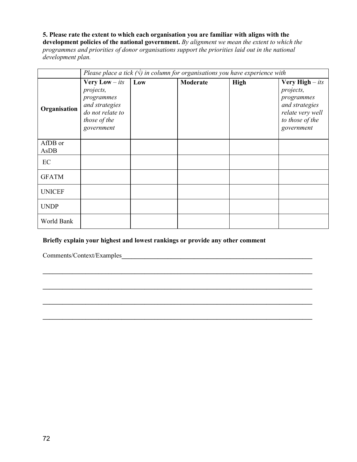### 5. Please rate the extent to which each organisation you are familiar with aligns with the

development policies of the national government. By alignment we mean the extent to which the programmes and priorities of donor organisations support the priorities laid out in the national development plan.

|                 | Please place a tick $(\forall)$ in column for organisations you have experience with                                          |     |          |             |                                                                                                                                   |  |
|-----------------|-------------------------------------------------------------------------------------------------------------------------------|-----|----------|-------------|-----------------------------------------------------------------------------------------------------------------------------------|--|
| Organisation    | <b>Very Low</b> $-$ <i>its</i><br>projects,<br>programmes<br>and strategies<br>do not relate to<br>those of the<br>government | Low | Moderate | <b>High</b> | <b>Very High</b> $-$ <i>its</i><br>projects,<br>programmes<br>and strategies<br>relate very well<br>to those of the<br>government |  |
| AfDB or<br>AsDB |                                                                                                                               |     |          |             |                                                                                                                                   |  |
| EC              |                                                                                                                               |     |          |             |                                                                                                                                   |  |
| <b>GFATM</b>    |                                                                                                                               |     |          |             |                                                                                                                                   |  |
| <b>UNICEF</b>   |                                                                                                                               |     |          |             |                                                                                                                                   |  |
| <b>UNDP</b>     |                                                                                                                               |     |          |             |                                                                                                                                   |  |
| World Bank      |                                                                                                                               |     |          |             |                                                                                                                                   |  |

#### Briefly explain your highest and lowest rankings or provide any other comment

\_\_\_\_\_\_\_\_\_\_\_\_\_\_\_\_\_\_\_\_\_\_\_\_\_\_\_\_\_\_\_\_\_\_\_\_\_\_\_\_\_\_\_\_\_\_\_\_\_\_\_\_\_\_\_\_\_\_\_\_\_\_\_\_\_\_\_\_\_\_\_\_\_\_\_\_\_\_\_\_\_\_

\_\_\_\_\_\_\_\_\_\_\_\_\_\_\_\_\_\_\_\_\_\_\_\_\_\_\_\_\_\_\_\_\_\_\_\_\_\_\_\_\_\_\_\_\_\_\_\_\_\_\_\_\_\_\_\_\_\_\_\_\_\_\_\_\_\_\_\_\_\_\_\_\_\_\_\_\_\_\_\_\_\_

\_\_\_\_\_\_\_\_\_\_\_\_\_\_\_\_\_\_\_\_\_\_\_\_\_\_\_\_\_\_\_\_\_\_\_\_\_\_\_\_\_\_\_\_\_\_\_\_\_\_\_\_\_\_\_\_\_\_\_\_\_\_\_\_\_\_\_\_\_\_\_\_\_\_\_\_\_\_\_\_\_\_

\_\_\_\_\_\_\_\_\_\_\_\_\_\_\_\_\_\_\_\_\_\_\_\_\_\_\_\_\_\_\_\_\_\_\_\_\_\_\_\_\_\_\_\_\_\_\_\_\_\_\_\_\_\_\_\_\_\_\_\_\_\_\_\_\_\_\_\_\_\_\_\_\_\_\_\_\_\_\_\_\_\_

Comments/Context/Examples\_\_\_\_\_\_\_\_\_\_\_\_\_\_\_\_\_\_\_\_\_\_\_\_\_\_\_\_\_\_\_\_\_\_\_\_\_\_\_\_\_\_\_\_\_\_\_\_\_\_\_\_\_\_\_\_\_\_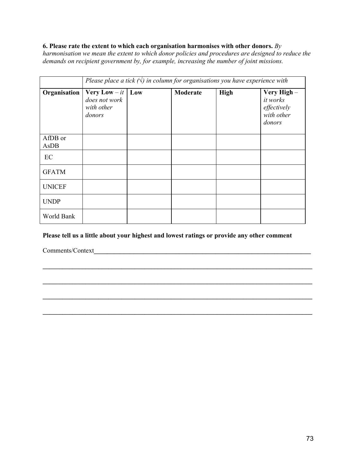### 6. Please rate the extent to which each organisation harmonises with other donors. By

harmonisation we mean the extent to which donor policies and procedures are designed to reduce the demands on recipient government by, for example, increasing the number of joint missions.

|                 | Please place a tick $(\sqrt{})$ in column for organisations you have experience with |  |          |             |                                                                      |
|-----------------|--------------------------------------------------------------------------------------|--|----------|-------------|----------------------------------------------------------------------|
| Organisation    | Very Low $-it$   Low<br>does not work<br>with other<br>donors                        |  | Moderate | <b>High</b> | Very High-<br><i>it</i> works<br>effectively<br>with other<br>donors |
| AfDB or<br>AsDB |                                                                                      |  |          |             |                                                                      |
| EC              |                                                                                      |  |          |             |                                                                      |
| <b>GFATM</b>    |                                                                                      |  |          |             |                                                                      |
| <b>UNICEF</b>   |                                                                                      |  |          |             |                                                                      |
| <b>UNDP</b>     |                                                                                      |  |          |             |                                                                      |
| World Bank      |                                                                                      |  |          |             |                                                                      |

### Please tell us a little about your highest and lowest ratings or provide any other comment

\_\_\_\_\_\_\_\_\_\_\_\_\_\_\_\_\_\_\_\_\_\_\_\_\_\_\_\_\_\_\_\_\_\_\_\_\_\_\_\_\_\_\_\_\_\_\_\_\_\_\_\_\_\_\_\_\_\_\_\_\_\_\_\_\_\_\_\_\_\_\_\_\_\_\_\_\_\_\_\_\_\_

\_\_\_\_\_\_\_\_\_\_\_\_\_\_\_\_\_\_\_\_\_\_\_\_\_\_\_\_\_\_\_\_\_\_\_\_\_\_\_\_\_\_\_\_\_\_\_\_\_\_\_\_\_\_\_\_\_\_\_\_\_\_\_\_\_\_\_\_\_\_\_\_\_\_\_\_\_\_\_\_\_\_

\_\_\_\_\_\_\_\_\_\_\_\_\_\_\_\_\_\_\_\_\_\_\_\_\_\_\_\_\_\_\_\_\_\_\_\_\_\_\_\_\_\_\_\_\_\_\_\_\_\_\_\_\_\_\_\_\_\_\_\_\_\_\_\_\_\_\_\_\_\_\_\_\_\_\_\_\_\_\_\_\_\_

\_\_\_\_\_\_\_\_\_\_\_\_\_\_\_\_\_\_\_\_\_\_\_\_\_\_\_\_\_\_\_\_\_\_\_\_\_\_\_\_\_\_\_\_\_\_\_\_\_\_\_\_\_\_\_\_\_\_\_\_\_\_\_\_\_\_\_\_\_\_\_\_\_\_\_\_\_\_\_\_\_\_

Comments/Context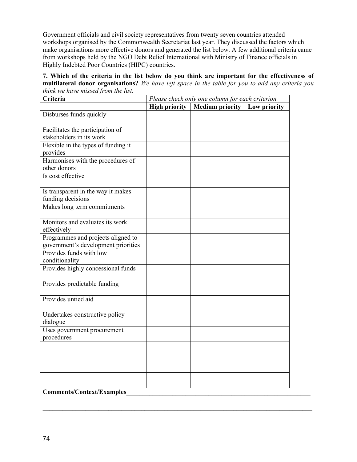Government officials and civil society representatives from twenty seven countries attended workshops organised by the Commonwealth Secretariat last year. They discussed the factors which make organisations more effective donors and generated the list below. A few additional criteria came from workshops held by the NGO Debt Relief International with Ministry of Finance officials in Highly Indebted Poor Countries (HIPC) countries.

| 7. Which of the criteria in the list below do you think are important for the effectiveness of           |  |  |  |
|----------------------------------------------------------------------------------------------------------|--|--|--|
| <b>multilateral donor organisations?</b> We have left space in the table for you to add any criteria you |  |  |  |
| think we have missed from the list.                                                                      |  |  |  |

| Criteria                                                       | Please check only one column for each criterion. |                        |              |  |
|----------------------------------------------------------------|--------------------------------------------------|------------------------|--------------|--|
|                                                                | <b>High priority</b>                             | <b>Medium priority</b> | Low priority |  |
| Disburses funds quickly                                        |                                                  |                        |              |  |
| Facilitates the participation of                               |                                                  |                        |              |  |
| stakeholders in its work                                       |                                                  |                        |              |  |
| Flexible in the types of funding it                            |                                                  |                        |              |  |
| provides                                                       |                                                  |                        |              |  |
| Harmonises with the procedures of                              |                                                  |                        |              |  |
| other donors                                                   |                                                  |                        |              |  |
| Is cost effective                                              |                                                  |                        |              |  |
| Is transparent in the way it makes                             |                                                  |                        |              |  |
| funding decisions                                              |                                                  |                        |              |  |
| Makes long term commitments                                    |                                                  |                        |              |  |
| Monitors and evaluates its work                                |                                                  |                        |              |  |
| effectively                                                    |                                                  |                        |              |  |
| Programmes and projects aligned to                             |                                                  |                        |              |  |
| government's development priorities<br>Provides funds with low |                                                  |                        |              |  |
| conditionality                                                 |                                                  |                        |              |  |
| Provides highly concessional funds                             |                                                  |                        |              |  |
|                                                                |                                                  |                        |              |  |
| Provides predictable funding                                   |                                                  |                        |              |  |
| Provides untied aid                                            |                                                  |                        |              |  |
|                                                                |                                                  |                        |              |  |
| Undertakes constructive policy                                 |                                                  |                        |              |  |
| dialogue                                                       |                                                  |                        |              |  |
| Uses government procurement                                    |                                                  |                        |              |  |
| procedures                                                     |                                                  |                        |              |  |
|                                                                |                                                  |                        |              |  |
|                                                                |                                                  |                        |              |  |
|                                                                |                                                  |                        |              |  |
|                                                                |                                                  |                        |              |  |
| $\frac{1}{2}$<br>$\curvearrowright$ .                          |                                                  |                        |              |  |

\_\_\_\_\_\_\_\_\_\_\_\_\_\_\_\_\_\_\_\_\_\_\_\_\_\_\_\_\_\_\_\_\_\_\_\_\_\_\_\_\_\_\_\_\_\_\_\_\_\_\_\_\_\_\_\_\_\_\_\_\_\_\_\_\_\_\_\_\_\_\_\_\_\_\_\_\_\_\_\_\_\_

Comments/Context/Examples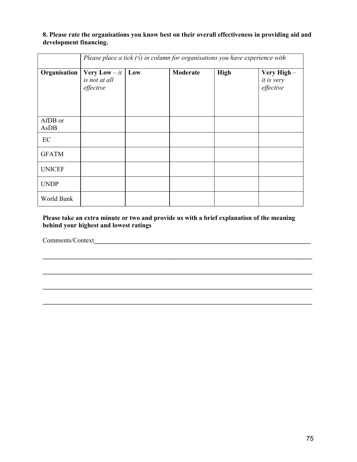### 8. Please rate the organisations you know best on their overall effectiveness in providing aid and development financing.

|                 | Please place a tick $(\vee)$ in column for organisations you have experience with |     |          |             |                                        |
|-----------------|-----------------------------------------------------------------------------------|-----|----------|-------------|----------------------------------------|
| Organisation    | <b>Very Low</b> $-it$<br>is not at all<br>effective                               | Low | Moderate | <b>High</b> | Very High -<br>it is very<br>effective |
| AfDB or<br>AsDB |                                                                                   |     |          |             |                                        |
| EC              |                                                                                   |     |          |             |                                        |
| <b>GFATM</b>    |                                                                                   |     |          |             |                                        |
| <b>UNICEF</b>   |                                                                                   |     |          |             |                                        |
| <b>UNDP</b>     |                                                                                   |     |          |             |                                        |
| World Bank      |                                                                                   |     |          |             |                                        |

Please take an extra minute or two and provide us with a brief explanation of the meaning behind your highest and lowest ratings

\_\_\_\_\_\_\_\_\_\_\_\_\_\_\_\_\_\_\_\_\_\_\_\_\_\_\_\_\_\_\_\_\_\_\_\_\_\_\_\_\_\_\_\_\_\_\_\_\_\_\_\_\_\_\_\_\_\_\_\_\_\_\_\_\_\_\_\_\_\_\_\_\_\_\_\_\_\_\_\_\_\_

\_\_\_\_\_\_\_\_\_\_\_\_\_\_\_\_\_\_\_\_\_\_\_\_\_\_\_\_\_\_\_\_\_\_\_\_\_\_\_\_\_\_\_\_\_\_\_\_\_\_\_\_\_\_\_\_\_\_\_\_\_\_\_\_\_\_\_\_\_\_\_\_\_\_\_\_\_\_\_\_\_\_

\_\_\_\_\_\_\_\_\_\_\_\_\_\_\_\_\_\_\_\_\_\_\_\_\_\_\_\_\_\_\_\_\_\_\_\_\_\_\_\_\_\_\_\_\_\_\_\_\_\_\_\_\_\_\_\_\_\_\_\_\_\_\_\_\_\_\_\_\_\_\_\_\_\_\_\_\_\_\_\_\_\_

Comments/Context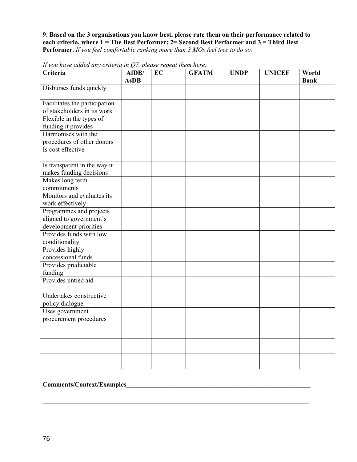9. Based on the 3 organisations you know best, please rate them on their performance related to each criteria, where 1 = The Best Performer; 2= Second Best Performer and 3 = Third Best Performer. If you feel comfortable ranking more than 3 MOs feel free to do so.

| Criteria                                                | AfDB/<br><b>AsDB</b> | EC | <b>GFATM</b> | <b>UNDP</b> | <b>UNICEF</b> | World<br><b>Bank</b> |
|---------------------------------------------------------|----------------------|----|--------------|-------------|---------------|----------------------|
| Disburses funds quickly                                 |                      |    |              |             |               |                      |
| Facilitates the participation                           |                      |    |              |             |               |                      |
| of stakeholders in its work                             |                      |    |              |             |               |                      |
| Flexible in the types of                                |                      |    |              |             |               |                      |
| funding it provides                                     |                      |    |              |             |               |                      |
| Harmonises with the                                     |                      |    |              |             |               |                      |
| procedures of other donors                              |                      |    |              |             |               |                      |
| Is cost effective                                       |                      |    |              |             |               |                      |
| Is transparent in the way it<br>makes funding decisions |                      |    |              |             |               |                      |
| Makes long term                                         |                      |    |              |             |               |                      |
| commitments                                             |                      |    |              |             |               |                      |
| Monitors and evaluates its                              |                      |    |              |             |               |                      |
| work effectively                                        |                      |    |              |             |               |                      |
| Programmes and projects                                 |                      |    |              |             |               |                      |
| aligned to government's                                 |                      |    |              |             |               |                      |
| development priorities                                  |                      |    |              |             |               |                      |
| Provides funds with low                                 |                      |    |              |             |               |                      |
| conditionality                                          |                      |    |              |             |               |                      |
| Provides highly                                         |                      |    |              |             |               |                      |
| concessional funds                                      |                      |    |              |             |               |                      |
| Provides predictable                                    |                      |    |              |             |               |                      |
| funding                                                 |                      |    |              |             |               |                      |
| Provides untied aid                                     |                      |    |              |             |               |                      |
| Undertakes constructive                                 |                      |    |              |             |               |                      |
| policy dialogue                                         |                      |    |              |             |               |                      |
| Uses government                                         |                      |    |              |             |               |                      |
| procurement procedures                                  |                      |    |              |             |               |                      |
|                                                         |                      |    |              |             |               |                      |
|                                                         |                      |    |              |             |               |                      |
|                                                         |                      |    |              |             |               |                      |
|                                                         |                      |    |              |             |               |                      |

\_\_\_\_\_\_\_\_\_\_\_\_\_\_\_\_\_\_\_\_\_\_\_\_\_\_\_\_\_\_\_\_\_\_\_\_\_\_\_\_\_\_\_\_\_\_\_\_\_\_\_\_\_\_\_\_\_\_\_\_\_\_\_\_\_\_\_\_\_\_\_\_\_\_\_\_\_\_\_\_\_

If you have added any criteria in  $Q$ 7, please repeat them here.

## Comments/Context/Examples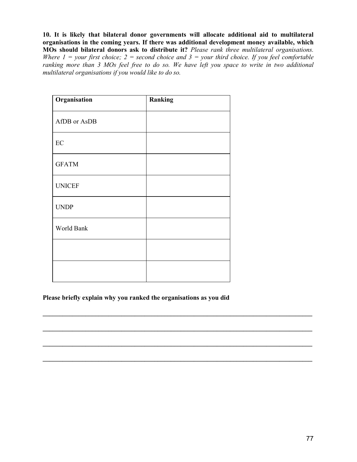10. It is likely that bilateral donor governments will allocate additional aid to multilateral organisations in the coming years. If there was additional development money available, which MOs should bilateral donors ask to distribute it? Please rank three multilateral organisations. Where  $1 =$  your first choice;  $2 =$  second choice and  $3 =$  your third choice. If you feel comfortable ranking more than 3 MOs feel free to do so. We have left you space to write in two additional multilateral organisations if you would like to do so.

| Organisation  | Ranking |
|---------------|---------|
| AfDB or AsDB  |         |
| $\rm EC$      |         |
| <b>GFATM</b>  |         |
| <b>UNICEF</b> |         |
| <b>UNDP</b>   |         |
| World Bank    |         |
|               |         |
|               |         |

### Please briefly explain why you ranked the organisations as you did

\_\_\_\_\_\_\_\_\_\_\_\_\_\_\_\_\_\_\_\_\_\_\_\_\_\_\_\_\_\_\_\_\_\_\_\_\_\_\_\_\_\_\_\_\_\_\_\_\_\_\_\_\_\_\_\_\_\_\_\_\_\_\_\_\_\_\_\_\_\_\_\_\_\_\_\_\_\_\_\_\_\_

\_\_\_\_\_\_\_\_\_\_\_\_\_\_\_\_\_\_\_\_\_\_\_\_\_\_\_\_\_\_\_\_\_\_\_\_\_\_\_\_\_\_\_\_\_\_\_\_\_\_\_\_\_\_\_\_\_\_\_\_\_\_\_\_\_\_\_\_\_\_\_\_\_\_\_\_\_\_\_\_\_\_

\_\_\_\_\_\_\_\_\_\_\_\_\_\_\_\_\_\_\_\_\_\_\_\_\_\_\_\_\_\_\_\_\_\_\_\_\_\_\_\_\_\_\_\_\_\_\_\_\_\_\_\_\_\_\_\_\_\_\_\_\_\_\_\_\_\_\_\_\_\_\_\_\_\_\_\_\_\_\_\_\_\_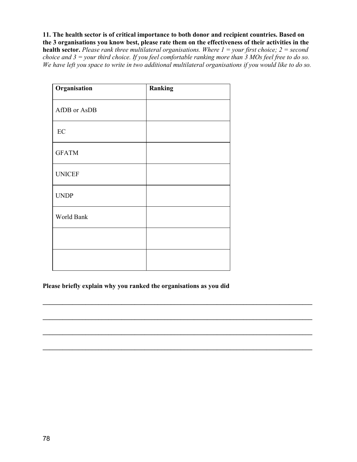11. The health sector is of critical importance to both donor and recipient countries. Based on the 3 organisations you know best, please rate them on the effectiveness of their activities in the health sector. Please rank three multilateral organisations. Where  $1 =$ your first choice;  $2 =$  second choice and  $3 =$  your third choice. If you feel comfortable ranking more than  $3$  MOs feel free to do so. We have left you space to write in two additional multilateral organisations if you would like to do so.

| Organisation  | Ranking |
|---------------|---------|
| AfDB or AsDB  |         |
| $\rm EC$      |         |
| <b>GFATM</b>  |         |
| <b>UNICEF</b> |         |
| <b>UNDP</b>   |         |
| World Bank    |         |
|               |         |
|               |         |

Please briefly explain why you ranked the organisations as you did

\_\_\_\_\_\_\_\_\_\_\_\_\_\_\_\_\_\_\_\_\_\_\_\_\_\_\_\_\_\_\_\_\_\_\_\_\_\_\_\_\_\_\_\_\_\_\_\_\_\_\_\_\_\_\_\_\_\_\_\_\_\_\_\_\_\_\_\_\_\_\_\_\_\_\_\_\_\_\_\_\_\_

\_\_\_\_\_\_\_\_\_\_\_\_\_\_\_\_\_\_\_\_\_\_\_\_\_\_\_\_\_\_\_\_\_\_\_\_\_\_\_\_\_\_\_\_\_\_\_\_\_\_\_\_\_\_\_\_\_\_\_\_\_\_\_\_\_\_\_\_\_\_\_\_\_\_\_\_\_\_\_\_\_\_

\_\_\_\_\_\_\_\_\_\_\_\_\_\_\_\_\_\_\_\_\_\_\_\_\_\_\_\_\_\_\_\_\_\_\_\_\_\_\_\_\_\_\_\_\_\_\_\_\_\_\_\_\_\_\_\_\_\_\_\_\_\_\_\_\_\_\_\_\_\_\_\_\_\_\_\_\_\_\_\_\_\_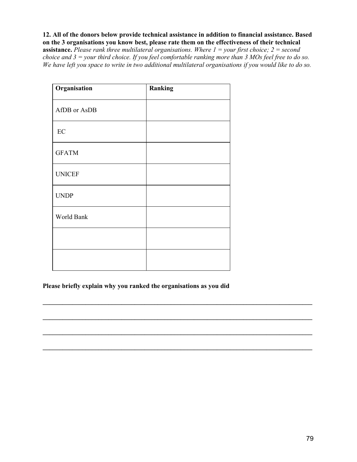12. All of the donors below provide technical assistance in addition to financial assistance. Based on the 3 organisations you know best, please rate them on the effectiveness of their technical

**assistance.** Please rank three multilateral organisations. Where  $1 =$ your first choice;  $2 =$  second choice and  $3 =$  your third choice. If you feel comfortable ranking more than  $3$  MOs feel free to do so. We have left you space to write in two additional multilateral organisations if you would like to do so.

| Organisation  | Ranking |
|---------------|---------|
| AfDB or AsDB  |         |
| $\rm EC$      |         |
| <b>GFATM</b>  |         |
| <b>UNICEF</b> |         |
| <b>UNDP</b>   |         |
| World Bank    |         |
|               |         |
|               |         |

Please briefly explain why you ranked the organisations as you did

\_\_\_\_\_\_\_\_\_\_\_\_\_\_\_\_\_\_\_\_\_\_\_\_\_\_\_\_\_\_\_\_\_\_\_\_\_\_\_\_\_\_\_\_\_\_\_\_\_\_\_\_\_\_\_\_\_\_\_\_\_\_\_\_\_\_\_\_\_\_\_\_\_\_\_\_\_\_\_\_\_\_

\_\_\_\_\_\_\_\_\_\_\_\_\_\_\_\_\_\_\_\_\_\_\_\_\_\_\_\_\_\_\_\_\_\_\_\_\_\_\_\_\_\_\_\_\_\_\_\_\_\_\_\_\_\_\_\_\_\_\_\_\_\_\_\_\_\_\_\_\_\_\_\_\_\_\_\_\_\_\_\_\_\_

\_\_\_\_\_\_\_\_\_\_\_\_\_\_\_\_\_\_\_\_\_\_\_\_\_\_\_\_\_\_\_\_\_\_\_\_\_\_\_\_\_\_\_\_\_\_\_\_\_\_\_\_\_\_\_\_\_\_\_\_\_\_\_\_\_\_\_\_\_\_\_\_\_\_\_\_\_\_\_\_\_\_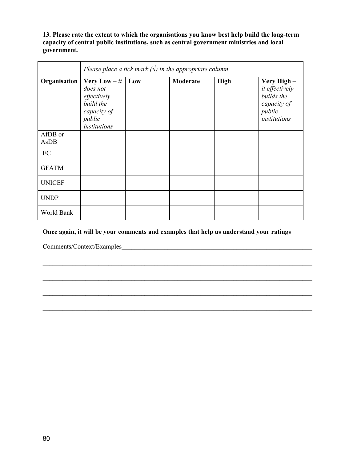13. Please rate the extent to which the organisations you know best help build the long-term capacity of central public institutions, such as central government ministries and local government.

|                 | Please place a tick mark $(\sqrt{})$ in the appropriate column                                          |     |          |             |                                                                                     |  |  |  |  |
|-----------------|---------------------------------------------------------------------------------------------------------|-----|----------|-------------|-------------------------------------------------------------------------------------|--|--|--|--|
| Organisation    | <b>Very Low</b> $- it$<br>does not<br>effectively<br>build the<br>capacity of<br>public<br>institutions | Low | Moderate | <b>High</b> | Very High-<br>it effectively<br>builds the<br>capacity of<br>public<br>institutions |  |  |  |  |
| AfDB or<br>AsDB |                                                                                                         |     |          |             |                                                                                     |  |  |  |  |
| EC              |                                                                                                         |     |          |             |                                                                                     |  |  |  |  |
| <b>GFATM</b>    |                                                                                                         |     |          |             |                                                                                     |  |  |  |  |
| <b>UNICEF</b>   |                                                                                                         |     |          |             |                                                                                     |  |  |  |  |
| <b>UNDP</b>     |                                                                                                         |     |          |             |                                                                                     |  |  |  |  |
| World Bank      |                                                                                                         |     |          |             |                                                                                     |  |  |  |  |

## Once again, it will be your comments and examples that help us understand your ratings

\_\_\_\_\_\_\_\_\_\_\_\_\_\_\_\_\_\_\_\_\_\_\_\_\_\_\_\_\_\_\_\_\_\_\_\_\_\_\_\_\_\_\_\_\_\_\_\_\_\_\_\_\_\_\_\_\_\_\_\_\_\_\_\_\_\_\_\_\_\_\_\_\_\_\_\_\_\_\_\_\_\_

\_\_\_\_\_\_\_\_\_\_\_\_\_\_\_\_\_\_\_\_\_\_\_\_\_\_\_\_\_\_\_\_\_\_\_\_\_\_\_\_\_\_\_\_\_\_\_\_\_\_\_\_\_\_\_\_\_\_\_\_\_\_\_\_\_\_\_\_\_\_\_\_\_\_\_\_\_\_\_\_\_\_

\_\_\_\_\_\_\_\_\_\_\_\_\_\_\_\_\_\_\_\_\_\_\_\_\_\_\_\_\_\_\_\_\_\_\_\_\_\_\_\_\_\_\_\_\_\_\_\_\_\_\_\_\_\_\_\_\_\_\_\_\_\_\_\_\_\_\_\_\_\_\_\_\_\_\_\_\_\_\_\_\_\_

\_\_\_\_\_\_\_\_\_\_\_\_\_\_\_\_\_\_\_\_\_\_\_\_\_\_\_\_\_\_\_\_\_\_\_\_\_\_\_\_\_\_\_\_\_\_\_\_\_\_\_\_\_\_\_\_\_\_\_\_\_\_\_\_\_\_\_\_\_\_\_\_\_\_\_\_\_\_\_\_\_\_

Comments/Context/Examples\_\_\_\_\_\_\_\_\_\_\_\_\_\_\_\_\_\_\_\_\_\_\_\_\_\_\_\_\_\_\_\_\_\_\_\_\_\_\_\_\_\_\_\_\_\_\_\_\_\_\_\_\_\_\_\_\_\_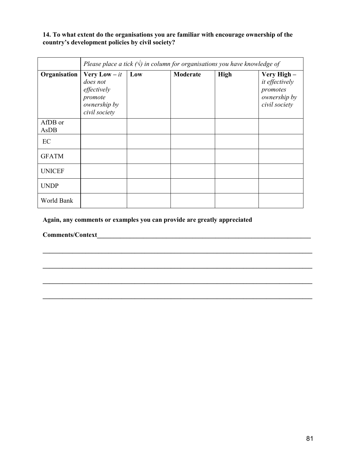### 14. To what extent do the organisations you are familiar with encourage ownership of the country's development policies by civil society?

|                 | Please place a tick $(\vee)$ in column for organisations you have knowledge of               |     |          |             |                                                                            |  |  |  |  |
|-----------------|----------------------------------------------------------------------------------------------|-----|----------|-------------|----------------------------------------------------------------------------|--|--|--|--|
| Organisation    | <b>Very Low</b> $-it$<br>does not<br>effectively<br>promote<br>ownership by<br>civil society | Low | Moderate | <b>High</b> | Very High -<br>it effectively<br>promotes<br>ownership by<br>civil society |  |  |  |  |
| AfDB or<br>AsDB |                                                                                              |     |          |             |                                                                            |  |  |  |  |
| EC              |                                                                                              |     |          |             |                                                                            |  |  |  |  |
| <b>GFATM</b>    |                                                                                              |     |          |             |                                                                            |  |  |  |  |
| <b>UNICEF</b>   |                                                                                              |     |          |             |                                                                            |  |  |  |  |
| <b>UNDP</b>     |                                                                                              |     |          |             |                                                                            |  |  |  |  |
| World Bank      |                                                                                              |     |          |             |                                                                            |  |  |  |  |

\_\_\_\_\_\_\_\_\_\_\_\_\_\_\_\_\_\_\_\_\_\_\_\_\_\_\_\_\_\_\_\_\_\_\_\_\_\_\_\_\_\_\_\_\_\_\_\_\_\_\_\_\_\_\_\_\_\_\_\_\_\_\_\_\_\_\_\_\_\_\_\_\_\_\_\_\_\_\_\_\_\_

\_\_\_\_\_\_\_\_\_\_\_\_\_\_\_\_\_\_\_\_\_\_\_\_\_\_\_\_\_\_\_\_\_\_\_\_\_\_\_\_\_\_\_\_\_\_\_\_\_\_\_\_\_\_\_\_\_\_\_\_\_\_\_\_\_\_\_\_\_\_\_\_\_\_\_\_\_\_\_\_\_\_

\_\_\_\_\_\_\_\_\_\_\_\_\_\_\_\_\_\_\_\_\_\_\_\_\_\_\_\_\_\_\_\_\_\_\_\_\_\_\_\_\_\_\_\_\_\_\_\_\_\_\_\_\_\_\_\_\_\_\_\_\_\_\_\_\_\_\_\_\_\_\_\_\_\_\_\_\_\_\_\_\_\_

\_\_\_\_\_\_\_\_\_\_\_\_\_\_\_\_\_\_\_\_\_\_\_\_\_\_\_\_\_\_\_\_\_\_\_\_\_\_\_\_\_\_\_\_\_\_\_\_\_\_\_\_\_\_\_\_\_\_\_\_\_\_\_\_\_\_\_\_\_\_\_\_\_\_\_\_\_\_\_\_\_\_

Again, any comments or examples you can provide are greatly appreciated

Comments/Context\_\_\_\_\_\_\_\_\_\_\_\_\_\_\_\_\_\_\_\_\_\_\_\_\_\_\_\_\_\_\_\_\_\_\_\_\_\_\_\_\_\_\_\_\_\_\_\_\_\_\_\_\_\_\_\_\_\_\_\_\_\_\_\_\_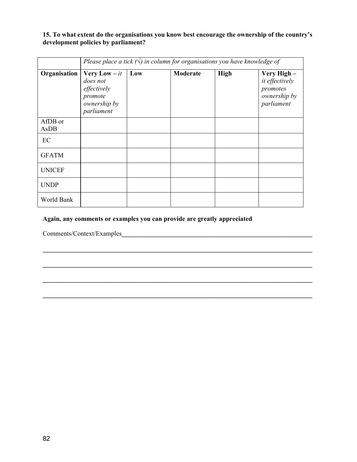### 15. To what extent do the organisations you know best encourage the ownership of the country's development policies by parliament?

|                 | Please place a tick $(\sqrt{})$ in column for organisations you have knowledge of         |     |          |      |                                                                         |  |  |  |
|-----------------|-------------------------------------------------------------------------------------------|-----|----------|------|-------------------------------------------------------------------------|--|--|--|
| Organisation    | <b>Very Low</b> $-it$<br>does not<br>effectively<br>promote<br>ownership by<br>parliament | Low | Moderate | High | Very High -<br>it effectively<br>promotes<br>ownership by<br>parliament |  |  |  |
| AfDB or<br>AsDB |                                                                                           |     |          |      |                                                                         |  |  |  |
| EC              |                                                                                           |     |          |      |                                                                         |  |  |  |
| <b>GFATM</b>    |                                                                                           |     |          |      |                                                                         |  |  |  |
| <b>UNICEF</b>   |                                                                                           |     |          |      |                                                                         |  |  |  |
| <b>UNDP</b>     |                                                                                           |     |          |      |                                                                         |  |  |  |
| World Bank      |                                                                                           |     |          |      |                                                                         |  |  |  |

\_\_\_\_\_\_\_\_\_\_\_\_\_\_\_\_\_\_\_\_\_\_\_\_\_\_\_\_\_\_\_\_\_\_\_\_\_\_\_\_\_\_\_\_\_\_\_\_\_\_\_\_\_\_\_\_\_\_\_\_\_\_\_\_\_\_\_\_\_\_\_\_\_\_\_\_\_\_\_\_\_\_

\_\_\_\_\_\_\_\_\_\_\_\_\_\_\_\_\_\_\_\_\_\_\_\_\_\_\_\_\_\_\_\_\_\_\_\_\_\_\_\_\_\_\_\_\_\_\_\_\_\_\_\_\_\_\_\_\_\_\_\_\_\_\_\_\_\_\_\_\_\_\_\_\_\_\_\_\_\_\_\_\_\_

\_\_\_\_\_\_\_\_\_\_\_\_\_\_\_\_\_\_\_\_\_\_\_\_\_\_\_\_\_\_\_\_\_\_\_\_\_\_\_\_\_\_\_\_\_\_\_\_\_\_\_\_\_\_\_\_\_\_\_\_\_\_\_\_\_\_\_\_\_\_\_\_\_\_\_\_\_\_\_\_\_\_

### Again, any comments or examples you can provide are greatly appreciated

Comments/Context/Examples\_\_\_\_\_\_\_\_\_\_\_\_\_\_\_\_\_\_\_\_\_\_\_\_\_\_\_\_\_\_\_\_\_\_\_\_\_\_\_\_\_\_\_\_\_\_\_\_\_\_\_\_\_\_\_\_\_\_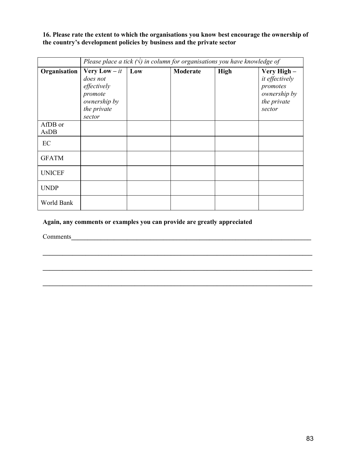16. Please rate the extent to which the organisations you know best encourage the ownership of the country's development policies by business and the private sector

|                 | Please place a tick $(\sqrt{})$ in column for organisations you have knowledge of                     |     |          |      |                                                                                    |  |  |  |  |
|-----------------|-------------------------------------------------------------------------------------------------------|-----|----------|------|------------------------------------------------------------------------------------|--|--|--|--|
| Organisation    | <b>Very Low</b> $- it$<br>does not<br>effectively<br>promote<br>ownership by<br>the private<br>sector | Low | Moderate | High | Very High -<br>it effectively<br>promotes<br>ownership by<br>the private<br>sector |  |  |  |  |
| AfDB or<br>AsDB |                                                                                                       |     |          |      |                                                                                    |  |  |  |  |
| EC              |                                                                                                       |     |          |      |                                                                                    |  |  |  |  |
| <b>GFATM</b>    |                                                                                                       |     |          |      |                                                                                    |  |  |  |  |
| <b>UNICEF</b>   |                                                                                                       |     |          |      |                                                                                    |  |  |  |  |
| <b>UNDP</b>     |                                                                                                       |     |          |      |                                                                                    |  |  |  |  |
| World Bank      |                                                                                                       |     |          |      |                                                                                    |  |  |  |  |

\_\_\_\_\_\_\_\_\_\_\_\_\_\_\_\_\_\_\_\_\_\_\_\_\_\_\_\_\_\_\_\_\_\_\_\_\_\_\_\_\_\_\_\_\_\_\_\_\_\_\_\_\_\_\_\_\_\_\_\_\_\_\_\_\_\_\_\_\_\_\_\_\_\_\_\_\_\_\_\_\_\_

\_\_\_\_\_\_\_\_\_\_\_\_\_\_\_\_\_\_\_\_\_\_\_\_\_\_\_\_\_\_\_\_\_\_\_\_\_\_\_\_\_\_\_\_\_\_\_\_\_\_\_\_\_\_\_\_\_\_\_\_\_\_\_\_\_\_\_\_\_\_\_\_\_\_\_\_\_\_\_\_\_\_

\_\_\_\_\_\_\_\_\_\_\_\_\_\_\_\_\_\_\_\_\_\_\_\_\_\_\_\_\_\_\_\_\_\_\_\_\_\_\_\_\_\_\_\_\_\_\_\_\_\_\_\_\_\_\_\_\_\_\_\_\_\_\_\_\_\_\_\_\_\_\_\_\_\_\_\_\_\_\_\_\_\_

Again, any comments or examples you can provide are greatly appreciated

Comments\_\_\_\_\_\_\_\_\_\_\_\_\_\_\_\_\_\_\_\_\_\_\_\_\_\_\_\_\_\_\_\_\_\_\_\_\_\_\_\_\_\_\_\_\_\_\_\_\_\_\_\_\_\_\_\_\_\_\_\_\_\_\_\_\_\_\_\_\_\_\_\_\_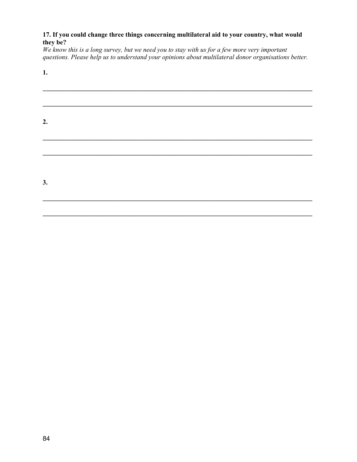### 17. If you could change three things concerning multilateral aid to your country, what would they be?

We know this is a long survey, but we need you to stay with us for a few more very important questions. Please help us to understand your opinions about multilateral donor organisations better.

| × |
|---|

\_\_\_\_\_\_\_\_\_\_\_\_\_\_\_\_\_\_\_\_\_\_\_\_\_\_\_\_\_\_\_\_\_\_\_\_\_\_\_\_\_\_\_\_\_\_\_\_\_\_\_\_\_\_\_\_\_\_\_\_\_\_\_\_\_\_\_\_\_\_\_\_\_\_\_\_\_\_\_\_\_\_ \_\_\_\_\_\_\_\_\_\_\_\_\_\_\_\_\_\_\_\_\_\_\_\_\_\_\_\_\_\_\_\_\_\_\_\_\_\_\_\_\_\_\_\_\_\_\_\_\_\_\_\_\_\_\_\_\_\_\_\_\_\_\_\_\_\_\_\_\_\_\_\_\_\_\_\_\_\_\_\_\_\_ 2. \_\_\_\_\_\_\_\_\_\_\_\_\_\_\_\_\_\_\_\_\_\_\_\_\_\_\_\_\_\_\_\_\_\_\_\_\_\_\_\_\_\_\_\_\_\_\_\_\_\_\_\_\_\_\_\_\_\_\_\_\_\_\_\_\_\_\_\_\_\_\_\_\_\_\_\_\_\_\_\_\_\_ \_\_\_\_\_\_\_\_\_\_\_\_\_\_\_\_\_\_\_\_\_\_\_\_\_\_\_\_\_\_\_\_\_\_\_\_\_\_\_\_\_\_\_\_\_\_\_\_\_\_\_\_\_\_\_\_\_\_\_\_\_\_\_\_\_\_\_\_\_\_\_\_\_\_\_\_\_\_\_\_\_\_ 3. \_\_\_\_\_\_\_\_\_\_\_\_\_\_\_\_\_\_\_\_\_\_\_\_\_\_\_\_\_\_\_\_\_\_\_\_\_\_\_\_\_\_\_\_\_\_\_\_\_\_\_\_\_\_\_\_\_\_\_\_\_\_\_\_\_\_\_\_\_\_\_\_\_\_\_\_\_\_\_\_\_\_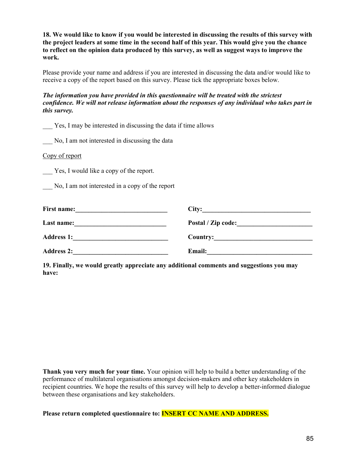18. We would like to know if you would be interested in discussing the results of this survey with the project leaders at some time in the second half of this year. This would give you the chance to reflect on the opinion data produced by this survey, as well as suggest ways to improve the work.

Please provide your name and address if you are interested in discussing the data and/or would like to receive a copy of the report based on this survey. Please tick the appropriate boxes below.

The information you have provided in this questionnaire will be treated with the strictest confidence. We will not release information about the responses of any individual who takes part in this survey.

|  |  |  | Yes, I may be interested in discussing the data if time allows |  |  |
|--|--|--|----------------------------------------------------------------|--|--|
|  |  |  |                                                                |  |  |

No, I am not interested in discussing the data

Copy of report

Yes, I would like a copy of the report.

\_\_\_ No, I am not interested in a copy of the report

| <b>First name:</b> | City:              |
|--------------------|--------------------|
| Last name:         | Postal / Zip code: |
| <b>Address 1:</b>  | <b>Country:</b>    |
| <b>Address 2:</b>  | <b>Email:</b>      |

19. Finally, we would greatly appreciate any additional comments and suggestions you may have:

**Thank you very much for your time.** Your opinion will help to build a better understanding of the performance of multilateral organisations amongst decision-makers and other key stakeholders in recipient countries. We hope the results of this survey will help to develop a better-informed dialogue between these organisations and key stakeholders.

Please return completed questionnaire to: **INSERT CC NAME AND ADDRESS.**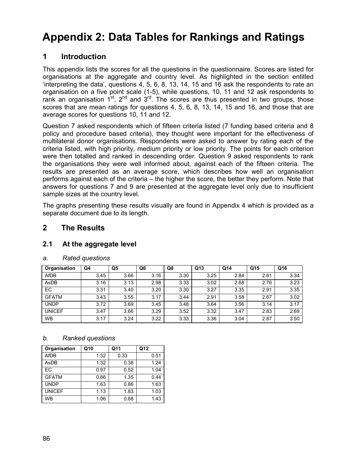# Appendix 2: Data Tables for Rankings and Ratings

# 1 Introduction

This appendix lists the scores for all the questions in the questionnaire. Scores are listed for organisations at the aggregate and country level. As highlighted in the section entitled 'interpreting the data', questions 4, 5, 6, 8, 13, 14, 15 and 16 ask the respondents to rate an organisation on a five point scale (1-5), while questions, 10, 11 and 12 ask respondents to rank an organisation  $1^{st}$ ,  $2^{nd}$  and  $3^{rd}$ . The scores are thus presented in two groups, those scores that are mean ratings for questions 4, 5, 6, 8, 13, 14, 15 and 16, and those that are average scores for questions 10, 11 and 12.

Question 7 asked respondents which of fifteen criteria listed (7 funding based criteria and 8 policy and procedure based criteria), they thought were important for the effectiveness of multilateral donor organisations. Respondents were asked to answer by rating each of the criteria listed, with high priority, medium priority or low priority. The points for each criterion were then totalled and ranked in descending order. Question 9 asked respondents to rank the organisations they were well informed about, against each of the fifteen criteria. The results are presented as an average score, which describes how well an organisation performs against each of the criteria – the higher the score, the better they perform. Note that answers for questions 7 and 9 are presented at the aggregate level only due to insufficient sample sizes at the country level.

The graphs presenting these results visually are found in Appendix 4 which is provided as a separate document due to its length.

## 2 The Results

### 2.1 At the aggregate level

| Organisation  | Q4   | Q <sub>5</sub> | Q6   | Q8   | Q13  | Q14  | Q <sub>15</sub> | Q16  |
|---------------|------|----------------|------|------|------|------|-----------------|------|
| <b>AfDB</b>   | 3.45 | 3.66           | 3.16 | 3.30 | 3.25 | 2.84 | 2.61            | 3.34 |
| AsDB          | 3.16 | 3.13           | 2.98 | 3.33 | 3.02 | 2.68 | 2.76            | 3.23 |
| EC            | 3.31 | 3.40           | 3.20 | 3.30 | 3.27 | 3.35 | 2.91            | 3.35 |
| <b>GFATM</b>  | 3.43 | 3.55           | 3.17 | 3.44 | 2.91 | 3.58 | 2.67            | 3.02 |
| <b>UNDP</b>   | 3.72 | 3.69           | 3.45 | 3.48 | 3.64 | 3.56 | 3.14            | 3.17 |
| <b>UNICEF</b> | 3.47 | 3.66           | 3.29 | 3.52 | 3.32 | 3.47 | 2.83            | 2.69 |
| <b>WB</b>     | 3.17 | 3.24           | 3.22 | 3.33 | 3.36 | 3.04 | 2.87            | 3.50 |

#### a. Rated questions

| Organisation  | Q10  | Q11  | Q12  |
|---------------|------|------|------|
| <b>AfDB</b>   | 1.32 | 0.33 | 0.51 |
| AsDB          | 1.32 | 0.38 | 1.24 |
| EC            | 0.97 | 0.52 | 1.04 |
| <b>GFATM</b>  | 0.66 | 1.35 | 0.44 |
| <b>UNDP</b>   | 1.63 | 0.86 | 1.63 |
| <b>UNICEF</b> | 1.13 | 1.83 | 1.03 |
| <b>WB</b>     | 1.06 | 0.88 | 1.43 |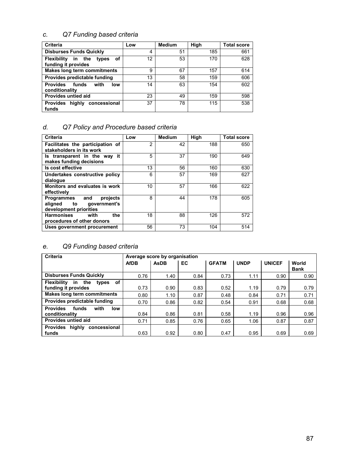## c. Q7 Funding based criteria

| <b>Criteria</b>                                                    | Low | <b>Medium</b> | High | <b>Total score</b> |
|--------------------------------------------------------------------|-----|---------------|------|--------------------|
| <b>Disburses Funds Quickly</b>                                     | 4   | 51            | 185  | 661                |
| <b>Flexibility</b><br>in the<br>οf<br>types<br>funding it provides | 12  | 53            | 170  | 628                |
| <b>Makes long term commitments</b>                                 | 9   | 67            | 157  | 614                |
| Provides predictable funding                                       | 13  | 58            | 159  | 606                |
| <b>Provides</b><br>with<br>funds<br>low<br>conditionality          | 14  | 63            | 154  | 602                |
| Provides untied aid                                                | 23  | 49            | 159  | 598                |
| concessional<br>highly<br><b>Provides</b><br>funds                 | 37  | 78            | 115  | 538                |

# d. Q7 Policy and Procedure based criteria

| <b>Criteria</b>                                                                       | Low | <b>Medium</b> | High | <b>Total score</b> |
|---------------------------------------------------------------------------------------|-----|---------------|------|--------------------|
| Facilitates the participation of<br>stakeholders in its work                          | 2   | 42            | 188  | 650                |
| Is transparent in the way it<br>makes funding decisions                               | 5   | 37            | 190  | 649                |
| Is cost effective                                                                     | 13  | 56            | 160  | 630                |
| Undertakes constructive policy<br>dialogue                                            | 6   | 57            | 169  | 627                |
| Monitors and evaluates is work<br>effectively                                         | 10  | 57            | 166  | 622                |
| projects<br>Programmes<br>and<br>government's<br>aligned to<br>development priorities | 8   | 44            | 178  | 605                |
| <b>Harmonises</b><br>with<br>the<br>procedures of other donors                        | 18  | 88            | 126  | 572                |
| Uses government procurement                                                           | 56  | 73            | 104  | 514                |

### e. Q9 Funding based criteria

| <b>Criteria</b>                                                        |             | Average score by organisation |      |              |             |               |                      |
|------------------------------------------------------------------------|-------------|-------------------------------|------|--------------|-------------|---------------|----------------------|
|                                                                        | <b>AfDB</b> | <b>AsDB</b>                   | EC   | <b>GFATM</b> | <b>UNDP</b> | <b>UNICEF</b> | World<br><b>Bank</b> |
| <b>Disburses Funds Quickly</b>                                         | 0.76        | 1.40                          | 0.84 | 0.73         | 1.11        | 0.90          | 0.90                 |
| 0f<br><b>Flexibility</b><br>the<br>in.<br>types<br>funding it provides | 0.73        | 0.90                          | 0.83 | 0.52         | 1.19        | 0.79          | 0.79                 |
| <b>Makes long term commitments</b>                                     | 0.80        | 1.10                          | 0.87 | 0.48         | 0.84        | 0.71          | 0.71                 |
| Provides predictable funding                                           | 0.70        | 0.86                          | 0.82 | 0.54         | 0.91        | 0.68          | 0.68                 |
| <b>Provides</b><br>with<br>funds<br>low<br>conditionality              | 0.84        | 0.86                          | 0.81 | 0.58         | 1.19        | 0.96          | 0.96                 |
| Provides untied aid                                                    | 0.71        | 0.85                          | 0.76 | 0.65         | 1.06        | 0.87          | 0.87                 |
| highly<br><b>Provides</b><br>concessional<br>funds                     | 0.63        | 0.92                          | 0.80 | 0.47         | 0.95        | 0.69          | 0.69                 |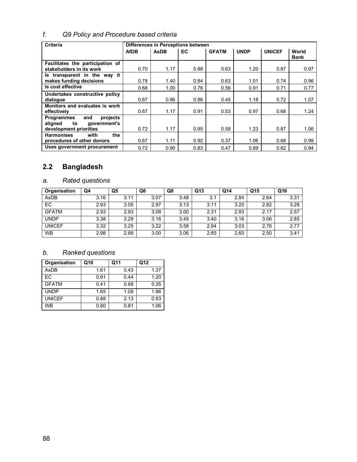# f. Q9 Policy and Procedure based criteria

| Criteria                                      |             |             | Differences in Perceptions between |              |             |               |                      |
|-----------------------------------------------|-------------|-------------|------------------------------------|--------------|-------------|---------------|----------------------|
|                                               | <b>AfDB</b> | <b>AsDB</b> | EC                                 | <b>GFATM</b> | <b>UNDP</b> | <b>UNICEF</b> | World<br><b>Bank</b> |
| Facilitates the participation of              |             |             |                                    |              |             |               |                      |
| stakeholders in its work                      | 0.70        | 1.17        | 0.88                               | 0.63         | 1.20        | 0.87          | 0.97                 |
| Is transparent in the way it                  |             |             |                                    |              |             |               |                      |
| makes funding decisions                       | 0.78        | 1.40        | 0.84                               | 0.63         | 1.01        | 0.74          | 0.96                 |
| Is cost effective                             | 0.68        | 1.00        | 0.76                               | 0.56         | 0.91        | 0.71          | 0.77                 |
| Undertakes constructive policy                |             |             |                                    |              |             |               |                      |
| dialogue                                      | 0.67        | 0.96        | 0.86                               | 0.45         | 1.18        | 0.72          | 1.07                 |
| Monitors and evaluates is work<br>effectively | 0.67        | 1.17        | 0.91                               | 0.53         | 0.97        | 0.68          | 1.24                 |
| <b>Programmes</b><br>and<br>projects          |             |             |                                    |              |             |               |                      |
| aligned<br>government's<br>to                 |             |             |                                    |              |             |               |                      |
| development priorities                        | 0.72        | 1.17        | 0.95                               | 0.58         | 1.23        | 0.87          | 1.06                 |
| <b>Harmonises</b><br>with<br>the              |             |             |                                    |              |             |               |                      |
| procedures of other donors                    | 0.67        | 1.11        | 0.92                               | 0.37         | 1.06        | 0.68          | 0.99                 |
| Uses government procurement                   | 0.72        | 0.90        | 0.83                               | 0.47         | 0.89        | 0.62          | 0.84                 |

# 2.2 Bangladesh

## a. Rated questions

| Organisation  | Q4   | Q5   | Q6   | Q8   | Q <sub>13</sub> | Q <sub>14</sub> | Q15  | Q16  |
|---------------|------|------|------|------|-----------------|-----------------|------|------|
| AsDB          | 3.16 | 3.11 | 3.07 | 3.48 | 3.1             | 2.84            | 2.64 | 3.31 |
| <b>EC</b>     | 2.93 | 3.05 | 2.97 | 3.13 | 3.11            | 3.20            | 2.82 | 3.28 |
| <b>GFATM</b>  | 2.93 | 2.93 | 3.08 | 3.00 | 2.31            | 2.93            | 2.17 | 2.57 |
| <b>UNDP</b>   | 3.38 | 3.29 | 3.16 | 3.45 | 3.40            | 3.16            | 3.06 | 2.85 |
| <b>UNICEF</b> | 3.32 | 3.25 | 3.22 | 3.58 | 2.94            | 3.03            | 2.76 | 2.77 |
| <b>WB</b>     | 2.98 | 2.88 | 3.00 | 3.06 | 2.85            | 2.60            | 2.50 | 3.41 |

| Organisation  | Q10  | Q11  | Q12  |
|---------------|------|------|------|
| AsDB          | 1.61 | 0.43 | 1.37 |
| FC.           | 0.91 | 0.44 | 1.20 |
| <b>GFATM</b>  | 0.41 | 0.88 | 0.35 |
| <b>UNDP</b>   | 1.65 | 1.08 | 1.86 |
| <b>UNICEF</b> | 0.88 | 2.13 | 0.93 |
| WB            | 0.80 | 0.81 | 1.06 |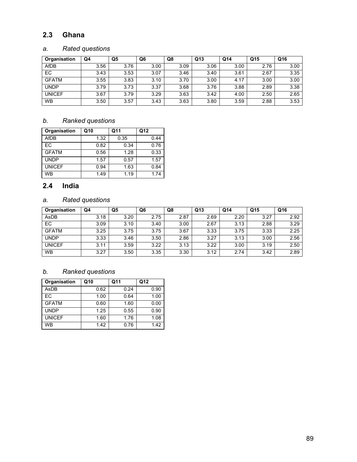# 2.3 Ghana

## a. Rated questions

| Organisation  | Q4   | Q <sub>5</sub> | Q6   | Q8   | Q <sub>13</sub> | Q <sub>14</sub> | Q15  | Q16  |
|---------------|------|----------------|------|------|-----------------|-----------------|------|------|
| <b>AfDB</b>   | 3.56 | 3.76           | 3.00 | 3.09 | 3.06            | 3.00            | 2.76 | 3.00 |
| EC            | 3.43 | 3.53           | 3.07 | 3.46 | 3.40            | 3.61            | 2.67 | 3.35 |
| <b>GFATM</b>  | 3.55 | 3.83           | 3.10 | 3.70 | 3.00            | 4.17            | 3.00 | 3.00 |
| <b>UNDP</b>   | 3.79 | 3.73           | 3.37 | 3.68 | 3.76            | 3.88            | 2.89 | 3.38 |
| <b>UNICEF</b> | 3.67 | 3.79           | 3.29 | 3.63 | 3.42            | 4.00            | 2.50 | 2.65 |
| <b>WB</b>     | 3.50 | 3.57           | 3.43 | 3.63 | 3.80            | 3.59            | 2.88 | 3.53 |

# b. Ranked questions

| Organisation  | Q10  | Q11  | Q12  |
|---------------|------|------|------|
| <b>AfDB</b>   | 1.32 | 0.35 | 0.44 |
| EC            | 0.82 | 0.34 | 0.76 |
| <b>GFATM</b>  | 0.56 | 1.28 | 0.33 |
| <b>UNDP</b>   | 1.57 | 0.57 | 1.57 |
| <b>UNICEF</b> | 0.94 | 1.63 | 0.84 |
| <b>WB</b>     | 1.49 | 1.19 | 1.74 |

# 2.4 India

# a. Rated questions

| Organisation  | Q4   | Q5   | Q6   | Q8   | Q13  | Q14  | Q15  | Q16  |
|---------------|------|------|------|------|------|------|------|------|
| AsDB          | 3.18 | 3.20 | 2.75 | 2.87 | 2.69 | 2.20 | 3.27 | 2.92 |
| EC            | 3.09 | 3.10 | 3.40 | 3.00 | 2.67 | 3.13 | 2.88 | 3.29 |
| <b>GFATM</b>  | 3.25 | 3.75 | 3.75 | 3.67 | 3.33 | 3.75 | 3.33 | 2.25 |
| <b>UNDP</b>   | 3.33 | 3.46 | 3.50 | 2.86 | 3.27 | 3.13 | 3.00 | 2.56 |
| <b>UNICEF</b> | 3.11 | 3.59 | 3.22 | 3.13 | 3.22 | 3.00 | 3.19 | 2.50 |
| <b>WB</b>     | 3.27 | 3.50 | 3.35 | 3.30 | 3.12 | 2.74 | 3.42 | 2.89 |

| Organisation  | Q10  | Q11  | Q12  |
|---------------|------|------|------|
| AsDB          | 0.62 | 0.24 | 0.90 |
| FC.           | 1.00 | 0.64 | 1.00 |
| <b>GFATM</b>  | 0.60 | 1.60 | 0.00 |
| <b>UNDP</b>   | 1.25 | 0.55 | 0.90 |
| <b>UNICEF</b> | 1.60 | 1.76 | 1.08 |
| <b>WB</b>     | 1.42 | 0.76 | 1.42 |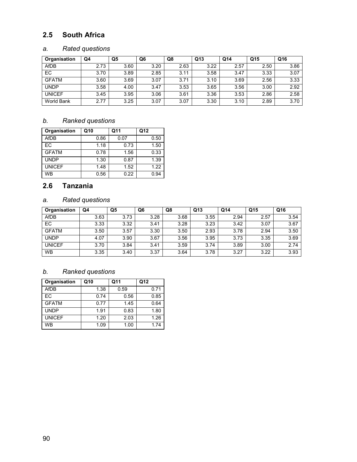## 2.5 South Africa

## a. Rated questions

| Organisation      | Q4   | Q <sub>5</sub> | Q6   | Q8   | Q <sub>13</sub> | Q <sub>14</sub> | Q15  | Q16  |
|-------------------|------|----------------|------|------|-----------------|-----------------|------|------|
| <b>AfDB</b>       | 2.73 | 3.60           | 3.20 | 2.63 | 3.22            | 2.57            | 2.50 | 3.86 |
| EC                | 3.70 | 3.89           | 2.85 | 3.11 | 3.58            | 3.47            | 3.33 | 3.07 |
| <b>GFATM</b>      | 3.60 | 3.69           | 3.07 | 3.71 | 3.10            | 3.69            | 2.56 | 3.33 |
| <b>UNDP</b>       | 3.58 | 4.00           | 3.47 | 3.53 | 3.65            | 3.56            | 3.00 | 2.92 |
| <b>UNICEF</b>     | 3.45 | 3.95           | 3.06 | 3.61 | 3.36            | 3.53            | 2.86 | 2.58 |
| <b>World Bank</b> | 2.77 | 3.25           | 3.07 | 3.07 | 3.30            | 3.10            | 2.89 | 3.70 |

### b. Ranked questions

| Organisation  | Q10  | Q11  | Q12  |
|---------------|------|------|------|
| <b>AfDB</b>   | 0.86 | 0.07 | 0.50 |
| EC            | 1.18 | 0.73 | 1.50 |
| <b>GFATM</b>  | 0.78 | 1.56 | 0.33 |
| <b>UNDP</b>   | 1.30 | 0.87 | 1.39 |
| <b>UNICEF</b> | 1.48 | 1.52 | 1.22 |
| <b>WB</b>     | 0.56 | 0.22 | 0.94 |

## 2.6 Tanzania

## a. Rated questions

| Organisation  | Q4   | Q5   | Q6   | Q8   | Q <sub>13</sub> | Q <sub>14</sub> | Q15  | Q16  |
|---------------|------|------|------|------|-----------------|-----------------|------|------|
| <b>AfDB</b>   | 3.63 | 3.73 | 3.28 | 3.68 | 3.55            | 2.94            | 2.57 | 3.54 |
| <b>EC</b>     | 3.33 | 3.32 | 3.41 | 3.28 | 3.23            | 3.42            | 3.07 | 3.67 |
| <b>GFATM</b>  | 3.50 | 3.57 | 3.30 | 3.50 | 2.93            | 3.78            | 2.94 | 3.50 |
| <b>UNDP</b>   | 4.07 | 3.90 | 3.67 | 3.56 | 3.95            | 3.73            | 3.35 | 3.69 |
| <b>UNICEF</b> | 3.70 | 3.84 | 3.41 | 3.59 | 3.74            | 3.89            | 3.00 | 2.74 |
| <b>WB</b>     | 3.35 | 3.40 | 3.37 | 3.64 | 3.78            | 3.27            | 3.22 | 3.93 |

| Organisation  | Q10  | Q11  | Q12  |
|---------------|------|------|------|
| <b>AfDB</b>   | 1.38 | 0.59 | 0.71 |
| EC            | 0.74 | 0.56 | 0.85 |
| <b>GFATM</b>  | 0.77 | 1.45 | 0.64 |
| <b>UNDP</b>   | 1.91 | 0.83 | 1.80 |
| <b>UNICEF</b> | 1.20 | 2.03 | 1.26 |
| <b>WB</b>     | 1.09 | 1.00 | 1.74 |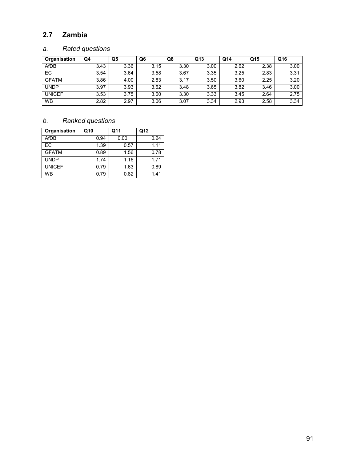# 2.7 Zambia

## a. Rated questions

| Organisation  | Q4   | Q5   | Q <sub>6</sub> | Q8   | Q <sub>13</sub> | Q <sub>14</sub> | Q15  | Q16  |
|---------------|------|------|----------------|------|-----------------|-----------------|------|------|
| AfDB          | 3.43 | 3.36 | 3.15           | 3.30 | 3.00            | 2.62            | 2.38 | 3.00 |
| EC            | 3.54 | 3.64 | 3.58           | 3.67 | 3.35            | 3.25            | 2.83 | 3.31 |
| <b>GFATM</b>  | 3.86 | 4.00 | 2.83           | 3.17 | 3.50            | 3.60            | 2.25 | 3.20 |
| <b>UNDP</b>   | 3.97 | 3.93 | 3.62           | 3.48 | 3.65            | 3.82            | 3.46 | 3.00 |
| <b>UNICEF</b> | 3.53 | 3.75 | 3.60           | 3.30 | 3.33            | 3.45            | 2.64 | 2.75 |
| <b>WB</b>     | 2.82 | 2.97 | 3.06           | 3.07 | 3.34            | 2.93            | 2.58 | 3.34 |

| Organisation  | Q10  | Q11  | Q12  |
|---------------|------|------|------|
| <b>AfDB</b>   | 0.94 | 0.00 | 0.24 |
| EC            | 1.39 | 0.57 | 1.11 |
| <b>GFATM</b>  | 0.89 | 1.56 | 0.78 |
| <b>UNDP</b>   | 1.74 | 1.16 | 1.71 |
| <b>UNICEF</b> | 0.79 | 1.63 | 0.89 |
| <b>WB</b>     | 0.79 | 0.82 | 1.41 |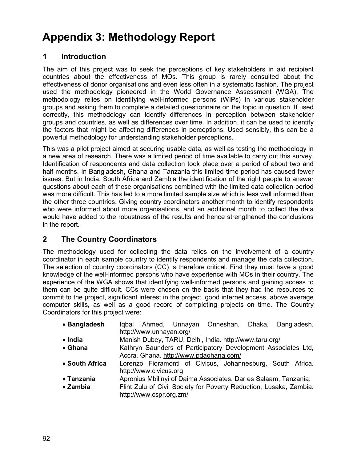# Appendix 3: Methodology Report

# 1 Introduction

The aim of this project was to seek the perceptions of key stakeholders in aid recipient countries about the effectiveness of MOs. This group is rarely consulted about the effectiveness of donor organisations and even less often in a systematic fashion. The project used the methodology pioneered in the World Governance Assessment (WGA). The methodology relies on identifying well-informed persons (WIPs) in various stakeholder groups and asking them to complete a detailed questionnaire on the topic in question. If used correctly, this methodology can identify differences in perception between stakeholder groups and countries, as well as differences over time. In addition, it can be used to identify the factors that might be affecting differences in perceptions. Used sensibly, this can be a powerful methodology for understanding stakeholder perceptions.

This was a pilot project aimed at securing usable data, as well as testing the methodology in a new area of research. There was a limited period of time available to carry out this survey. Identification of respondents and data collection took place over a period of about two and half months. In Bangladesh, Ghana and Tanzania this limited time period has caused fewer issues. But in India, South Africa and Zambia the identification of the right people to answer questions about each of these organisations combined with the limited data collection period was more difficult. This has led to a more limited sample size which is less well informed than the other three countries. Giving country coordinators another month to identify respondents who were informed about more organisations, and an additional month to collect the data would have added to the robustness of the results and hence strengthened the conclusions in the report.

# 2 The Country Coordinators

The methodology used for collecting the data relies on the involvement of a country coordinator in each sample country to identify respondents and manage the data collection. The selection of country coordinators (CC) is therefore critical. First they must have a good knowledge of the well-informed persons who have experience with MOs in their country. The experience of the WGA shows that identifying well-informed persons and gaining access to them can be quite difficult. CCs were chosen on the basis that they had the resources to commit to the project, significant interest in the project, good internet access, above average computer skills, as well as a good record of completing projects on time. The Country Coordinators for this project were:

| • Bangladesh     | Igbal Ahmed, Unnayan Onneshan, Dhaka, Bangladesh.                  |  |  |  |
|------------------|--------------------------------------------------------------------|--|--|--|
|                  | http://www.unnayan.org/                                            |  |  |  |
| $\bullet$ India  | Manish Dubey, TARU, Delhi, India. http://www.taru.org/             |  |  |  |
| • Ghana          | Kathryn Saunders of Participatory Development Associates Ltd,      |  |  |  |
|                  | Accra, Ghana. http://www.pdaghana.com/                             |  |  |  |
| • South Africa   | Lorenzo Fioramonti of Civicus, Johannesburg, South Africa.         |  |  |  |
|                  | http://www.civicus.org                                             |  |  |  |
| • Tanzania       | Apronius Mbilinyi of Daima Associates, Dar es Salaam, Tanzania.    |  |  |  |
| $\bullet$ Zambia | Flint Zulu of Civil Society for Poverty Reduction, Lusaka, Zambia. |  |  |  |
|                  | http://www.cspr.org.zm/                                            |  |  |  |
|                  |                                                                    |  |  |  |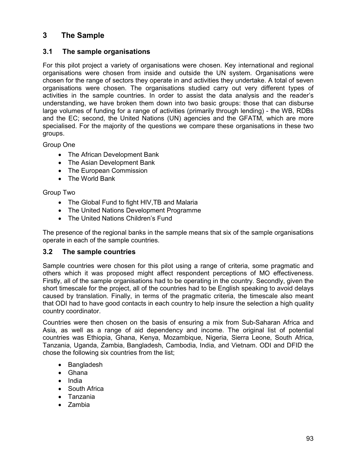# 3 The Sample

### 3.1 The sample organisations

For this pilot project a variety of organisations were chosen. Key international and regional organisations were chosen from inside and outside the UN system. Organisations were chosen for the range of sectors they operate in and activities they undertake. A total of seven organisations were chosen. The organisations studied carry out very different types of activities in the sample countries. In order to assist the data analysis and the reader's understanding, we have broken them down into two basic groups: those that can disburse large volumes of funding for a range of activities (primarily through lending) - the WB, RDBs and the EC; second, the United Nations (UN) agencies and the GFATM, which are more specialised. For the majority of the questions we compare these organisations in these two groups.

Group One

- The African Development Bank
- The Asian Development Bank
- The European Commission
- The World Bank

Group Two

- The Global Fund to fight HIV, TB and Malaria
- The United Nations Development Programme
- The United Nations Children's Fund

The presence of the regional banks in the sample means that six of the sample organisations operate in each of the sample countries.

### 3.2 The sample countries

Sample countries were chosen for this pilot using a range of criteria, some pragmatic and others which it was proposed might affect respondent perceptions of MO effectiveness. Firstly, all of the sample organisations had to be operating in the country. Secondly, given the short timescale for the project, all of the countries had to be English speaking to avoid delays caused by translation. Finally, in terms of the pragmatic criteria, the timescale also meant that ODI had to have good contacts in each country to help insure the selection a high quality country coordinator.

Countries were then chosen on the basis of ensuring a mix from Sub-Saharan Africa and Asia, as well as a range of aid dependency and income. The original list of potential countries was Ethiopia, Ghana, Kenya, Mozambique, Nigeria, Sierra Leone, South Africa, Tanzania, Uganda, Zambia, Bangladesh, Cambodia, India, and Vietnam. ODI and DFID the chose the following six countries from the list;

- Bangladesh
- Ghana
- India
- South Africa
- Tanzania
- Zambia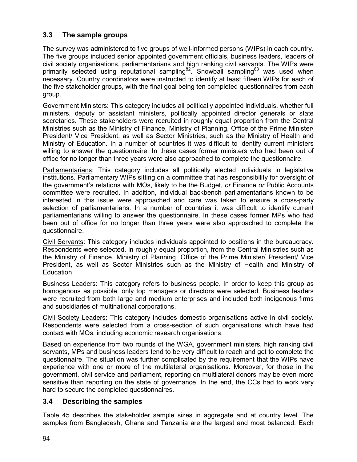# 3.3 The sample groups

The survey was administered to five groups of well-informed persons (WIPs) in each country. The five groups included senior appointed government officials, business leaders, leaders of civil society organisations, parliamentarians and high ranking civil servants. The WIPs were primarily selected using reputational sampling<sup>82</sup>. Snowball sampling<sup>83</sup> was used when necessary. Country coordinators were instructed to identify at least fifteen WIPs for each of the five stakeholder groups, with the final goal being ten completed questionnaires from each group.

Government Ministers: This category includes all politically appointed individuals, whether full ministers, deputy or assistant ministers, politically appointed director generals or state secretaries. These stakeholders were recruited in roughly equal proportion from the Central Ministries such as the Ministry of Finance, Ministry of Planning, Office of the Prime Minister/ President/ Vice President, as well as Sector Ministries, such as the Ministry of Health and Ministry of Education. In a number of countries it was difficult to identify current ministers willing to answer the questionnaire. In these cases former ministers who had been out of office for no longer than three years were also approached to complete the questionnaire.

Parliamentarians: This category includes all politically elected individuals in legislative institutions. Parliamentary WIPs sitting on a committee that has responsibility for oversight of the government's relations with MOs, likely to be the Budget, or Finance or Public Accounts committee were recruited. In addition, individual backbench parliamentarians known to be interested in this issue were approached and care was taken to ensure a cross-party selection of parliamentarians. In a number of countries it was difficult to identify current parliamentarians willing to answer the questionnaire. In these cases former MPs who had been out of office for no longer than three years were also approached to complete the questionnaire.

Civil Servants: This category includes individuals appointed to positions in the bureaucracy. Respondents were selected, in roughly equal proportion, from the Central Ministries such as the Ministry of Finance, Ministry of Planning, Office of the Prime Minister/ President/ Vice President, as well as Sector Ministries such as the Ministry of Health and Ministry of **Education** 

Business Leaders: This category refers to business people. In order to keep this group as homogenous as possible, only top managers or directors were selected. Business leaders were recruited from both large and medium enterprises and included both indigenous firms and subsidiaries of multinational corporations.

Civil Society Leaders: This category includes domestic organisations active in civil society. Respondents were selected from a cross-section of such organisations which have had contact with MOs, including economic research organisations.

Based on experience from two rounds of the WGA, government ministers, high ranking civil servants, MPs and business leaders tend to be very difficult to reach and get to complete the questionnaire. The situation was further complicated by the requirement that the WIPs have experience with one or more of the multilateral organisations. Moreover, for those in the government, civil service and parliament, reporting on multilateral donors may be even more sensitive than reporting on the state of governance. In the end, the CCs had to work very hard to secure the completed questionnaires.

### 3.4 Describing the samples

Table 45 describes the stakeholder sample sizes in aggregate and at country level. The samples from Bangladesh, Ghana and Tanzania are the largest and most balanced. Each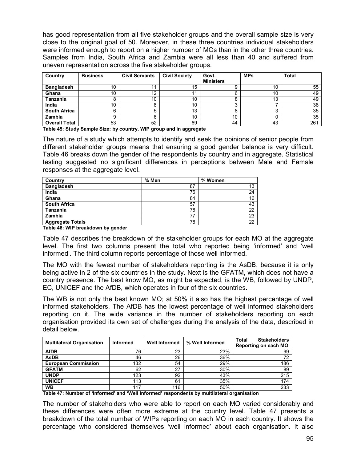has good representation from all five stakeholder groups and the overall sample size is very close to the original goal of 50. Moreover, in these three countries individual stakeholders were informed enough to report on a higher number of MOs than in the other three countries. Samples from India, South Africa and Zambia were all less than 40 and suffered from uneven representation across the five stakeholder groups.

| Country              | <b>Business</b> | <b>Civil Servants</b> | <b>Civil Society</b> | Govt.            | <b>MPs</b> | <b>Total</b> |
|----------------------|-----------------|-----------------------|----------------------|------------------|------------|--------------|
|                      |                 |                       |                      | <b>Ministers</b> |            |              |
| <b>Bangladesh</b>    | 10              | 11                    | 15                   |                  | 10         | 55           |
| Ghana                | 10              | 12                    |                      |                  | 10         | 49           |
| Tanzania             |                 | 10                    | 10                   |                  | 13         | 49           |
| India                | 10              |                       | 10                   |                  |            | 38           |
| <b>South Africa</b>  | ิค              | 5                     | 13                   |                  |            | 35           |
| Zambia               |                 | 6                     | 10                   | 10               |            | 35           |
| <b>Overall Total</b> | 53              | 52                    | 69                   | 44               | 43         | 261          |

Table 45: Study Sample Size: by country, WIP group and in aggregate

The nature of a study which attempts to identify and seek the opinions of senior people from different stakeholder groups means that ensuring a good gender balance is very difficult. Table 46 breaks down the gender of the respondents by country and in aggregate. Statistical testing suggested no significant differences in perceptions between Male and Female responses at the aggregate level.

| Country                 | % Men | % Women |
|-------------------------|-------|---------|
| <b>Bangladesh</b>       | 87    | 13      |
| India                   | 76    | 24      |
| Ghana                   | 84    | 16      |
| <b>South Africa</b>     | 57    | 43      |
| Tanzania                | 78    | 22      |
| Zambia                  | 77    | 23      |
| <b>Aggregate Totals</b> | 78    | 22      |

Table 46: WIP breakdown by gender

Table 47 describes the breakdown of the stakeholder groups for each MO at the aggregate level. The first two columns present the total who reported being 'informed' and 'well informed'. The third column reports percentage of those well informed.

The MO with the fewest number of stakeholders reporting is the AsDB, because it is only being active in 2 of the six countries in the study. Next is the GFATM, which does not have a country presence. The best know MO, as might be expected, is the WB, followed by UNDP, EC, UNICEF and the AfDB, which operates in four of the six countries.

The WB is not only the best known MO; at 50% it also has the highest percentage of well informed stakeholders. The AfDB has the lowest percentage of well informed stakeholders reporting on it. The wide variance in the number of stakeholders reporting on each organisation provided its own set of challenges during the analysis of the data, described in detail below.

| <b>Multilateral Organisation</b> | <b>Informed</b> | <b>Well Informed</b> | % Well Informed | <b>Stakeholders</b><br><b>Total</b><br>Reporting on each MO |
|----------------------------------|-----------------|----------------------|-----------------|-------------------------------------------------------------|
| <b>AfDB</b>                      | 76              | 23                   | 23%             | 99                                                          |
| <b>AsDB</b>                      | 46              | 26                   | 36%             | 72                                                          |
| <b>European Commission</b>       | 132             | 54                   | 29%             | 186                                                         |
| <b>GFATM</b>                     | 62              | 27                   | 30%             | 89                                                          |
| <b>UNDP</b>                      | 123             | 92                   | 43%             | 215                                                         |
| <b>UNICEF</b>                    | 113             | 61                   | 35%             | 174                                                         |
| <b>WB</b>                        | 117             | 116                  | 50%             | 233                                                         |

Table 47: Number of 'Informed' and 'Well Informed' respondents by multilateral organisation

The number of stakeholders who were able to report on each MO varied considerably and these differences were often more extreme at the country level. Table 47 presents a breakdown of the total number of WIPs reporting on each MO in each country. It shows the percentage who considered themselves 'well informed' about each organisation. It also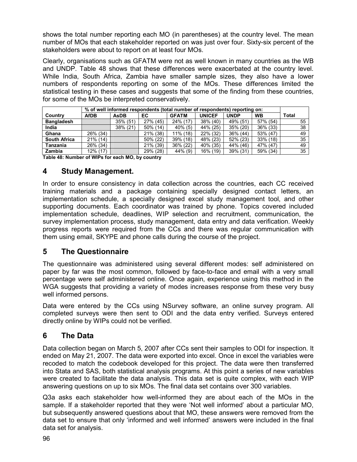shows the total number reporting each MO (in parentheses) at the country level. The mean number of MOs that each stakeholder reported on was just over four. Sixty-six percent of the stakeholders were about to report on at least four MOs.

Clearly, organisations such as GFATM were not as well known in many countries as the WB and UNDP. Table 48 shows that these differences were exacerbated at the country level. While India, South Africa, Zambia have smaller sample sizes, they also have a lower numbers of respondents reporting on some of the MOs. These differences limited the statistical testing in these cases and suggests that some of the finding from these countries, for some of the MOs be interpreted conservatively.

|                     |             | % of well informed respondents (total number of respondents) reporting on: |          |              |               |             |           |       |
|---------------------|-------------|----------------------------------------------------------------------------|----------|--------------|---------------|-------------|-----------|-------|
| Country             | <b>AfDB</b> | <b>AsDB</b>                                                                | EC       | <b>GFATM</b> | <b>UNICEF</b> | <b>UNDP</b> | <b>WB</b> | Total |
| <b>Bangladesh</b>   |             | 35% (51)                                                                   | 27% (45) | 24% (17)     | 38% (40)      | 49% (51)    | 57% (54)  | 55    |
| India               |             | 38% (21)                                                                   | 50% (14) | $40\%$ (5)   | 44% (25)      | 35% (20)    | 36% (33)  | 38    |
| Ghana               | 26% (34)    |                                                                            | 21% (38) | $11\%$ (18)  | 22% (32)      | 36% (44)    | 53% (47)  | 49    |
| <b>South Africa</b> | 21% (14)    |                                                                            | 50% (22) | 39% (18)     | 48% (23)      | 52% (23)    | 33% (18)  | 35    |
| Tanzania            | 26% (34)    |                                                                            | 21% (39) | 36% (22)     | 40% (35)      | 44% (46)    | 47% (47)  | 49    |
| Zambia              | 12% (17)    |                                                                            | 29% (28) | 44% (9)      | 16% (19)      | 39% (31)    | 59% (34)  | 35    |

Table 48: Number of WIPs for each MO, by country

### 4 Study Management.

In order to ensure consistency in data collection across the countries, each CC received training materials and a package containing specially designed contact letters, an implementation schedule, a specially designed excel study management tool, and other supporting documents. Each coordinator was trained by phone. Topics covered included implementation schedule, deadlines, WIP selection and recruitment, communication, the survey implementation process, study management, data entry and data verification. Weekly progress reports were required from the CCs and there was regular communication with them using email, SKYPE and phone calls during the course of the project.

### 5 The Questionnaire

The questionnaire was administered using several different modes: self administered on paper by far was the most common, followed by face-to-face and email with a very small percentage were self administered online. Once again, experience using this method in the WGA suggests that providing a variety of modes increases response from these very busy well informed persons.

Data were entered by the CCs using NSurvey software, an online survey program. All completed surveys were then sent to ODI and the data entry verified. Surveys entered directly online by WIPs could not be verified.

# 6 The Data

Data collection began on March 5, 2007 after CCs sent their samples to ODI for inspection. It ended on May 21, 2007. The data were exported into excel. Once in excel the variables were recoded to match the codebook developed for this project. The data were then transferred into Stata and SAS, both statistical analysis programs. At this point a series of new variables were created to facilitate the data analysis. This data set is quite complex, with each WIP answering questions on up to six MOs. The final data set contains over 300 variables.

Q3a asks each stakeholder how well-informed they are about each of the MOs in the sample. If a stakeholder reported that they were 'Not well informed' about a particular MO, but subsequently answered questions about that MO, these answers were removed from the data set to ensure that only 'informed and well informed' answers were included in the final data set for analysis.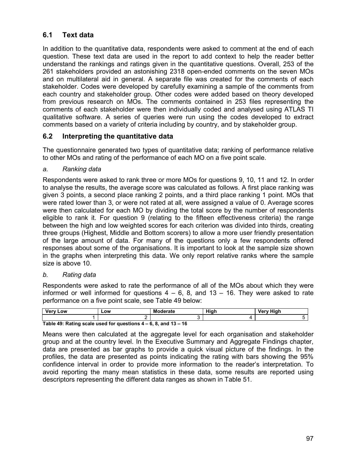# 6.1 Text data

In addition to the quantitative data, respondents were asked to comment at the end of each question. These text data are used in the report to add context to help the reader better understand the rankings and ratings given in the quantitative questions. Overall, 253 of the 261 stakeholders provided an astonishing 2318 open-ended comments on the seven MOs and on multilateral aid in general. A separate file was created for the comments of each stakeholder. Codes were developed by carefully examining a sample of the comments from each country and stakeholder group. Other codes were added based on theory developed from previous research on MOs. The comments contained in 253 files representing the comments of each stakeholder were then individually coded and analysed using ATLAS TI qualitative software. A series of queries were run using the codes developed to extract comments based on a variety of criteria including by country, and by stakeholder group.

### 6.2 Interpreting the quantitative data

The questionnaire generated two types of quantitative data; ranking of performance relative to other MOs and rating of the performance of each MO on a five point scale.

a. Ranking data

Respondents were asked to rank three or more MOs for questions 9, 10, 11 and 12. In order to analyse the results, the average score was calculated as follows. A first place ranking was given 3 points, a second place ranking 2 points, and a third place ranking 1 point. MOs that were rated lower than 3, or were not rated at all, were assigned a value of 0. Average scores were then calculated for each MO by dividing the total score by the number of respondents eligible to rank it. For question 9 (relating to the fifteen effectiveness criteria) the range between the high and low weighted scores for each criterion was divided into thirds, creating three groups (Highest, Middle and Bottom scorers) to allow a more user friendly presentation of the large amount of data. For many of the questions only a few respondents offered responses about some of the organisations. It is important to look at the sample size shown in the graphs when interpreting this data. We only report relative ranks where the sample size is above 10.

b. Rating data

Respondents were asked to rate the performance of all of the MOs about which they were informed or well informed for questions  $4 - 6$ , 8, and  $13 - 16$ . They were asked to rate performance on a five point scale, see Table 49 below:

| Verv<br>Low                                                                | -ow | Moderate | Hiah | Verv Hiah |  |  |
|----------------------------------------------------------------------------|-----|----------|------|-----------|--|--|
|                                                                            |     |          |      |           |  |  |
| Table $A9 \cdot$ Pating scale used for questions $A - B$ $B$ and $13 - 4B$ |     |          |      |           |  |  |

Table 49: Rating scale used for questions 4 – 6, 8, and 13 – 16

Means were then calculated at the aggregate level for each organisation and stakeholder group and at the country level. In the Executive Summary and Aggregate Findings chapter, data are presented as bar graphs to provide a quick visual picture of the findings. In the profiles, the data are presented as points indicating the rating with bars showing the 95% confidence interval in order to provide more information to the reader's interpretation. To avoid reporting the many mean statistics in these data, some results are reported using descriptors representing the different data ranges as shown in Table 51.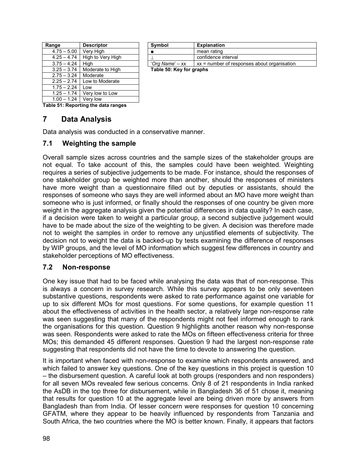| Range         | <b>Descriptor</b> | Symbol                   | <b>Explanation</b> |
|---------------|-------------------|--------------------------|--------------------|
| $4.75 - 5.00$ | Very High         |                          | mean rating        |
| $4.25 - 4.74$ | High to Very High |                          | confidence in      |
| $3.75 - 4.24$ | Hiah              | 'Org Name' – xx          | $xx = number$      |
| $3.25 - 3.74$ | Moderate to High  | Table 50: Key for graphs |                    |
| $2.75 - 3.24$ | Moderate          |                          |                    |
| $2.25 - 2.74$ | Low to Moderate   |                          |                    |
| $1.75 - 2.24$ | Low               |                          |                    |
| $1.25 - 1.74$ | Very low to Low   |                          |                    |
| $1.00 - 1.24$ | Very low          |                          |                    |

| nge           | <b>Descriptor</b>                | Symbol                   | <b>Explanation</b>                                                |  |
|---------------|----------------------------------|--------------------------|-------------------------------------------------------------------|--|
| 4.75 – 5.00 l | Verv Hiah                        |                          | mean rating                                                       |  |
|               | 4.25 – 4.74 High to Very High    |                          | confidence interval                                               |  |
| 3.75 – 4.24 l | Hiah                             |                          | 'Org Name' – $xx$   $xx$ = number of responses about organisation |  |
|               | $3.25 - 3.74$   Moderate to High | Table 50: Key for graphs |                                                                   |  |

Table 51: Reporting the data ranges

## 7 Data Analysis

Data analysis was conducted in a conservative manner.

### 7.1 Weighting the sample

Overall sample sizes across countries and the sample sizes of the stakeholder groups are not equal. To take account of this, the samples could have been weighted. Weighting requires a series of subjective judgements to be made. For instance, should the responses of one stakeholder group be weighted more than another, should the responses of ministers have more weight than a questionnaire filled out by deputies or assistants, should the responses of someone who says they are well informed about an MO have more weight than someone who is just informed, or finally should the responses of one country be given more weight in the aggregate analysis given the potential differences in data quality? In each case, if a decision were taken to weight a particular group, a second subjective judgement would have to be made about the size of the weighting to be given. A decision was therefore made not to weight the samples in order to remove any unjustified elements of subjectivity. The decision not to weight the data is backed-up by tests examining the difference of responses by WIP groups, and the level of MO information which suggest few differences in country and stakeholder perceptions of MO effectiveness.

### 7.2 Non-response

One key issue that had to be faced while analysing the data was that of non-response. This is always a concern in survey research. While this survey appears to be only seventeen substantive questions, respondents were asked to rate performance against one variable for up to six different MOs for most questions. For some questions, for example question 11 about the effectiveness of activities in the health sector, a relatively large non-response rate was seen suggesting that many of the respondents might not feel informed enough to rank the organisations for this question. Question 9 highlights another reason why non-response was seen. Respondents were asked to rate the MOs on fifteen effectiveness criteria for three MOs; this demanded 45 different responses. Question 9 had the largest non-response rate suggesting that respondents did not have the time to devote to answering the question.

It is important when faced with non-response to examine which respondents answered, and which failed to answer key questions. One of the key questions in this project is question 10 – the disbursement question. A careful look at both groups (responders and non responders) for all seven MOs revealed few serious concerns. Only 8 of 21 respondents in India ranked the AsDB in the top three for disbursement, while in Bangladesh 36 of 51 chose it, meaning that results for question 10 at the aggregate level are being driven more by answers from Bangladesh than from India. Of lesser concern were responses for question 10 concerning GFATM, where they appear to be heavily influenced by respondents from Tanzania and South Africa, the two countries where the MO is better known. Finally, it appears that factors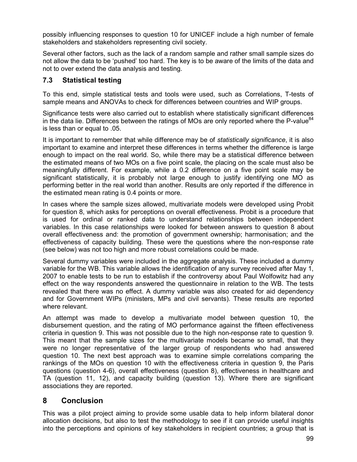possibly influencing responses to question 10 for UNICEF include a high number of female stakeholders and stakeholders representing civil society.

Several other factors, such as the lack of a random sample and rather small sample sizes do not allow the data to be 'pushed' too hard. The key is to be aware of the limits of the data and not to over extend the data analysis and testing.

### 7.3 Statistical testing

To this end, simple statistical tests and tools were used, such as Correlations, T-tests of sample means and ANOVAs to check for differences between countries and WIP groups.

Significance tests were also carried out to establish where statistically significant differences in the data lie. Differences between the ratings of MOs are only reported where the P-value $^{84}$ is less than or equal to .05.

It is important to remember that while difference may be of *statistically significance*, it is also important to examine and interpret these differences in terms whether the difference is large enough to impact on the real world. So, while there may be a statistical difference between the estimated means of two MOs on a five point scale, the placing on the scale must also be meaningfully different. For example, while a 0.2 difference on a five point scale may be significant statistically, it is probably not large enough to justify identifying one MO as performing better in the real world than another. Results are only reported if the difference in the estimated mean rating is 0.4 points or more.

In cases where the sample sizes allowed, multivariate models were developed using Probit for question 8, which asks for perceptions on overall effectiveness. Probit is a procedure that is used for ordinal or ranked data to understand relationships between independent variables. In this case relationships were looked for between answers to question 8 about overall effectiveness and: the promotion of government ownership; harmonisation; and the effectiveness of capacity building. These were the questions where the non-response rate (see below) was not too high and more robust correlations could be made.

Several dummy variables were included in the aggregate analysis. These included a dummy variable for the WB. This variable allows the identification of any survey received after May 1, 2007 to enable tests to be run to establish if the controversy about Paul Wolfowitz had any effect on the way respondents answered the questionnaire in relation to the WB. The tests revealed that there was no effect. A dummy variable was also created for aid dependency and for Government WIPs (ministers, MPs and civil servants). These results are reported where relevant.

An attempt was made to develop a multivariate model between question 10, the disbursement question, and the rating of MO performance against the fifteen effectiveness criteria in question 9. This was not possible due to the high non-response rate to question 9. This meant that the sample sizes for the multivariate models became so small, that they were no longer representative of the larger group of respondents who had answered question 10. The next best approach was to examine simple correlations comparing the rankings of the MOs on question 10 with the effectiveness criteria in question 9, the Paris questions (question 4-6), overall effectiveness (question 8), effectiveness in healthcare and TA (question 11, 12), and capacity building (question 13). Where there are significant associations they are reported.

# 8 Conclusion

This was a pilot project aiming to provide some usable data to help inform bilateral donor allocation decisions, but also to test the methodology to see if it can provide useful insights into the perceptions and opinions of key stakeholders in recipient countries; a group that is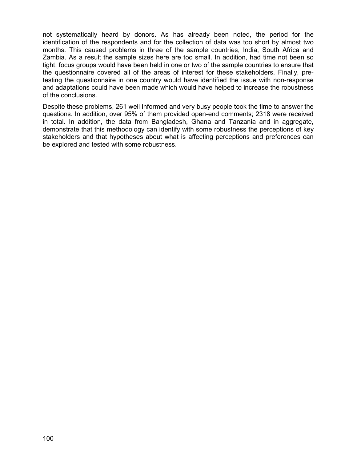not systematically heard by donors. As has already been noted, the period for the identification of the respondents and for the collection of data was too short by almost two months. This caused problems in three of the sample countries, India, South Africa and Zambia. As a result the sample sizes here are too small. In addition, had time not been so tight, focus groups would have been held in one or two of the sample countries to ensure that the questionnaire covered all of the areas of interest for these stakeholders. Finally, pretesting the questionnaire in one country would have identified the issue with non-response and adaptations could have been made which would have helped to increase the robustness of the conclusions.

Despite these problems, 261 well informed and very busy people took the time to answer the questions. In addition, over 95% of them provided open-end comments; 2318 were received in total. In addition, the data from Bangladesh, Ghana and Tanzania and in aggregate, demonstrate that this methodology can identify with some robustness the perceptions of key stakeholders and that hypotheses about what is affecting perceptions and preferences can be explored and tested with some robustness.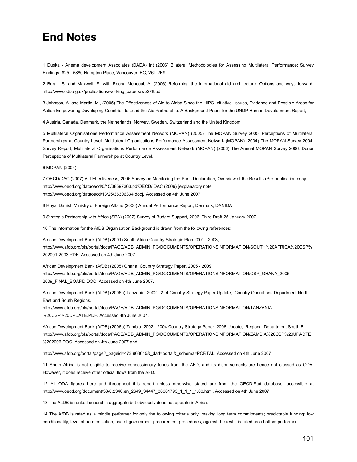## End Notes

-

1 Duska - Anema development Associates (DADA) Int (2006) Bilateral Methodologies for Assessing Multilateral Performance: Survey Findings, #25 - 5880 Hampton Place, Vancouver, BC, V6T 2E9,

2 Burall, S. and Maxwell, S. with Rocha Menocal, A. (2006) Reforming the international aid architecture: Options and ways forward, http://www.odi.org.uk/publications/working\_papers/wp278.pdf

3 Johnson, A. and Martin, M., (2005) The Effectiveness of Aid to Africa Since the HIPC Initiative: Issues, Evidence and Possible Areas for Action Empowering Developing Countries to Lead the Aid Partnership: A Background Paper for the UNDP Human Development Report,

4 Austria, Canada, Denmark, the Netherlands, Norway, Sweden, Switzerland and the United Kingdom.

5 Multilateral Organisations Performance Assessment Network (MOPAN) (2005) The MOPAN Survey 2005: Perceptions of Multilateral Partnerships at Country Level; Multilateral Organisations Performance Assessment Network (MOPAN) (2004) The MOPAN Survey 2004, Survey Report; Multilateral Organisations Performance Assessment Network (MOPAN) (2006) The Annual MOPAN Survey 2006: Donor Perceptions of Multilateral Partnerships at Country Level.

6 MOPAN (2004)

7 OECD/DAC (2007) Aid Effectiveness, 2006 Survey on Monitoring the Paris Declaration, Overview of the Results (Pre-publication copy), http://www.oecd.org/dataoecd/0/45/38597363.pdfOECD/ DAC (2006) [explanatory note http://www.oecd.org/dataoecd/13/25/36306334.doc], Accessed on 4th June 2007

8 Royal Danish Ministry of Foreign Affairs (2006) Annual Performance Report, Denmark, DANIDA

9 Strategic Partnership with Africa (SPA) (2007) Survey of Budget Support, 2006, Third Draft 25 January 2007

10 The information for the AfDB Organisation Background is drawn from the following references:

African Development Bank (AfDB) (2001) South Africa Country Strategic Plan 2001 - 2003, http://www.afdb.org/pls/portal/docs/PAGE/ADB\_ADMIN\_PG/DOCUMENTS/OPERATIONSINFORMATION/SOUTH%20AFRICA%20CSP% 202001-2003.PDF. Accessed on 4th June 2007

African Development Bank (AfDB) (2005) Ghana: Country Strategy Paper, 2005 - 2009, http://www.afdb.org/pls/portal/docs/PAGE/ADB\_ADMIN\_PG/DOCUMENTS/OPERATIONSINFORMATION/CSP\_GHANA\_2005- 2009\_FINAL\_BOARD.DOC. Accessed on 4th June 2007.

African Development Bank (AfDB) (2006a) Tanzania: 2002 - 2--4 Country Strategy Paper Update, Country Operations Department North, East and South Regions,

http://www.afdb.org/pls/portal/docs/PAGE/ADB\_ADMIN\_PG/DOCUMENTS/OPERATIONSINFORMATION/TANZANIA- %20CSP%20UPDATE.PDF. Accessed 4th June 2007,

African Development Bank (AfDB) (2006b) Zambia: 2002 - 2004 Country Strategy Paper, 2006 Update, Regional Department South B, http://www.afdb.org/pls/portal/docs/PAGE/ADB\_ADMIN\_PG/DOCUMENTS/OPERATIONSINFORMATION/ZAMBIA%20CSP%20UPADTE %202006.DOC. Accessed on 4th June 2007 and

http://www.afdb.org/portal/page?\_pageid=473,968615&\_dad=portal&\_schema=PORTAL. Accessed on 4th June 2007

11 South Africa is not eligible to receive concessionary funds from the AFD, and its disbursements are hence not classed as ODA. However, it does receive other official flows from the AFD.

12 All ODA figures here and throughout this report unless otherwise stated are from the OECD.Stat database, accessible at http://www.oecd.org/document/33/0,2340,en\_2649\_34447\_36661793\_1\_1\_1\_1,00.html. Accessed on 4th June 2007

13 The AsDB is ranked second in aggregate but obviously does not operate in Africa.

14 The AfDB is rated as a middle performer for only the following criteria only: making long term commitments; predictable funding; low conditionality; level of harmonisation; use of government procurement procedures, against the rest it is rated as a bottom performer.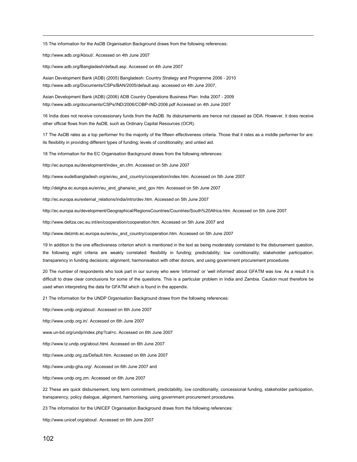15 The information for the AsDB Organisation Background draws from the following references:

http://www.adb.org/About/. Accessed on 4th June 2007

 $\overline{a}$ 

http://www.adb.org/Bangladesh/default.asp. Accessed on 4th June 2007

Asian Development Bank (ADB) (2005) Bangladesh: Country Strategy and Programme 2006 - 2010 http://www.adb.org/Documents/CSPs/BAN/2005/default.asp. accessed on 4th June 2007,

Asian Development Bank (ADB) (2006) ADB Country Operations Business Plan: India 2007 - 2009 http://www.adb.org/documents/CSPs/IND/2006/COBP-IND-2006.pdf Accessed on 4th June 2007

16 India does not receive concessionary funds from the AsDB. Its disbursements are hence not classed as ODA. However, it does receive other official flows from the AsDB, such as Ordinary Capital Resources (OCR).

17 The AsDB rates as a top performer fro the majority of the fifteen effectiveness criteria. Those that it rates as a middle performer for are: its flexibility in providing different types of funding; levels of conditionality; and untied aid.

18 The information for the EC Organisation Background draws from the following references:

http://ec.europa.eu/development/index\_en.cfm. Accessed on 5th June 2007

http://www.eudelbangladesh.org/en/eu\_and\_country/cooperation/index.htm. Accessed on 5th June 2007

http://delgha.ec.europa.eu/en/eu\_and\_ghana/ec\_and\_gov.htm. Accessed on 5th June 2007

http://ec.europa.eu/external\_relations/india/intro/dev.htm. Accessed on 5th June 2007

http://ec.europa.eu/development/Geographical/RegionsCountries/Countries/South%20Africa.htm. Accessed on 5th June 2007

http://www.deltza.cec.eu.int/en/cooperation/cooperation.htm. Accessed on 5th June 2007 and

http://www.delzmb.ec.europa.eu/en/eu\_and\_country/cooperation.htm. Accessed on 5th June 2007

19 In addition to the one effectiveness criterion which is mentioned in the text as being moderately correlated to the disbursement question, the following eight criteria are weakly correlated: flexibility in funding; predictability; low conditionality; stakeholder participation; transparency in funding decisions; alignment; harmonisation with other donors, and using government procurement procedures

20 The number of respondents who took part in our survey who were 'informed' or 'well informed' about GFATM was low. As a result it is difficult to draw clear conclusions for some of the questions. This is a particular problem in India and Zambia. Caution must therefore be used when interpreting the data for GFATM which is found in the appendix.

21 The information for the UNDP Organisation Background draws from the following references:

http://www.undp.org/about/. Accessed on 6th June 2007

http://www.undp.org.in/. Accessed on 6th June 2007

www.un-bd.org/undp/index.php?cal=c. Accessed on 6th June 2007

http://www.tz.undp.org/about.html. Accessed on 6th June 2007

http://www.undp.org.za/Default.htm. Accessed on 6th June 2007

http://www.undp-gha.org/. Accessed on 6th June 2007 and

http://www.undp.org.zm. Accessed on 6th June 2007

22 These are quick disbursement, long term commitment, predictability, low conditionality, concessional funding, stakeholder participation, transparency, policy dialogue, alignment, harmonising, using government procurement procedures.

23 The information for the UNICEF Organisation Background draws from the following references:

http://www.unicef.org/about/. Accessed on 6th June 2007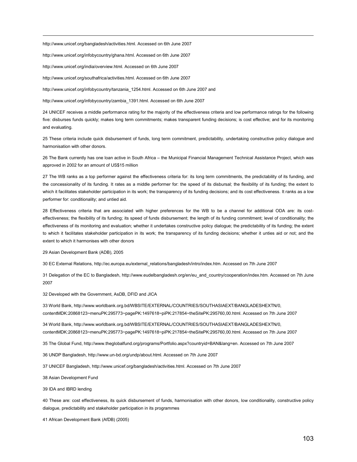http://www.unicef.org/bangladesh/activities.html. Accessed on 6th June 2007

http://www.unicef.org/infobycountry/ghana.html. Accessed on 6th June 2007

http://www.unicef.org/india/overview.html. Accessed on 6th June 2007

 $\overline{a}$ 

http://www.unicef.org/southafrica/activities.html. Accessed on 6th June 2007

http://www.unicef.org/infobycountry/tanzania\_1254.html. Accessed on 6th June 2007 and

http://www.unicef.org/infobycountry/zambia\_1391.html. Accessed on 6th June 2007

24 UNICEF receives a middle performance rating for the majority of the effectiveness criteria and low performance ratings for the following five: disburses funds quickly; makes long term commitments; makes transparent funding decisions; is cost effective; and for its monitoring and evaluating.

25 These criteria include quick disbursement of funds, long term commitment, predictability, undertaking constructive policy dialogue and harmonisation with other donors.

26 The Bank currently has one loan active in South Africa – the Municipal Financial Management Technical Assistance Project, which was approved in 2002 for an amount of US\$15 million

27 The WB ranks as a top performer against the effectiveness criteria for: its long term commitments, the predictability of its funding, and the concessionality of its funding. It rates as a middle performer for: the speed of its disbursal; the flexibility of its funding; the extent to which it facilitates stakeholder participation in its work; the transparency of its funding decisions; and its cost effectiveness. It ranks as a low performer for: conditionality; and untied aid.

28 Effectiveness criteria that are associated with higher preferences for the WB to be a channel for additional ODA are: its costeffectiveness; the flexibility of its funding; its speed of funds disbursement; the length of its funding commitment; level of conditionality; the effectiveness of its monitoring and evaluation; whether it undertakes constructive policy dialogue; the predictability of its funding; the extent to which it facilitates stakeholder participation in its work; the transparency of its funding decisions; whether it unties aid or not; and the extent to which it harmonises with other donors

29 Asian Development Bank (ADB), 2005

30 EC External Relations, http://ec.europa.eu/external\_relations/bangladesh/intro/index.htm. Accessed on 7th June 2007

31 Delegation of the EC to Bangladesh, http://www.eudelbangladesh.org/en/eu\_and\_country/cooperation/index.htm. Accessed on 7th June 2007

32 Developed with the Government, AsDB, DFID and JICA

33 World Bank, http://www.worldbank.org.bd/WBSITE/EXTERNAL/COUNTRIES/SOUTHASIAEXT/BANGLADESHEXTN/0, contentMDK:20868123~menuPK:295773~pagePK:1497618~piPK:217854~theSitePK:295760,00.html. Accessed on 7th June 2007

34 World Bank, http://www.worldbank.org.bd/WBSITE/EXTERNAL/COUNTRIES/SOUTHASIAEXT/BANGLADESHEXTN/0, contentMDK:20868123~menuPK:295773~pagePK:1497618~piPK:217854~theSitePK:295760,00.html. Accessed on 7th June 2007

35 The Global Fund, http://www.theglobalfund.org/programs/Portfolio.aspx?countryid=BAN&lang=en. Accessed on 7th June 2007

36 UNDP Bangladesh, http://www.un-bd.org/undp/about.html. Accessed on 7th June 2007

37 UNICEF Bangladesh, http://www.unicef.org/bangladesh/activities.html. Accessed on 7th June 2007

38 Asian Development Fund

39 IDA and IBRD lending

40 These are: cost effectiveness, its quick disbursement of funds, harmonisation with other donors, low conditionality, constructive policy dialogue, predictability and stakeholder participation in its programmes

41 African Development Bank (AfDB) (2005)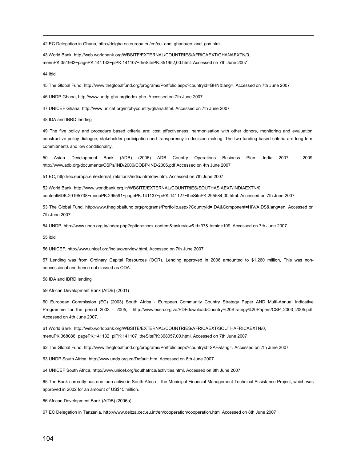42 EC Delegation in Ghana, http://delgha.ec.europa.eu/en/eu\_and\_ghana/ec\_and\_gov.htm

43 World Bank, http://web.worldbank.org/WBSITE/EXTERNAL/COUNTRIES/AFRICAEXT/GHANAEXTN/0, menuPK:351962~pagePK:141132~piPK:141107~theSitePK:351952,00.html. Accessed on 7th June 2007

44 ibid

 $\overline{a}$ 

45 The Global Fund, http://www.theglobalfund.org/programs/Portfolio.aspx?countryid=GHN&lang=. Accessed on 7th June 2007

46 UNDP Ghana, http://www.undp-gha.org/index.php. Accessed on 7th June 2007

47 UNICEF Ghana, http://www.unicef.org/infobycountry/ghana.html. Accessed on 7th June 2007

48 IDA and IBRD lending

49 The five policy and procedure based criteria are: cost effectiveness, harmonisation with other donors, monitoring and evaluation, constructive policy dialogue, stakeholder participation and transparency in decision making. The two funding based criteria are long term commitments and low conditionality.

50 Asian Development Bank (ADB) (2006) ADB Country Operations Business Plan: India 2007 - 2009, http://www.adb.org/documents/CSPs/IND/2006/COBP-IND-2006.pdf Accessed on 4th June 2007

51 EC, http://ec.europa.eu/external\_relations/india/intro/dev.htm. Accessed on 7th June 2007

52 World Bank, http://www.worldbank.org.in/WBSITE/EXTERNAL/COUNTRIES/SOUTHASIAEXT/INDIAEXTN/0, contentMDK:20195738~menuPK:295591~pagePK:141137~piPK:141127~theSitePK:295584,00.html. Accessed on 7th June 2007

53 The Global Fund, http://www.theglobalfund.org/programs/Portfolio.aspx?CountryId=IDA&Component=HIV/AIDS&lang=en. Accessed on 7th June 2007

54 UNDP, http://www.undp.org.in/index.php?option=com\_content&task=view&id=37&Itemid=109. Accessed on 7th June 2007

55 ibid

56 UNICEF, http://www.unicef.org/india/overview.html. Accessed on 7th June 2007

57 Lending was from Ordinary Capital Resources (OCR). Lending approved in 2006 amounted to \$1,260 million, This was nonconcessional and hence not classed as ODA.

58 IDA and IBRD lending

59 African Development Bank (AfDB) (2001)

60 European Commission (EC) (2003) South Africa - European Community Country Strategy Paper AND Multi-Annual Indicative Programme for the period 2003 - 2005, http://www.eusa.org.za/PDFdownload/Country%20Strategy%20Papers/CSP 2003 2005.pdf. Accessed on 4th June 2007.

61 World Bank, http://web.worldbank.org/WBSITE/EXTERNAL/COUNTRIES/AFRICAEXT/SOUTHAFRICAEXTN/0, menuPK:368086~pagePK:141132~piPK:141107~theSitePK:368057,00.html. Accessed on 7th June 2007

62 The Global Fund, http://www.theglobalfund.org/programs/Portfolio.aspx?countryid=SAF&lang=. Accessed on 7th June 2007

63 UNDP South Africa, http://www.undp.org.za/Default.htm. Accessed on 8th June 2007

64 UNICEF South Africa, http://www.unicef.org/southafrica/activities.html. Accessed on 8th June 2007

65 The Bank currently has one loan active in South Africa – the Municipal Financial Management Technical Assistance Project, which was approved in 2002 for an amount of US\$15 million.

66 African Development Bank (AfDB) (2006a)

67 EC Delegation in Tanzania, http://www.deltza.cec.eu.int/en/cooperation/cooperation.htm. Accessed on 8th June 2007